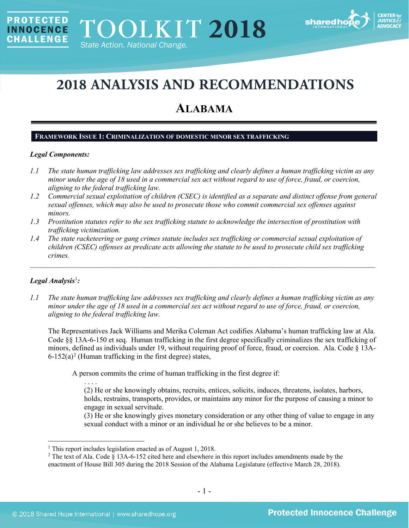

# **2018 ANALYSIS AND RECOMMENDATIONS**

# **ALABAMA**

#### **FRAMEWORK ISSUE 1: CRIMINALIZATION OF DOMESTIC MINOR SEX TRAFFICKING**

#### *Legal Components:*

**PROTECTED** 

**INNOCENCE CHALLENGE** 

- *1.1 The state human trafficking law addresses sex trafficking and clearly defines a human trafficking victim as any minor under the age of 18 used in a commercial sex act without regard to use of force, fraud, or coercion, aligning to the federal trafficking law.*
- *1.2 Commercial sexual exploitation of children (CSEC) is identified as a separate and distinct offense from general sexual offenses, which may also be used to prosecute those who commit commercial sex offenses against minors.*
- *1.3 Prostitution statutes refer to the sex trafficking statute to acknowledge the intersection of prostitution with trafficking victimization.*
- *1.4 The state racketeering or gang crimes statute includes sex trafficking or commercial sexual exploitation of children (CSEC) offenses as predicate acts allowing the statute to be used to prosecute child sex trafficking crimes.*

\_\_\_\_\_\_\_\_\_\_\_\_\_\_\_\_\_\_\_\_\_\_\_\_\_\_\_\_\_\_\_\_\_\_\_\_\_\_\_\_\_\_\_\_\_\_\_\_\_\_\_\_\_\_\_\_\_\_\_\_\_\_\_\_\_\_\_\_\_\_\_\_\_\_\_\_\_\_\_\_\_\_\_\_\_\_\_\_\_\_\_\_\_\_

# *Legal Analysis*[1](#page-0-0) *:*

*1.1 The state human trafficking law addresses sex trafficking and clearly defines a human trafficking victim as any minor under the age of 18 used in a commercial sex act without regard to use of force, fraud, or coercion, aligning to the federal trafficking law.*

The Representatives Jack Williams and Merika Coleman Act codifies Alabama's human trafficking law at Ala. Code §§ 13A-6-150 et seq. Human trafficking in the first degree specifically criminalizes the sex trafficking of minors, defined as individuals under 19, without requiring proof of force, fraud, or coercion. Ala. Code § 13A- $6-152(a)^2$  $6-152(a)^2$  $6-152(a)^2$  (Human trafficking in the first degree) states,

<span id="page-0-2"></span>A person commits the crime of human trafficking in the first degree if:

. . . . (2) He or she knowingly obtains, recruits, entices, solicits, induces, threatens, isolates, harbors, holds, restrains, transports, provides, or maintains any minor for the purpose of causing a minor to engage in sexual servitude.

(3) He or she knowingly gives monetary consideration or any other thing of value to engage in any sexual conduct with a minor or an individual he or she believes to be a minor.

<span id="page-0-0"></span><sup>&</sup>lt;sup>1</sup> This report includes legislation enacted as of August 1, 2018.

<span id="page-0-1"></span><sup>2</sup> The text of Ala. Code § 13A-6-152 cited here and elsewhere in this report includes amendments made by the enactment of House Bill 305 during the 2018 Session of the Alabama Legislature (effective March 28, 2018).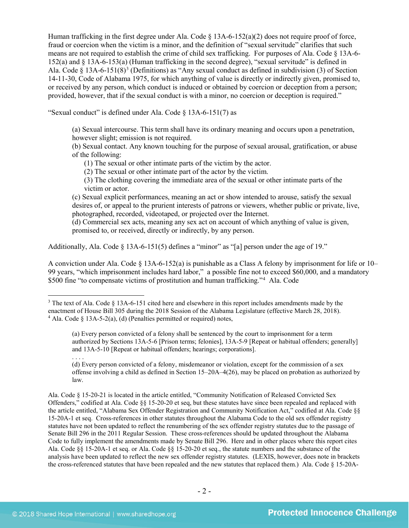Human trafficking in the first degree under Ala. Code  $\S$  13A-6-152(a)(2) does not require proof of force, fraud or coercion when the victim is a minor, and the definition of "sexual servitude" clarifies that such means are not required to establish the crime of child sex trafficking. For purposes of Ala. Code § 13A-6- 152(a) and § 13A-6-153(a) (Human trafficking in the second degree), "sexual servitude" is defined in Ala. Code  $\S$  1[3](#page-1-0)A-6-151(8)<sup>3</sup> (Definitions) as "Any sexual conduct as defined in subdivision (3) of Section 14-11-30, Code of Alabama 1975, for which anything of value is directly or indirectly given, promised to, or received by any person, which conduct is induced or obtained by coercion or deception from a person; provided, however, that if the sexual conduct is with a minor, no coercion or deception is required."

"Sexual conduct" is defined under Ala. Code § 13A-6-151(7) as

<span id="page-1-2"></span>(a) Sexual intercourse. This term shall have its ordinary meaning and occurs upon a penetration, however slight; emission is not required.

(b) Sexual contact. Any known touching for the purpose of sexual arousal, gratification, or abuse of the following:

(1) The sexual or other intimate parts of the victim by the actor.

(2) The sexual or other intimate part of the actor by the victim.

(3) The clothing covering the immediate area of the sexual or other intimate parts of the victim or actor.

(c) Sexual explicit performances, meaning an act or show intended to arouse, satisfy the sexual desires of, or appeal to the prurient interests of patrons or viewers, whether public or private, live, photographed, recorded, videotaped, or projected over the Internet.

(d) Commercial sex acts, meaning any sex act on account of which anything of value is given, promised to, or received, directly or indirectly, by any person.

Additionally, Ala. Code  $\S$  13A-6-151(5) defines a "minor" as "[a] person under the age of 19."

A conviction under Ala. Code § 13A-6-152(a) is punishable as a Class A felony by imprisonment for life or 10– 99 years, "which imprisonment includes hard labor," a possible fine not to exceed \$60,000, and a mandatory \$500 fine "to compensate victims of prostitution and human trafficking."[4](#page-1-1) Ala. Code

. . . . (d) Every person convicted of a felony, misdemeanor or violation, except for the commission of a sex offense involving a child as defined in Section 15–20A–4(26), may be placed on probation as authorized by law.

<span id="page-1-1"></span><span id="page-1-0"></span><sup>&</sup>lt;sup>3</sup> The text of Ala. Code § 13A-6-151 cited here and elsewhere in this report includes amendments made by the enactment of House Bill 305 during the 2018 Session of the Alabama Legislature (effective March 28, 2018). <sup>4</sup> Ala. Code  $\ell$  13A-5-2(a), (d) (Penalties permitted or required) notes,

<span id="page-1-3"></span><sup>(</sup>a) Every person convicted of a felony shall be sentenced by the court to imprisonment for a term authorized by Sections 13A-5-6 [Prison terms; felonies], 13A-5-9 [Repeat or habitual offenders; generally] and 13A-5-10 [Repeat or habitual offenders; hearings; corporations].

Ala. Code § 15-20-21 is located in the article entitled, "Community Notification of Released Convicted Sex Offenders," codified at Ala. Code §§ 15-20-20 et seq, but these statutes have since been repealed and replaced with the article entitled, "Alabama Sex Offender Registration and Community Notification Act," codified at Ala. Code §§ 15-20A-1 et seq. Cross-references in other statutes throughout the Alabama Code to the old sex offender registry statutes have not been updated to reflect the renumbering of the sex offender registry statutes due to the passage of Senate Bill 296 in the 2011 Regular Session. These cross-references should be updated throughout the Alabama Code to fully implement the amendments made by Senate Bill 296. Here and in other places where this report cites Ala. Code §§ 15-20A-1 et seq. or Ala. Code §§ 15-20-20 et seq., the statute numbers and the substance of the analysis have been updated to reflect the new sex offender registry statutes. (LEXIS, however, does note in brackets the cross-referenced statutes that have been repealed and the new statutes that replaced them.) Ala. Code § 15-20A-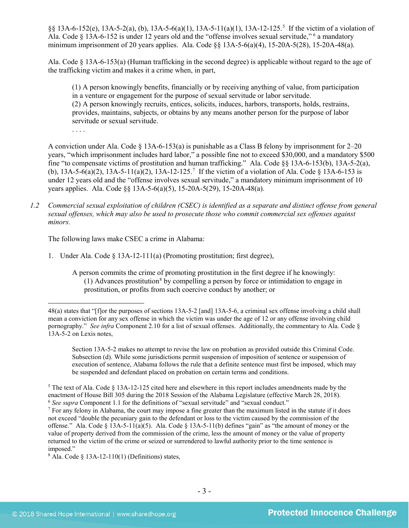§§ 13A-6-152(e), 13A-5-2(a), (b), 13A-5-6(a)(1), 13A-5-11(a)(1), 13A-12-125. [5](#page-2-0) If the victim of a violation of Ala. Code § 13A-6-152 is under 12 years old and the "offense involves sexual servitude," [6](#page-2-1) a mandatory minimum imprisonment of 20 years applies. Ala. Code §§ 13A-5-6(a)(4), 15-20A-5(28), 15-20A-48(a).

Ala. Code § 13A-6-153(a) (Human trafficking in the second degree) is applicable without regard to the age of the trafficking victim and makes it a crime when, in part,

<span id="page-2-4"></span>(1) A person knowingly benefits, financially or by receiving anything of value, from participation in a venture or engagement for the purpose of sexual servitude or labor servitude. (2) A person knowingly recruits, entices, solicits, induces, harbors, transports, holds, restrains, provides, maintains, subjects, or obtains by any means another person for the purpose of labor servitude or sexual servitude.

A conviction under Ala. Code  $\S$  13A-6-153(a) is punishable as a Class B felony by imprisonment for 2–20 years, "which imprisonment includes hard labor," a possible fine not to exceed \$30,000, and a mandatory \$500 fine "to compensate victims of prostitution and human trafficking." Ala. Code §§ 13A-6-153(b), 13A-5-2(a), (b), 13A-5-6(a)(2), 13A-5-11(a)(2), 13A-12-125.<sup>[7](#page-2-2)</sup> If the victim of a violation of Ala. Code § 13A-6-153 is under 12 years old and the "offense involves sexual servitude," a mandatory minimum imprisonment of 10 years applies. Ala. Code §§ 13A-5-6(a)(5), 15-20A-5(29), 15-20A-48(a).

*1.2 Commercial sexual exploitation of children (CSEC) is identified as a separate and distinct offense from general sexual offenses, which may also be used to prosecute those who commit commercial sex offenses against minors.*

The following laws make CSEC a crime in Alabama:

<span id="page-2-5"></span>. . . .

- 1. Under Ala. Code § 13A-12-111(a) (Promoting prostitution; first degree),
	- A person commits the crime of promoting prostitution in the first degree if he knowingly:  $(1)$  Advances prostitution<sup>[8](#page-2-3)</sup> by compelling a person by force or intimidation to engage in prostitution, or profits from such coercive conduct by another; or

Section 13A-5-2 makes no attempt to revise the law on probation as provided outside this Criminal Code. Subsection (d). While some jurisdictions permit suspension of imposition of sentence or suspension of execution of sentence, Alabama follows the rule that a definite sentence must first be imposed, which may be suspended and defendant placed on probation on certain terms and conditions.

 $\overline{a}$ 48(a) states that "[f]or the purposes of sections 13A-5-2 [and] 13A-5-6, a criminal sex offense involving a child shall mean a conviction for any sex offense in which the victim was under the age of 12 or any offense involving child pornography." *See infra* Component 2.10 for a list of sexual offenses. Additionally, the commentary to Ala. Code § 13A-5-2 on Lexis notes,

<span id="page-2-0"></span><sup>5</sup> The text of Ala. Code § 13A-12-125 cited here and elsewhere in this report includes amendments made by the enactment of House Bill 305 during the 2018 Session of the Alabama Legislature (effective March 28, 2018). 6 *See supra* Component 1.1 for the definitions of "sexual servitude" and "sexual conduct."

<span id="page-2-2"></span><span id="page-2-1"></span><sup>7</sup> For any felony in Alabama, the court may impose a fine greater than the maximum listed in the statute if it does not exceed "double the pecuniary gain to the defendant or loss to the victim caused by the commission of the offense." Ala. Code § 13A-5-11(a)(5). Ala. Code § 13A-5-11(b) defines "gain" as "the amount of money or the value of property derived from the commission of the crime, less the amount of money or the value of property returned to the victim of the crime or seized or surrendered to lawful authority prior to the time sentence is imposed."  $8$  Ala. Code  $8$  13A-12-110(1) (Definitions) states,

<span id="page-2-3"></span>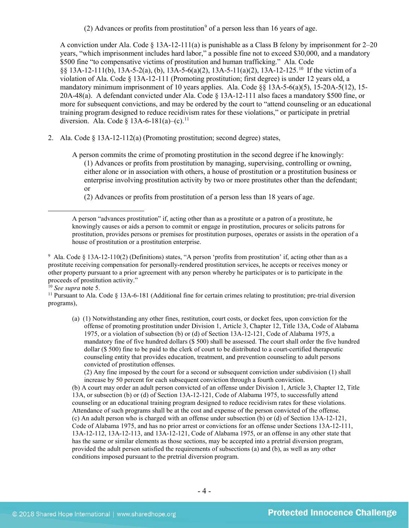(2) Advances or profits from prostitution<sup>9</sup> of a person less than 16 years of age.

A conviction under Ala. Code  $\S 13A-12-111(a)$  is punishable as a Class B felony by imprisonment for 2–20 years, "which imprisonment includes hard labor," a possible fine not to exceed \$30,000, and a mandatory \$500 fine "to compensative victims of prostitution and human trafficking." Ala. Code §§ 13A-12-111(b), 13A-5-2(a), (b), 13A-5-6(a)(2), 13A-5-11(a)(2), 13A-12-125. [10](#page-3-1) If the victim of a violation of Ala. Code § 13A-12-111 (Promoting prostitution; first degree) is under 12 years old, a mandatory minimum imprisonment of 10 years applies. Ala. Code §§ 13A-5-6(a)(5), 15-20A-5(12), 15- 20A-48(a). A defendant convicted under Ala. Code § 13A-12-111 also faces a mandatory \$500 fine, or more for subsequent convictions, and may be ordered by the court to "attend counseling or an educational training program designed to reduce recidivism rates for these violations," or participate in pretrial diversion. Ala. Code § 13A-6-181(a)–(c).<sup>[11](#page-3-2)</sup>

2. Ala. Code § 13A-12-112(a) (Promoting prostitution; second degree) states,

<span id="page-3-3"></span>A person commits the crime of promoting prostitution in the second degree if he knowingly: (1) Advances or profits from prostitution by managing, supervising, controlling or owning, either alone or in association with others, a house of prostitution or a prostitution business or enterprise involving prostitution activity by two or more prostitutes other than the defendant; or

(2) Advances or profits from prostitution of a person less than 18 years of age.

 $\overline{a}$ 

(a) (1) Notwithstanding any other fines, restitution, court costs, or docket fees, upon conviction for the offense of promoting prostitution under Division 1, Article 3, Chapter 12, Title 13A, Code of Alabama 1975, or a violation of subsection (b) or (d) of Section 13A-12-121, Code of Alabama 1975, a mandatory fine of five hundred dollars (\$ 500) shall be assessed. The court shall order the five hundred dollar (\$ 500) fine to be paid to the clerk of court to be distributed to a court-certified therapeutic counseling entity that provides education, treatment, and prevention counseling to adult persons convicted of prostitution offenses.

(2) Any fine imposed by the court for a second or subsequent conviction under subdivision (1) shall increase by 50 percent for each subsequent conviction through a fourth conviction.

(b) A court may order an adult person convicted of an offense under Division 1, Article 3, Chapter 12, Title 13A, or subsection (b) or (d) of Section 13A-12-121, Code of Alabama 1975, to successfully attend counseling or an educational training program designed to reduce recidivism rates for these violations. Attendance of such programs shall be at the cost and expense of the person convicted of the offense. (c) An adult person who is charged with an offense under subsection (b) or (d) of Section 13A-12-121, Code of Alabama 1975, and has no prior arrest or convictions for an offense under Sections 13A-12-111, 13A-12-112, 13A-12-113, and 13A-12-121, Code of Alabama 1975, or an offense in any other state that has the same or similar elements as those sections, may be accepted into a pretrial diversion program, provided the adult person satisfied the requirements of subsections (a) and (b), as well as any other conditions imposed pursuant to the pretrial diversion program.

A person "advances prostitution" if, acting other than as a prostitute or a patron of a prostitute, he knowingly causes or aids a person to commit or engage in prostitution, procures or solicits patrons for prostitution, provides persons or premises for prostitution purposes, operates or assists in the operation of a house of prostitution or a prostitution enterprise.

<span id="page-3-0"></span><sup>9</sup> Ala. Code § 13A-12-110(2) (Definitions) states, "A person 'profits from prostitution' if, acting other than as a prostitute receiving compensation for personally-rendered prostitution services, he accepts or receives money or other property pursuant to a prior agreement with any person whereby he participates or is to participate in the proceeds of prostitution activity."

<span id="page-3-2"></span><span id="page-3-1"></span><sup>&</sup>lt;sup>10</sup> *See supra* note [5.](#page-2-4)<br><sup>11</sup> Pursuant to Ala. Code § 13A-6-181 (Additional fine for certain crimes relating to prostitution; pre-trial diversion programs),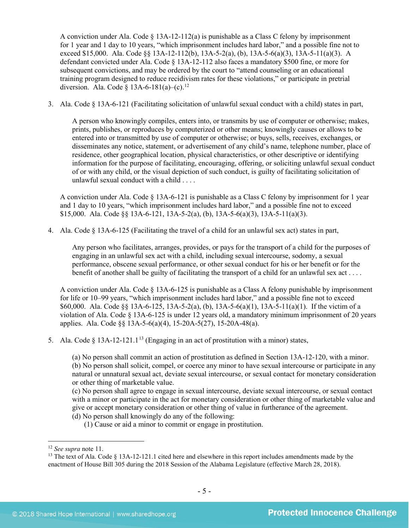A conviction under Ala. Code  $\S$  13A-12-112(a) is punishable as a Class C felony by imprisonment for 1 year and 1 day to 10 years, "which imprisonment includes hard labor," and a possible fine not to exceed \$15,000. Ala. Code §§ 13A-12-112(b), 13A-5-2(a), (b), 13A-5-6(a)(3), 13A-5-11(a)(3). A defendant convicted under Ala. Code § 13A-12-112 also faces a mandatory \$500 fine, or more for subsequent convictions, and may be ordered by the court to "attend counseling or an educational training program designed to reduce recidivism rates for these violations," or participate in pretrial diversion. Ala. Code  $\S$  13A-6-181(a)–(c).<sup>[12](#page-4-0)</sup>

3. Ala. Code § 13A-6-121 (Facilitating solicitation of unlawful sexual conduct with a child) states in part,

A person who knowingly compiles, enters into, or transmits by use of computer or otherwise; makes, prints, publishes, or reproduces by computerized or other means; knowingly causes or allows to be entered into or transmitted by use of computer or otherwise; or buys, sells, receives, exchanges, or disseminates any notice, statement, or advertisement of any child's name, telephone number, place of residence, other geographical location, physical characteristics, or other descriptive or identifying information for the purpose of facilitating, encouraging, offering, or soliciting unlawful sexual conduct of or with any child, or the visual depiction of such conduct, is guilty of facilitating solicitation of unlawful sexual conduct with a child . . . .

A conviction under Ala. Code § 13A-6-121 is punishable as a Class C felony by imprisonment for 1 year and 1 day to 10 years, "which imprisonment includes hard labor," and a possible fine not to exceed \$15,000. Ala. Code §§ 13A-6-121, 13A-5-2(a), (b), 13A-5-6(a)(3), 13A-5-11(a)(3).

4. Ala. Code § 13A-6-125 (Facilitating the travel of a child for an unlawful sex act) states in part,

Any person who facilitates, arranges, provides, or pays for the transport of a child for the purposes of engaging in an unlawful sex act with a child, including sexual intercourse, sodomy, a sexual performance, obscene sexual performance, or other sexual conduct for his or her benefit or for the benefit of another shall be guilty of facilitating the transport of a child for an unlawful sex act . . . .

A conviction under Ala. Code § 13A-6-125 is punishable as a Class A felony punishable by imprisonment for life or 10–99 years, "which imprisonment includes hard labor," and a possible fine not to exceed \$60,000. Ala. Code §§ 13A-6-125, 13A-5-2(a), (b), 13A-5-6(a)(1), 13A-5-11(a)(1). If the victim of a violation of Ala. Code § 13A-6-125 is under 12 years old, a mandatory minimum imprisonment of 20 years applies. Ala. Code §§ 13A-5-6(a)(4), 15-20A-5(27), 15-20A-48(a).

5. Ala. Code  $\S$  [13](#page-4-1)A-12-121.1<sup>13</sup> (Engaging in an act of prostitution with a minor) states,

<span id="page-4-2"></span>(a) No person shall commit an action of prostitution as defined in Section 13A-12-120, with a minor. (b) No person shall solicit, compel, or coerce any minor to have sexual intercourse or participate in any natural or unnatural sexual act, deviate sexual intercourse, or sexual contact for monetary consideration or other thing of marketable value.

(c) No person shall agree to engage in sexual intercourse, deviate sexual intercourse, or sexual contact with a minor or participate in the act for monetary consideration or other thing of marketable value and give or accept monetary consideration or other thing of value in furtherance of the agreement. (d) No person shall knowingly do any of the following:

(1) Cause or aid a minor to commit or engage in prostitution.

 <sup>12</sup> *See supra* note [11.](#page-3-3)

<span id="page-4-1"></span><span id="page-4-0"></span><sup>&</sup>lt;sup>13</sup> The text of Ala. Code  $\S$  13A-12-121.1 cited here and elsewhere in this report includes amendments made by the enactment of House Bill 305 during the 2018 Session of the Alabama Legislature (effective March 28, 2018).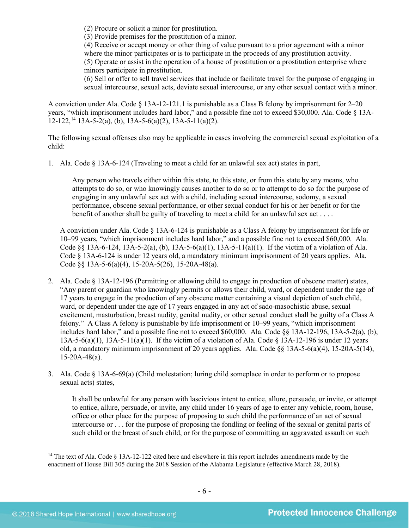(2) Procure or solicit a minor for prostitution.

(3) Provide premises for the prostitution of a minor.

(4) Receive or accept money or other thing of value pursuant to a prior agreement with a minor where the minor participates or is to participate in the proceeds of any prostitution activity. (5) Operate or assist in the operation of a house of prostitution or a prostitution enterprise where minors participate in prostitution.

(6) Sell or offer to sell travel services that include or facilitate travel for the purpose of engaging in sexual intercourse, sexual acts, deviate sexual intercourse, or any other sexual contact with a minor.

<span id="page-5-1"></span>A conviction under Ala. Code § 13A-12-121.1 is punishable as a Class B felony by imprisonment for 2–20 years, "which imprisonment includes hard labor," and a possible fine not to exceed \$30,000. Ala. Code § 13A- $12-122$ ,  $^{14}$  $^{14}$  $^{14}$  13A-5-2(a), (b), 13A-5-6(a)(2), 13A-5-11(a)(2).

The following sexual offenses also may be applicable in cases involving the commercial sexual exploitation of a child:

1. Ala. Code § 13A-6-124 (Traveling to meet a child for an unlawful sex act) states in part,

Any person who travels either within this state, to this state, or from this state by any means, who attempts to do so, or who knowingly causes another to do so or to attempt to do so for the purpose of engaging in any unlawful sex act with a child, including sexual intercourse, sodomy, a sexual performance, obscene sexual performance, or other sexual conduct for his or her benefit or for the benefit of another shall be guilty of traveling to meet a child for an unlawful sex act . . . .

A conviction under Ala. Code § 13A-6-124 is punishable as a Class A felony by imprisonment for life or 10–99 years, "which imprisonment includes hard labor," and a possible fine not to exceed \$60,000. Ala. Code  $\S$ § 13A-6-124, 13A-5-2(a), (b), 13A-5-6(a)(1), 13A-5-11(a)(1). If the victim of a violation of Ala. Code § 13A-6-124 is under 12 years old, a mandatory minimum imprisonment of 20 years applies. Ala. Code §§ 13A-5-6(a)(4), 15-20A-5(26), 15-20A-48(a).

- 2. Ala. Code § 13A-12-196 (Permitting or allowing child to engage in production of obscene matter) states, "Any parent or guardian who knowingly permits or allows their child, ward, or dependent under the age of 17 years to engage in the production of any obscene matter containing a visual depiction of such child, ward, or dependent under the age of 17 years engaged in any act of sado-masochistic abuse, sexual excitement, masturbation, breast nudity, genital nudity, or other sexual conduct shall be guilty of a Class A felony." A Class A felony is punishable by life imprisonment or 10–99 years, "which imprisonment includes hard labor," and a possible fine not to exceed \$60,000. Ala. Code §§ 13A-12-196, 13A-5-2(a), (b), 13A-5-6(a)(1), 13A-5-11(a)(1). If the victim of a violation of Ala. Code § 13A-12-196 is under 12 years old, a mandatory minimum imprisonment of 20 years applies. Ala. Code  $\S$  13A-5-6(a)(4), 15-20A-5(14), 15-20A-48(a).
- 3. Ala. Code § 13A-6-69(a) (Child molestation; luring child someplace in order to perform or to propose sexual acts) states,

It shall be unlawful for any person with lascivious intent to entice, allure, persuade, or invite, or attempt to entice, allure, persuade, or invite, any child under 16 years of age to enter any vehicle, room, house, office or other place for the purpose of proposing to such child the performance of an act of sexual intercourse or . . . for the purpose of proposing the fondling or feeling of the sexual or genital parts of such child or the breast of such child, or for the purpose of committing an aggravated assault on such

<span id="page-5-0"></span><sup>&</sup>lt;sup>14</sup> The text of Ala. Code § 13A-12-122 cited here and elsewhere in this report includes amendments made by the enactment of House Bill 305 during the 2018 Session of the Alabama Legislature (effective March 28, 2018).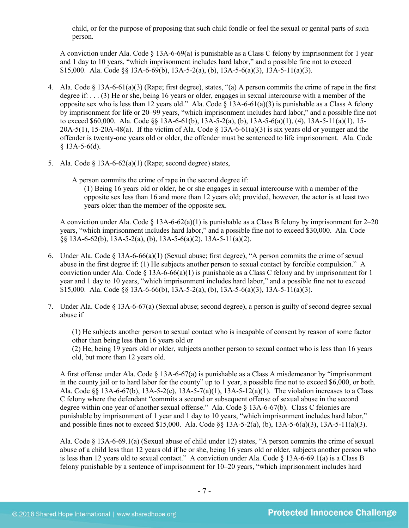child, or for the purpose of proposing that such child fondle or feel the sexual or genital parts of such person.

A conviction under Ala. Code  $\S$  13A-6-69(a) is punishable as a Class C felony by imprisonment for 1 year and 1 day to 10 years, "which imprisonment includes hard labor," and a possible fine not to exceed \$15,000. Ala. Code  $\S 8$  13A-6-69(b), 13A-5-2(a), (b), 13A-5-6(a)(3), 13A-5-11(a)(3).

- 4. Ala. Code § 13A-6-61(a)(3) (Rape; first degree), states, "(a) A person commits the crime of rape in the first degree if: . . . (3) He or she, being 16 years or older, engages in sexual intercourse with a member of the opposite sex who is less than 12 years old." Ala. Code  $\S$  13A-6-61(a)(3) is punishable as a Class A felony by imprisonment for life or 20–99 years, "which imprisonment includes hard labor," and a possible fine not to exceed \$60,000. Ala. Code §§ 13A-6-61(b), 13A-5-2(a), (b), 13A-5-6(a)(1), (4), 13A-5-11(a)(1), 15-  $20A-5(1)$ , 15-20A-48(a). If the victim of Ala. Code § 13A-6-61(a)(3) is six years old or younger and the offender is twenty-one years old or older, the offender must be sentenced to life imprisonment. Ala. Code  $§$  13A-5-6(d).
- 5. Ala. Code  $\S$  13A-6-62(a)(1) (Rape; second degree) states,

A person commits the crime of rape in the second degree if:

(1) Being 16 years old or older, he or she engages in sexual intercourse with a member of the opposite sex less than 16 and more than 12 years old; provided, however, the actor is at least two years older than the member of the opposite sex.

A conviction under Ala. Code § 13A-6-62(a)(1) is punishable as a Class B felony by imprisonment for  $2-20$ years, "which imprisonment includes hard labor," and a possible fine not to exceed \$30,000. Ala. Code  $\S$ § 13A-6-62(b), 13A-5-2(a), (b), 13A-5-6(a)(2), 13A-5-11(a)(2).

- 6. Under Ala. Code  $\S$  13A-6-66(a)(1) (Sexual abuse; first degree), "A person commits the crime of sexual abuse in the first degree if: (1) He subjects another person to sexual contact by forcible compulsion." A conviction under Ala. Code  $\S$  13A-6-66(a)(1) is punishable as a Class C felony and by imprisonment for 1 year and 1 day to 10 years, "which imprisonment includes hard labor," and a possible fine not to exceed \$15,000. Ala. Code  $\S$ § 13A-6-66(b), 13A-5-2(a), (b), 13A-5-6(a)(3), 13A-5-11(a)(3).
- 7. Under Ala. Code § 13A-6-67(a) (Sexual abuse; second degree), a person is guilty of second degree sexual abuse if

(1) He subjects another person to sexual contact who is incapable of consent by reason of some factor other than being less than 16 years old or

(2) He, being 19 years old or older, subjects another person to sexual contact who is less than 16 years old, but more than 12 years old.

A first offense under Ala. Code § 13A-6-67(a) is punishable as a Class A misdemeanor by "imprisonment in the county jail or to hard labor for the county" up to 1 year, a possible fine not to exceed \$6,000, or both. Ala. Code §§ 13A-6-67(b), 13A-5-2(c), 13A-5-7(a)(1), 13A-5-12(a)(1). The violation increases to a Class C felony where the defendant "commits a second or subsequent offense of sexual abuse in the second degree within one year of another sexual offense." Ala. Code § 13A-6-67(b). Class C felonies are punishable by imprisonment of 1 year and 1 day to 10 years, "which imprisonment includes hard labor," and possible fines not to exceed \$15,000. Ala. Code §§ 13A-5-2(a), (b), 13A-5-6(a)(3), 13A-5-11(a)(3).

Ala. Code § 13A-6-69.1(a) (Sexual abuse of child under 12) states, "A person commits the crime of sexual abuse of a child less than 12 years old if he or she, being 16 years old or older, subjects another person who is less than 12 years old to sexual contact." A conviction under Ala. Code § 13A-6-69.1(a) is a Class B felony punishable by a sentence of imprisonment for 10–20 years, "which imprisonment includes hard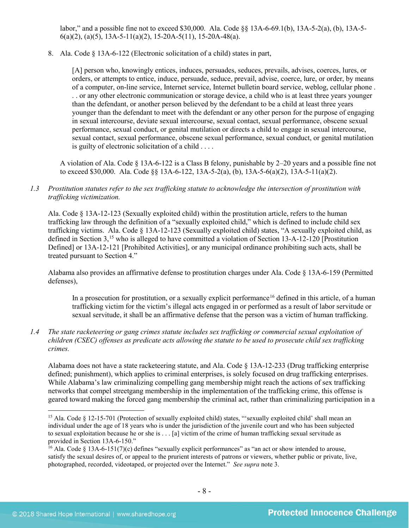labor," and a possible fine not to exceed \$30,000. Ala. Code §§ 13A-6-69.1(b), 13A-5-2(a), (b), 13A-5-  $6(a)(2)$ ,  $(a)(5)$ , 13A-5-11 $(a)(2)$ , 15-20A-5(11), 15-20A-48 $(a)$ .

8. Ala. Code § 13A-6-122 (Electronic solicitation of a child) states in part,

[A] person who, knowingly entices, induces, persuades, seduces, prevails, advises, coerces, lures, or orders, or attempts to entice, induce, persuade, seduce, prevail, advise, coerce, lure, or order, by means of a computer, on-line service, Internet service, Internet bulletin board service, weblog, cellular phone . . . or any other electronic communication or storage device, a child who is at least three years younger than the defendant, or another person believed by the defendant to be a child at least three years younger than the defendant to meet with the defendant or any other person for the purpose of engaging in sexual intercourse, deviate sexual intercourse, sexual contact, sexual performance, obscene sexual performance, sexual conduct, or genital mutilation or directs a child to engage in sexual intercourse, sexual contact, sexual performance, obscene sexual performance, sexual conduct, or genital mutilation is guilty of electronic solicitation of a child . . . .

A violation of Ala. Code § 13A-6-122 is a Class B felony, punishable by 2–20 years and a possible fine not to exceed \$30,000. Ala. Code  $\S$ § 13A-6-122, 13A-5-2(a), (b), 13A-5-6(a)(2), 13A-5-11(a)(2).

### *1.3 Prostitution statutes refer to the sex trafficking statute to acknowledge the intersection of prostitution with trafficking victimization.*

Ala. Code § 13A-12-123 (Sexually exploited child) within the prostitution article, refers to the human trafficking law through the definition of a "sexually exploited child," which is defined to include child sex trafficking victims. Ala. Code § 13A-12-123 (Sexually exploited child) states, "A sexually exploited child, as defined in Section 3,<sup>[15](#page-7-0)</sup> who is alleged to have committed a violation of Section 13-A-12-120 [Prostitution Defined] or 13A-12-121 [Prohibited Activities], or any municipal ordinance prohibiting such acts, shall be treated pursuant to Section 4."

Alabama also provides an affirmative defense to prostitution charges under Ala. Code § 13A-6-159 (Permitted defenses),

In a prosecution for prostitution, or a sexually explicit performance<sup>[16](#page-7-1)</sup> defined in this article, of a human trafficking victim for the victim's illegal acts engaged in or performed as a result of labor servitude or sexual servitude, it shall be an affirmative defense that the person was a victim of human trafficking.

*1.4 The state racketeering or gang crimes statute includes sex trafficking or commercial sexual exploitation of children (CSEC) offenses as predicate acts allowing the statute to be used to prosecute child sex trafficking crimes.* 

Alabama does not have a state racketeering statute, and Ala. Code § 13A-12-233 (Drug trafficking enterprise defined; punishment), which applies to criminal enterprises, is solely focused on drug trafficking enterprises. While Alabama's law criminalizing compelling gang membership might reach the actions of sex trafficking networks that compel streetgang membership in the implementation of the trafficking crime, this offense is geared toward making the forced gang membership the criminal act, rather than criminalizing participation in a

<span id="page-7-0"></span><sup>&</sup>lt;sup>15</sup> Ala. Code § 12-15-701 (Protection of sexually exploited child) states, "'sexually exploited child' shall mean an individual under the age of 18 years who is under the jurisdiction of the juvenile court and who has been subjected to sexual exploitation because he or she is . . . [a] victim of the crime of human trafficking sexual servitude as provided in Section 13A-6-150."<br><sup>16</sup> Ala. Code § 13A-6-151(7)(c) defines "sexually explicit performances" as "an act or show intended to arouse,

<span id="page-7-1"></span>satisfy the sexual desires of, or appeal to the prurient interests of patrons or viewers, whether public or private, live, photographed, recorded, videotaped, or projected over the Internet." *See supra* note [3.](#page-1-2)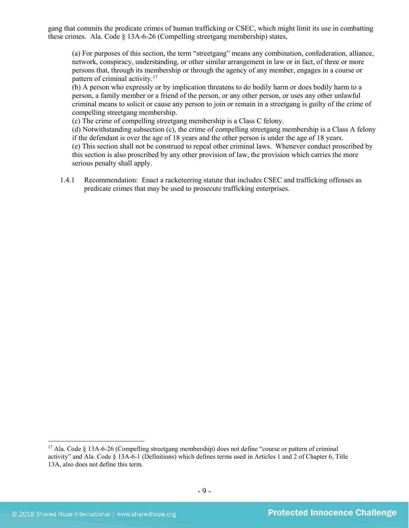gang that commits the predicate crimes of human trafficking or CSEC, which might limit its use in combatting these crimes. Ala. Code § 13A-6-26 (Compelling streetgang membership) states,

(a) For purposes of this section, the term "streetgang" means any combination, confederation, alliance, network, conspiracy, understanding, or other similar arrangement in law or in fact, of three or more persons that, through its membership or through the agency of any member, engages in a course or pattern of criminal activity.<sup>[17](#page-8-0)</sup>

(b) A person who expressly or by implication threatens to do bodily harm or does bodily harm to a person, a family member or a friend of the person, or any other person, or uses any other unlawful criminal means to solicit or cause any person to join or remain in a streetgang is guilty of the crime of compelling streetgang membership.

(c) The crime of compelling streetgang membership is a Class C felony.

(d) Notwithstanding subsection (c), the crime of compelling streetgang membership is a Class A felony if the defendant is over the age of 18 years and the other person is under the age of 18 years. (e) This section shall not be construed to repeal other criminal laws. Whenever conduct proscribed by this section is also proscribed by any other provision of law, the provision which carries the more serious penalty shall apply.

1.4.1 Recommendation: Enact a racketeering statute that includes CSEC and trafficking offenses as predicate crimes that may be used to prosecute trafficking enterprises.

<span id="page-8-0"></span> <sup>17</sup> Ala. Code § 13A-6-26 (Compelling streetgang membership) does not define "course or pattern of criminal activity" and Ala. Code § 13A-6-1 (Definitions) which defines terms used in Articles 1 and 2 of Chapter 6, Title 13A, also does not define this term.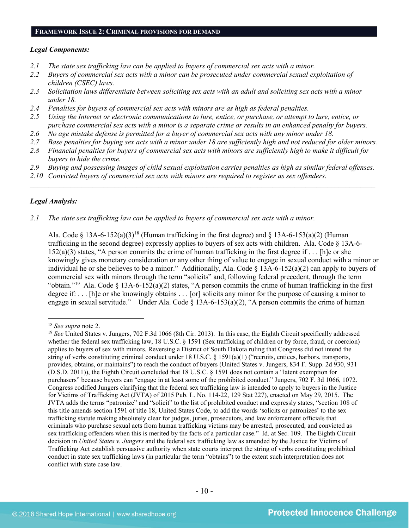#### **FRAMEWORK ISSUE 2: CRIMINAL PROVISIONS FOR DEMAND**

#### *Legal Components:*

- *2.1 The state sex trafficking law can be applied to buyers of commercial sex acts with a minor.*
- *2.2 Buyers of commercial sex acts with a minor can be prosecuted under commercial sexual exploitation of children (CSEC) laws.*
- *2.3 Solicitation laws differentiate between soliciting sex acts with an adult and soliciting sex acts with a minor under 18.*
- *2.4 Penalties for buyers of commercial sex acts with minors are as high as federal penalties.*
- *2.5 Using the Internet or electronic communications to lure, entice, or purchase, or attempt to lure, entice, or purchase commercial sex acts with a minor is a separate crime or results in an enhanced penalty for buyers.*
- *2.6 No age mistake defense is permitted for a buyer of commercial sex acts with any minor under 18.*
- *2.7 Base penalties for buying sex acts with a minor under 18 are sufficiently high and not reduced for older minors.*
- *2.8 Financial penalties for buyers of commercial sex acts with minors are sufficiently high to make it difficult for buyers to hide the crime.*
- *2.9 Buying and possessing images of child sexual exploitation carries penalties as high as similar federal offenses.*

\_\_\_\_\_\_\_\_\_\_\_\_\_\_\_\_\_\_\_\_\_\_\_\_\_\_\_\_\_\_\_\_\_\_\_\_\_\_\_\_\_\_\_\_\_\_\_\_\_\_\_\_\_\_\_\_\_\_\_\_\_\_\_\_\_\_\_\_\_\_\_\_\_\_\_\_\_\_\_\_\_\_\_\_\_\_\_\_\_\_\_\_\_\_

*2.10 Convicted buyers of commercial sex acts with minors are required to register as sex offenders.* 

#### *Legal Analysis:*

*2.1 The state sex trafficking law can be applied to buyers of commercial sex acts with a minor.*

Ala. Code § 13A-6-152(a)(3)<sup>[18](#page-9-0)</sup> (Human trafficking in the first degree) and § 13A-6-153(a)(2) (Human trafficking in the second degree) expressly applies to buyers of sex acts with children. Ala. Code § 13A-6- 152(a)(3) states, "A person commits the crime of human trafficking in the first degree if . . . [h]e or she knowingly gives monetary consideration or any other thing of value to engage in sexual conduct with a minor or individual he or she believes to be a minor." Additionally, Ala. Code § 13A-6-152(a)(2) can apply to buyers of commercial sex with minors through the term "solicits" and, following federal precedent, through the term "obtain."[19](#page-9-1) Ala. Code § 13A-6-152(a)(2) states, "A person commits the crime of human trafficking in the first degree if: . . . [h]e or she knowingly obtains . . . [or] solicits any minor for the purpose of causing a minor to engage in sexual servitude." Under Ala. Code § 13A-6-153(a)(2), "A person commits the crime of human

<span id="page-9-0"></span> <sup>18</sup> *See supra* note [2.](#page-0-2)

<span id="page-9-1"></span><sup>&</sup>lt;sup>19</sup> See United States v. Jungers, 702 F.3d 1066 (8th Cir. 2013). In this case, the Eighth Circuit specifically addressed whether the federal sex trafficking law, 18 U.S.C. § 1591 (Sex trafficking of children or by force, fraud, or coercion) applies to buyers of sex with minors. Reversing a District of South Dakota ruling that Congress did not intend the string of verbs constituting criminal conduct under 18 U.S.C. § 1591(a)(1) ("recruits, entices, harbors, transports, provides, obtains, or maintains") to reach the conduct of buyers (United States v. Jungers, 834 F. Supp. 2d 930, 931 (D.S.D. 2011)), the Eighth Circuit concluded that 18 U.S.C. § 1591 does not contain a "latent exemption for purchasers" because buyers can "engage in at least some of the prohibited conduct." Jungers, 702 F. 3d 1066, 1072. Congress codified Jungers clarifying that the federal sex trafficking law is intended to apply to buyers in the Justice for Victims of Trafficking Act (JVTA) of 2015 Pub. L. No. 114-22, 129 Stat 227), enacted on May 29, 2015. The JVTA adds the terms "patronize" and "solicit" to the list of prohibited conduct and expressly states, "section 108 of this title amends section 1591 of title 18, United States Code, to add the words 'solicits or patronizes' to the sex trafficking statute making absolutely clear for judges, juries, prosecutors, and law enforcement officials that criminals who purchase sexual acts from human trafficking victims may be arrested, prosecuted, and convicted as sex trafficking offenders when this is merited by the facts of a particular case." Id. at Sec. 109. The Eighth Circuit decision in *United States v. Jungers* and the federal sex trafficking law as amended by the Justice for Victims of Trafficking Act establish persuasive authority when state courts interpret the string of verbs constituting prohibited conduct in state sex trafficking laws (in particular the term "obtains") to the extent such interpretation does not conflict with state case law.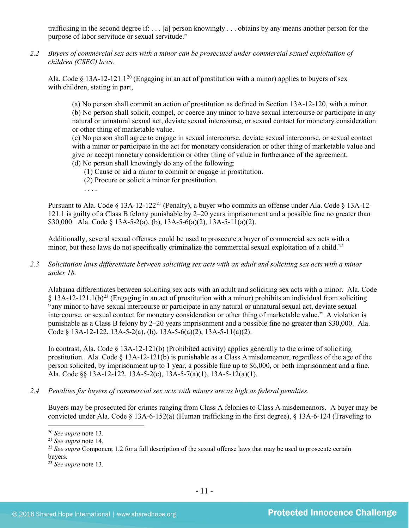trafficking in the second degree if: . . . [a] person knowingly . . . obtains by any means another person for the purpose of labor servitude or sexual servitude."

*2.2 Buyers of commercial sex acts with a minor can be prosecuted under commercial sexual exploitation of children (CSEC) laws.*

Ala. Code § 13A-12-121.1<sup>[20](#page-10-0)</sup> (Engaging in an act of prostitution with a minor) applies to buyers of sex with children, stating in part,

(a) No person shall commit an action of prostitution as defined in Section 13A-12-120, with a minor. (b) No person shall solicit, compel, or coerce any minor to have sexual intercourse or participate in any natural or unnatural sexual act, deviate sexual intercourse, or sexual contact for monetary consideration or other thing of marketable value.

(c) No person shall agree to engage in sexual intercourse, deviate sexual intercourse, or sexual contact with a minor or participate in the act for monetary consideration or other thing of marketable value and give or accept monetary consideration or other thing of value in furtherance of the agreement. (d) No person shall knowingly do any of the following:

- (1) Cause or aid a minor to commit or engage in prostitution.
- (2) Procure or solicit a minor for prostitution.

. . . .

Pursuant to Ala. Code § 13A-12-122<sup>[21](#page-10-1)</sup> (Penalty), a buyer who commits an offense under Ala. Code § 13A-12-121.1 is guilty of a Class B felony punishable by 2–20 years imprisonment and a possible fine no greater than \$30,000. Ala. Code § 13A-5-2(a), (b), 13A-5-6(a)(2), 13A-5-11(a)(2).

Additionally, several sexual offenses could be used to prosecute a buyer of commercial sex acts with a minor, but these laws do not specifically criminalize the commercial sexual exploitation of a child.<sup>[22](#page-10-2)</sup>

*2.3 Solicitation laws differentiate between soliciting sex acts with an adult and soliciting sex acts with a minor under 18.*

Alabama differentiates between soliciting sex acts with an adult and soliciting sex acts with a minor. Ala. Code  $§$  13A-12-121.1(b)<sup>[23](#page-10-3)</sup> (Engaging in an act of prostitution with a minor) prohibits an individual from soliciting "any minor to have sexual intercourse or participate in any natural or unnatural sexual act, deviate sexual intercourse, or sexual contact for monetary consideration or other thing of marketable value." A violation is punishable as a Class B felony by 2–20 years imprisonment and a possible fine no greater than \$30,000. Ala. Code § 13A-12-122, 13A-5-2(a), (b), 13A-5-6(a)(2), 13A-5-11(a)(2).

In contrast, Ala. Code § 13A-12-121(b) (Prohibited activity) applies generally to the crime of soliciting prostitution. Ala. Code  $\S 13A-12-121(b)$  is punishable as a Class A misdemeanor, regardless of the age of the person solicited, by imprisonment up to 1 year, a possible fine up to \$6,000, or both imprisonment and a fine. Ala. Code §§ 13A-12-122, 13A-5-2(c), 13A-5-7(a)(1), 13A-5-12(a)(1).

*2.4 Penalties for buyers of commercial sex acts with minors are as high as federal penalties.*

Buyers may be prosecuted for crimes ranging from Class A felonies to Class A misdemeanors. A buyer may be convicted under Ala. Code  $\S$  13A-6-152(a) (Human trafficking in the first degree),  $\S$  13A-6-124 (Traveling to

<span id="page-10-2"></span><span id="page-10-1"></span>

<span id="page-10-0"></span><sup>&</sup>lt;sup>20</sup> *See supra* note 13.<br><sup>21</sup> *See supra* note 14.<br><sup>22</sup> *See supra* Component 1.2 for a full description of the sexual offense laws that may be used to prosecute certain buyers.

<span id="page-10-3"></span><sup>23</sup> *See supra* note [13.](#page-4-2)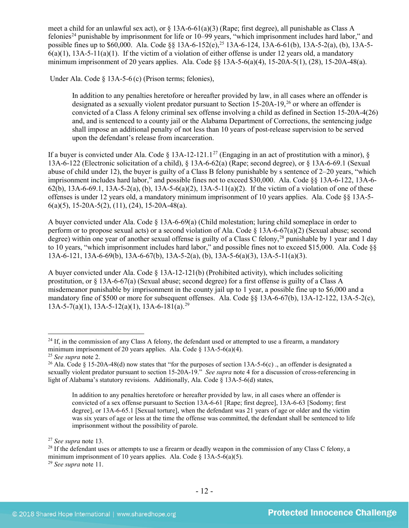<span id="page-11-6"></span>meet a child for an unlawful sex act), or  $\S 13A-6-61(a)(3)$  (Rape; first degree), all punishable as Class A felonies[24](#page-11-0) punishable by imprisonment for life or 10–99 years, "which imprisonment includes hard labor," and possible fines up to \$60,000. Ala. Code §§ 13A-6-152(e),<sup>[25](#page-11-1)</sup> 13A-6-124, 13A-6-61(b), 13A-5-2(a), (b), 13A-5- $6(a)(1)$ ,  $13A-5-11(a)(1)$ . If the victim of a violation of either offense is under 12 years old, a mandatory minimum imprisonment of 20 years applies. Ala. Code §§ 13A-5-6(a)(4), 15-20A-5(1), (28), 15-20A-48(a).

Under Ala. Code § 13A-5-6 (c) (Prison terms; felonies),

<span id="page-11-7"></span>In addition to any penalties heretofore or hereafter provided by law, in all cases where an offender is designated as a sexually violent predator pursuant to Section 15-20A-19,<sup>[26](#page-11-2)</sup> or where an offender is convicted of a Class A felony criminal sex offense involving a child as defined in Section 15-20A-4(26) and, and is sentenced to a county jail or the Alabama Department of Corrections, the sentencing judge shall impose an additional penalty of not less than 10 years of post-release supervision to be served upon the defendant's release from incarceration.

If a buyer is convicted under Ala. Code § 13A-12-121.1<sup>[27](#page-11-3)</sup> (Engaging in an act of prostitution with a minor), § 13A-6-122 (Electronic solicitation of a child), § 13A-6-62(a) (Rape; second degree), or § 13A-6-69.1 (Sexual abuse of child under 12), the buyer is guilty of a Class B felony punishable by s sentence of 2–20 years, "which imprisonment includes hard labor," and possible fines not to exceed \$30,000. Ala. Code §§ 13A-6-122, 13A-6- 62(b), 13A-6-69.1, 13A-5-2(a), (b), 13A-5-6(a)(2), 13A-5-11(a)(2). If the victim of a violation of one of these offenses is under 12 years old, a mandatory minimum imprisonment of 10 years applies. Ala. Code §§ 13A-5-  $6(a)(5)$ , 15-20A-5(2), (11), (24), 15-20A-48(a).

<span id="page-11-8"></span>A buyer convicted under Ala. Code § 13A-6-69(a) (Child molestation; luring child someplace in order to perform or to propose sexual acts) or a second violation of Ala. Code § 13A-6-67(a)(2) (Sexual abuse; second degree) within one year of another sexual offense is guilty of a Class C felony,<sup>[28](#page-11-4)</sup> punishable by 1 year and 1 day to 10 years, "which imprisonment includes hard labor," and possible fines not to exceed \$15,000. Ala. Code §§ 13A-6-121, 13A-6-69(b), 13A-6-67(b), 13A-5-2(a), (b), 13A-5-6(a)(3), 13A-5-11(a)(3).

A buyer convicted under Ala. Code  $\S$  13A-12-121(b) (Prohibited activity), which includes soliciting prostitution, or § 13A-6-67(a) (Sexual abuse; second degree) for a first offense is guilty of a Class A misdemeanor punishable by imprisonment in the county jail up to 1 year, a possible fine up to \$6,000 and a mandatory fine of \$500 or more for subsequent offenses. Ala. Code §§ 13A-6-67(b), 13A-12-122, 13A-5-2(c), 13A-5-7(a)(1), 13A-5-12(a)(1), 13A-6-181(a). [29](#page-11-5)

In addition to any penalties heretofore or hereafter provided by law, in all cases where an offender is convicted of a sex offense pursuant to Section 13A-6-61 [Rape; first degree], 13A-6-63 [Sodomy; first degree], or 13A-6-65.1 [Sexual torture], when the defendant was 21 years of age or older and the victim was six years of age or less at the time the offense was committed, the defendant shall be sentenced to life imprisonment without the possibility of parole.

<span id="page-11-5"></span><sup>29</sup> *See supra* note [11.](#page-3-3)

<span id="page-11-0"></span> $^{24}$  If, in the commission of any Class A felony, the defendant used or attempted to use a firearm, a mandatory minimum imprisonment of 20 years applies. Ala. Code § 13A-5-6(a)(4).

<span id="page-11-1"></span><sup>25</sup> *See supra* note [2.](#page-0-2)

<span id="page-11-2"></span><sup>&</sup>lt;sup>26</sup> Ala. Code  $\frac{8}{5}$  15-20A-48(d) now states that "for the purposes of section 13A-5-6(c) . an offender is designated a sexually violent predator pursuant to section 15-20A-19." *See supra* note [4](#page-1-3) for a discussion of cross-referencing in light of Alabama's statutory revisions. Additionally, Ala. Code § 13A-5-6(d) states,

<span id="page-11-4"></span><span id="page-11-3"></span><sup>&</sup>lt;sup>27</sup> *See supra* note 13.<br><sup>28</sup> If the defendant uses or attempts to use a firearm or deadly weapon in the commission of any Class C felony, a minimum imprisonment of 10 years applies. Ala. Code  $\S$  13A-5-6(a)(5).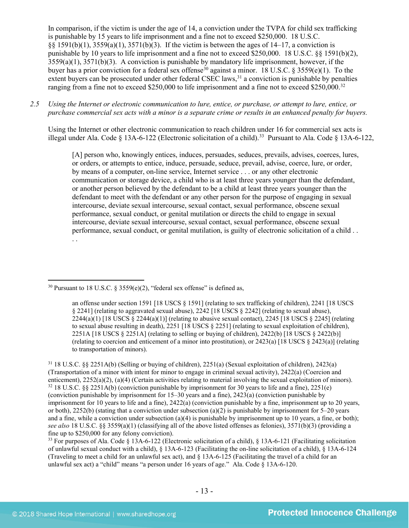In comparison, if the victim is under the age of 14, a conviction under the TVPA for child sex trafficking is punishable by 15 years to life imprisonment and a fine not to exceed \$250,000. 18 U.S.C. §§ 1591(b)(1), 3559(a)(1), 3571(b)(3). If the victim is between the ages of 14–17, a conviction is punishable by 10 years to life imprisonment and a fine not to exceed \$250,000. 18 U.S.C. §§ 1591(b)(2),  $3559(a)(1)$ ,  $3571(b)(3)$ . A conviction is punishable by mandatory life imprisonment, however, if the buyer has a prior conviction for a federal sex offense<sup>[30](#page-12-0)</sup> against a minor. 18 U.S.C. § 3559(e)(1). To the extent buyers can be prosecuted under other federal CSEC laws,<sup>[31](#page-12-1)</sup> a conviction is punishable by penalties ranging from a fine not to exceed \$250,000 to life imprisonment and a fine not to exceed \$250,000.<sup>32</sup>

*2.5 Using the Internet or electronic communication to lure, entice, or purchase, or attempt to lure, entice, or purchase commercial sex acts with a minor is a separate crime or results in an enhanced penalty for buyers.*

Using the Internet or other electronic communication to reach children under 16 for commercial sex acts is illegal under Ala. Code § 13A-6-122 (Electronic solicitation of a child).<sup>[33](#page-12-3)</sup> Pursuant to Ala. Code § 13A-6-122,

<span id="page-12-4"></span>[A] person who, knowingly entices, induces, persuades, seduces, prevails, advises, coerces, lures, or orders, or attempts to entice, induce, persuade, seduce, prevail, advise, coerce, lure, or order, by means of a computer, on-line service, Internet service . . . or any other electronic communication or storage device, a child who is at least three years younger than the defendant, or another person believed by the defendant to be a child at least three years younger than the defendant to meet with the defendant or any other person for the purpose of engaging in sexual intercourse, deviate sexual intercourse, sexual contact, sexual performance, obscene sexual performance, sexual conduct, or genital mutilation or directs the child to engage in sexual intercourse, deviate sexual intercourse, sexual contact, sexual performance, obscene sexual performance, sexual conduct, or genital mutilation, is guilty of electronic solicitation of a child . . . .

<span id="page-12-3"></span><sup>33</sup> For purposes of Ala. Code § 13A-6-122 (Electronic solicitation of a child), § 13A-6-121 (Facilitating solicitation of unlawful sexual conduct with a child), § 13A-6-123 (Facilitating the on-line solicitation of a child), § 13A-6-124 (Traveling to meet a child for an unlawful sex act), and § 13A-6-125 (Facilitating the travel of a child for an unlawful sex act) a "child" means "a person under 16 years of age." Ala. Code § 13A-6-120.

<span id="page-12-0"></span><sup>&</sup>lt;sup>30</sup> Pursuant to 18 U.S.C. § 3559(e)(2), "federal sex offense" is defined as,

an offense under section 1591 [18 USCS § 1591] (relating to sex trafficking of children), 2241 [18 USCS § 2241] (relating to aggravated sexual abuse), 2242 [18 USCS § 2242] (relating to sexual abuse),  $2244(a)(1)$  [18 USCS  $\S 2244(a)(1)$ ] (relating to abusive sexual contact), 2245 [18 USCS  $\S 2245$ ] (relating to sexual abuse resulting in death), 2251 [18 USCS § 2251] (relating to sexual exploitation of children), 2251A [18 USCS § 2251A] (relating to selling or buying of children), 2422(b) [18 USCS § 2422(b)] (relating to coercion and enticement of a minor into prostitution), or 2423(a) [18 USCS § 2423(a)] (relating to transportation of minors).

<span id="page-12-2"></span><span id="page-12-1"></span><sup>31</sup> 18 U.S.C. §§ 2251A(b) (Selling or buying of children), 2251(a) (Sexual exploitation of children), 2423(a) (Transportation of a minor with intent for minor to engage in criminal sexual activity), 2422(a) (Coercion and enticement), 2252(a)(2), (a)(4) (Certain activities relating to material involving the sexual exploitation of minors).  $32\,18$  U.S.C. §§ 2251A(b) (conviction punishable by imprisonment for 30 years to life and a fine), 2251(e) (conviction punishable by imprisonment for 15–30 years and a fine), 2423(a) (conviction punishable by imprisonment for 10 years to life and a fine), 2422(a) (conviction punishable by a fine, imprisonment up to 20 years, or both),  $2252(b)$  (stating that a conviction under subsection (a)(2) is punishable by imprisonment for 5–20 years and a fine, while a conviction under subsection (a)(4) is punishable by imprisonment up to 10 years, a fine, or both); *see also* 18 U.S.C. §§ 3559(a)(1) (classifying all of the above listed offenses as felonies), 3571(b)(3) (providing a fine up to \$250,000 for any felony conviction).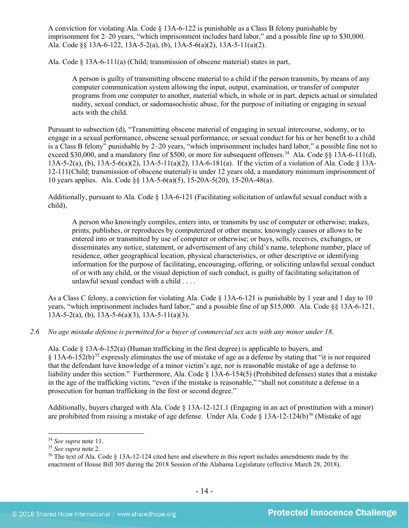A conviction for violating Ala. Code § 13A-6-122 is punishable as a Class B felony punishable by imprisonment for 2–20 years, "which imprisonment includes hard labor," and a possible fine up to \$30,000. Ala. Code §§ 13A-6-122, 13A-5-2(a), (b), 13A-5-6(a)(2), 13A-5-11(a)(2).

Ala. Code § 13A-6-111(a) (Child; transmission of obscene material) states in part,

A person is guilty of transmitting obscene material to a child if the person transmits, by means of any computer communication system allowing the input, output, examination, or transfer of computer programs from one computer to another, material which, in whole or in part, depicts actual or simulated nudity, sexual conduct, or sadomasochistic abuse, for the purpose of initiating or engaging in sexual acts with the child.

Pursuant to subsection (d), "Transmitting obscene material of engaging in sexual intercourse, sodomy, or to engage in a sexual performance, obscene sexual performance, or sexual conduct for his or her benefit to a child is a Class B felony" punishable by 2–20 years, "which imprisonment includes hard labor," a possible fine not to exceed \$30,000, and a mandatory fine of \$500, or more for subsequent offenses.<sup>[34](#page-13-0)</sup> Ala. Code §§ 13A-6-111(d), 13A-5-2(a), (b), 13A-5-6(a)(2), 13A-5-11(a)(2), 13A-6-181(a). If the victim of a violation of Ala. Code § 13A-12-111(Child; transmission of obscene material) is under 12 years old, a mandatory minimum imprisonment of 10 years applies. Ala. Code §§ 13A-5-6(a)(5), 15-20A-5(20), 15-20A-48(a).

Additionally, pursuant to Ala. Code § 13A-6-121 (Facilitating solicitation of unlawful sexual conduct with a child),

A person who knowingly compiles, enters into, or transmits by use of computer or otherwise; makes, prints, publishes, or reproduces by computerized or other means; knowingly causes or allows to be entered into or transmitted by use of computer or otherwise; or buys, sells, receives, exchanges, or disseminates any notice, statement, or advertisement of any child's name, telephone number, place of residence, other geographical location, physical characteristics, or other descriptive or identifying information for the purpose of facilitating, encouraging, offering, or soliciting unlawful sexual conduct of or with any child, or the visual depiction of such conduct, is guilty of facilitating solicitation of unlawful sexual conduct with a child . . . .

As a Class C felony, a conviction for violating Ala. Code § 13A-6-121 is punishable by 1 year and 1 day to 10 years, "which imprisonment includes hard labor," and a possible fine of up \$15,000. Ala. Code §§ 13A-6-121,  $13A-5-2(a)$ , (b),  $13A-5-6(a)(3)$ ,  $13A-5-11(a)(3)$ .

*2.6 No age mistake defense is permitted for a buyer of commercial sex acts with any minor under 18.*

Ala. Code § 13A-6-152(a) (Human trafficking in the first degree) is applicable to buyers, and § 13A-6-152(b)[35](#page-13-1) expressly eliminates the use of mistake of age as a defense by stating that "it is not required that the defendant have knowledge of a minor victim's age, nor is reasonable mistake of age a defense to liability under this section." Furthermore, Ala. Code § 13A-6-154(5) (Prohibited defenses) states that a mistake in the age of the trafficking victim, "even if the mistake is reasonable," "shall not constitute a defense in a prosecution for human trafficking in the first or second degree."

<span id="page-13-3"></span>Additionally, buyers charged with Ala. Code § 13A-12-121.1 (Engaging in an act of prostitution with a minor) are prohibited from raising a mistake of age defense. Under Ala. Code  $\S$  13A-12-124(b)<sup>[36](#page-13-2)</sup> (Mistake of age

<span id="page-13-0"></span> <sup>34</sup> *See supra* note [11.](#page-3-3)

<sup>35</sup> *See supra* note [2.](#page-0-2)

<span id="page-13-2"></span><span id="page-13-1"></span><sup>36</sup> The text of Ala. Code § 13A-12-124 cited here and elsewhere in this report includes amendments made by the enactment of House Bill 305 during the 2018 Session of the Alabama Legislature (effective March 28, 2018).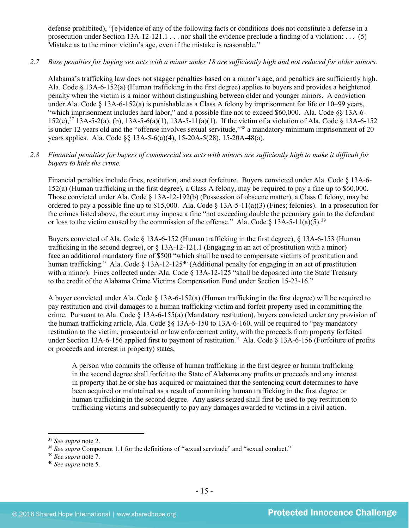defense prohibited), "[e]vidence of any of the following facts or conditions does not constitute a defense in a prosecution under Section 13A-12-121.1 . . . nor shall the evidence preclude a finding of a violation: . . . (5) Mistake as to the minor victim's age, even if the mistake is reasonable."

# *2.7 Base penalties for buying sex acts with a minor under 18 are sufficiently high and not reduced for older minors.*

Alabama's trafficking law does not stagger penalties based on a minor's age, and penalties are sufficiently high. Ala. Code § 13A-6-152(a) (Human trafficking in the first degree) applies to buyers and provides a heightened penalty when the victim is a minor without distinguishing between older and younger minors. A conviction under Ala. Code § 13A-6-152(a) is punishable as a Class A felony by imprisonment for life or 10–99 years, "which imprisonment includes hard labor," and a possible fine not to exceed \$60,000. Ala. Code §§ 13A-6-  $152(e),<sup>37</sup>$  $152(e),<sup>37</sup>$  $152(e),<sup>37</sup>$  13A-5-2(a), (b), 13A-5-6(a)(1), 13A-5-11(a)(1). If the victim of a violation of Ala. Code § 13A-6-152 is under 12 years old and the "offense involves sexual servitude,["38](#page-14-1) a mandatory minimum imprisonment of 20 years applies. Ala. Code §§ 13A-5-6(a)(4), 15-20A-5(28), 15-20A-48(a).

# *2.8 Financial penalties for buyers of commercial sex acts with minors are sufficiently high to make it difficult for buyers to hide the crime.*

Financial penalties include fines, restitution, and asset forfeiture. Buyers convicted under Ala. Code § 13A-6- 152(a) (Human trafficking in the first degree), a Class A felony, may be required to pay a fine up to \$60,000. Those convicted under Ala. Code § 13A-12-192(b) (Possession of obscene matter), a Class C felony, may be ordered to pay a possible fine up to \$15,000. Ala. Code § 13A-5-11(a)(3) (Fines; felonies). In a prosecution for the crimes listed above, the court may impose a fine "not exceeding double the pecuniary gain to the defendant or loss to the victim caused by the commission of the offense." Ala. Code § 13A-5-11(a)(5).<sup>[39](#page-14-2)</sup>

Buyers convicted of Ala. Code § 13A-6-152 (Human trafficking in the first degree), § 13A-6-153 (Human trafficking in the second degree), or § 13A-12-121.1 (Engaging in an act of prostitution with a minor) face an additional mandatory fine of \$500 "which shall be used to compensate victims of prostitution and human trafficking." Ala. Code § 13A-12-125<sup>[40](#page-14-3)</sup> (Additional penalty for engaging in an act of prostitution with a minor). Fines collected under Ala. Code § 13A-12-125 "shall be deposited into the State Treasury to the credit of the Alabama Crime Victims Compensation Fund under Section 15-23-16."

A buyer convicted under Ala. Code  $\S$  13A-6-152(a) (Human trafficking in the first degree) will be required to pay restitution and civil damages to a human trafficking victim and forfeit property used in committing the crime. Pursuant to Ala. Code § 13A-6-155(a) (Mandatory restitution), buyers convicted under any provision of the human trafficking article, Ala. Code §§ 13A-6-150 to 13A-6-160, will be required to "pay mandatory restitution to the victim, prosecutorial or law enforcement entity, with the proceeds from property forfeited under Section 13A-6-156 applied first to payment of restitution." Ala. Code § 13A-6-156 (Forfeiture of profits or proceeds and interest in property) states,

A person who commits the offense of human trafficking in the first degree or human trafficking in the second degree shall forfeit to the State of Alabama any profits or proceeds and any interest in property that he or she has acquired or maintained that the sentencing court determines to have been acquired or maintained as a result of committing human trafficking in the first degree or human trafficking in the second degree. Any assets seized shall first be used to pay restitution to trafficking victims and subsequently to pay any damages awarded to victims in a civil action.

<span id="page-14-2"></span><sup>39</sup> *See supra* note [7.](#page-2-5)

<span id="page-14-0"></span> <sup>37</sup> *See supra* note [2.](#page-0-2)

<span id="page-14-1"></span><sup>&</sup>lt;sup>38</sup> See supra Component 1.1 for the definitions of "sexual servitude" and "sexual conduct."

<span id="page-14-3"></span><sup>40</sup> *See supra* note [5.](#page-2-4)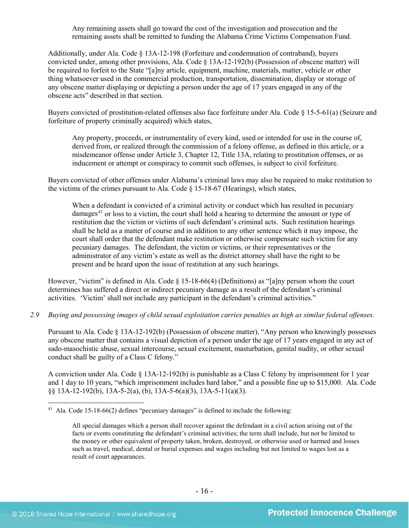Any remaining assets shall go toward the cost of the investigation and prosecution and the remaining assets shall be remitted to funding the Alabama Crime Victims Compensation Fund.

Additionally, under Ala. Code § 13A-12-198 (Forfeiture and condemnation of contraband), buyers convicted under, among other provisions, Ala. Code § 13A-12-192(b) (Possession of obscene matter) will be required to forfeit to the State "[a]ny article, equipment, machine, materials, matter, vehicle or other thing whatsoever used in the commercial production, transportation, dissemination, display or storage of any obscene matter displaying or depicting a person under the age of 17 years engaged in any of the obscene acts" described in that section.

Buyers convicted of prostitution-related offenses also face forfeiture under Ala. Code § 15-5-61(a) (Seizure and forfeiture of property criminally acquired) which states,

Any property, proceeds, or instrumentality of every kind, used or intended for use in the course of, derived from, or realized through the commission of a felony offense, as defined in this article, or a misdemeanor offense under Article 3, Chapter 12, Title 13A, relating to prostitution offenses, or as inducement or attempt or conspiracy to commit such offenses, is subject to civil forfeiture.

Buyers convicted of other offenses under Alabama's criminal laws may also be required to make restitution to the victims of the crimes pursuant to Ala. Code § 15-18-67 (Hearings), which states,

<span id="page-15-1"></span>When a defendant is convicted of a criminal activity or conduct which has resulted in pecuniary damages<sup>[41](#page-15-0)</sup> or loss to a victim, the court shall hold a hearing to determine the amount or type of restitution due the victim or victims of such defendant's criminal acts. Such restitution hearings shall be held as a matter of course and in addition to any other sentence which it may impose, the court shall order that the defendant make restitution or otherwise compensate such victim for any pecuniary damages. The defendant, the victim or victims, or their representatives or the administrator of any victim's estate as well as the district attorney shall have the right to be present and be heard upon the issue of restitution at any such hearings.

However, "victim" is defined in Ala. Code § 15-18-66(4) (Definitions) as "[a]ny person whom the court determines has suffered a direct or indirect pecuniary damage as a result of the defendant's criminal activities. 'Victim' shall not include any participant in the defendant's criminal activities."

*2.9 Buying and possessing images of child sexual exploitation carries penalties as high as similar federal offenses.*

Pursuant to Ala. Code § 13A-12-192(b) (Possession of obscene matter), "Any person who knowingly possesses any obscene matter that contains a visual depiction of a person under the age of 17 years engaged in any act of sado-masochistic abuse, sexual intercourse, sexual excitement, masturbation, genital nudity, or other sexual conduct shall be guilty of a Class C felony."

A conviction under Ala. Code § 13A-12-192(b) is punishable as a Class C felony by imprisonment for 1 year and 1 day to 10 years, "which imprisonment includes hard labor," and a possible fine up to \$15,000. Ala. Code §§ 13A-12-192(b), 13A-5-2(a), (b), 13A-5-6(a)(3), 13A-5-11(a)(3).

<span id="page-15-0"></span><sup>&</sup>lt;sup>41</sup> Ala. Code 15-18-66(2) defines "pecuniary damages" is defined to include the following:

All special damages which a person shall recover against the defendant in a civil action arising out of the facts or events constituting the defendant's criminal activities; the term shall include, but not be limited to the money or other equivalent of property taken, broken, destroyed, or otherwise used or harmed and losses such as travel, medical, dental or burial expenses and wages including but not limited to wages lost as a result of court appearances.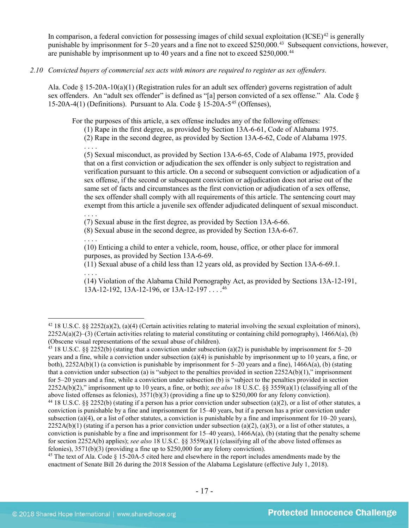In comparison, a federal conviction for possessing images of child sexual exploitation  $(ICSE)^{42}$  $(ICSE)^{42}$  $(ICSE)^{42}$  is generally punishable by imprisonment for 5–20 years and a fine not to exceed \$250,000.[43](#page-16-1) Subsequent convictions, however, are punishable by imprisonment up to 40 years and a fine not to exceed \$250,000.<sup>[44](#page-16-2)</sup>

#### *2.10 Convicted buyers of commercial sex acts with minors are required to register as sex offenders.*

Ala. Code § 15-20A-10(a)(1) (Registration rules for an adult sex offender) governs registration of adult sex offenders. An "adult sex offender" is defined as "[a] person convicted of a sex offense." Ala. Code § 15-20A-4(1) (Definitions). Pursuant to Ala. Code  $\delta$  15-20A-5<sup>[45](#page-16-3)</sup> (Offenses).

For the purposes of this article, a sex offense includes any of the following offenses:

<span id="page-16-5"></span>(1) Rape in the first degree, as provided by Section 13A-6-61, Code of Alabama 1975.

(2) Rape in the second degree, as provided by Section 13A-6-62, Code of Alabama 1975.

. . . . (5) Sexual misconduct, as provided by Section 13A-6-65, Code of Alabama 1975, provided that on a first conviction or adjudication the sex offender is only subject to registration and verification pursuant to this article. On a second or subsequent conviction or adjudication of a sex offense, if the second or subsequent conviction or adjudication does not arise out of the same set of facts and circumstances as the first conviction or adjudication of a sex offense, the sex offender shall comply with all requirements of this article. The sentencing court may exempt from this article a juvenile sex offender adjudicated delinquent of sexual misconduct.

. . . .

. . . .

. . . .

(7) Sexual abuse in the first degree, as provided by Section 13A-6-66.

(8) Sexual abuse in the second degree, as provided by Section 13A-6-67.

(10) Enticing a child to enter a vehicle, room, house, office, or other place for immoral purposes, as provided by Section 13A-6-69.

(11) Sexual abuse of a child less than 12 years old, as provided by Section 13A-6-69.1.

(14) Violation of the Alabama Child Pornography Act, as provided by Sections 13A-12-191, 13A-12-192, 13A-12-196, or 13A-12-197...<sup>[46](#page-16-4)</sup>

<span id="page-16-1"></span><sup>43</sup> 18 U.S.C. §§ 2252(b) (stating that a conviction under subsection (a)(2) is punishable by imprisonment for 5–20 years and a fine, while a conviction under subsection (a)(4) is punishable by imprisonment up to 10 years, a fine, or both), 2252A(b)(1) (a conviction is punishable by imprisonment for 5–20 years and a fine), 1466A(a), (b) (stating that a conviction under subsection (a) is "subject to the penalties provided in section  $2252A(b)(1)$ ," imprisonment for 5–20 years and a fine, while a conviction under subsection (b) is "subject to the penalties provided in section 2252A(b)(2)," imprisonment up to 10 years, a fine, or both); *see also* 18 U.S.C. §§ 3559(a)(1) (classifying all of the above listed offenses as felonies), 3571(b)(3) (providing a fine up to \$250,000 for any felony conviction). <sup>44</sup> 18 U.S.C. §§ 2252(b) (stating if a person has a prior conviction under subsection (a)(2), or a list of other statutes, a conviction is punishable by a fine and imprisonment for 15–40 years, but if a person has a prior conviction under subsection (a)(4), or a list of other statutes, a conviction is punishable by a fine and imprisonment for 10–20 years),  $2252A(b)(1)$  (stating if a person has a prior conviction under subsection (a)(2), (a)(3), or a list of other statutes, a conviction is punishable by a fine and imprisonment for  $15-40$  years),  $1466A(a)$ , (b) (stating that the penalty scheme for section 2252A(b) applies); *see also* 18 U.S.C. §§ 3559(a)(1) (classifying all of the above listed offenses as felonies), 3571(b)(3) (providing a fine up to \$250,000 for any felony conviction).

<span id="page-16-4"></span><span id="page-16-3"></span><span id="page-16-2"></span><sup>45</sup> The text of Ala. Code  $\S$  15-20A-5 cited here and elsewhere in the report includes amendments made by the enactment of Senate Bill 26 during the 2018 Session of the Alabama Legislature (effective July 1, 2018).

<span id="page-16-0"></span><sup>&</sup>lt;sup>42</sup> 18 U.S.C. §§ 2252(a)(2), (a)(4) (Certain activities relating to material involving the sexual exploitation of minors),  $2252A(a)(2)$ –(3) (Certain activities relating to material constituting or containing child pornography), 1466A(a), (b) (Obscene visual representations of the sexual abuse of children).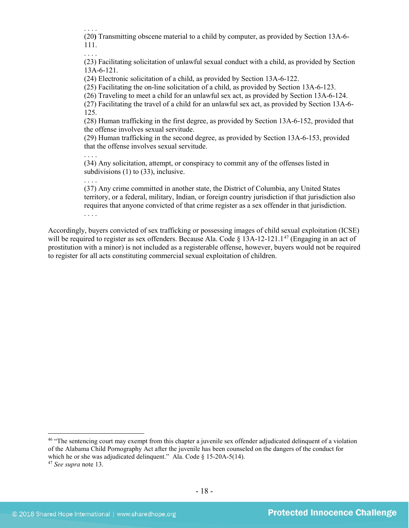. . . .

(20**)** Transmitting obscene material to a child by computer, as provided by Section 13A-6- 111.

. . . . (23) Facilitating solicitation of unlawful sexual conduct with a child, as provided by Section 13A-6-121.

(24) Electronic solicitation of a child, as provided by Section 13A-6-122.

(25) Facilitating the on-line solicitation of a child, as provided by Section 13A-6-123.

(26) Traveling to meet a child for an unlawful sex act, as provided by Section 13A-6-124.

(27) Facilitating the travel of a child for an unlawful sex act, as provided by Section 13A-6- 125.

(28) Human trafficking in the first degree, as provided by Section 13A-6-152, provided that the offense involves sexual servitude.

(29) Human trafficking in the second degree, as provided by Section 13A-6-153, provided that the offense involves sexual servitude.

. . . .

(34) Any solicitation, attempt, or conspiracy to commit any of the offenses listed in subdivisions (1) to (33), inclusive.

. . . . (37) Any crime committed in another state, the District of Columbia, any United States territory, or a federal, military, Indian, or foreign country jurisdiction if that jurisdiction also requires that anyone convicted of that crime register as a sex offender in that jurisdiction. . . . .

Accordingly, buyers convicted of sex trafficking or possessing images of child sexual exploitation (ICSE) will be required to register as sex offenders. Because Ala. Code  $\S$  13A-12-121.1<sup>[47](#page-17-0)</sup> (Engaging in an act of prostitution with a minor) is not included as a registerable offense, however, buyers would not be required to register for all acts constituting commercial sexual exploitation of children.

<sup>46</sup> "The sentencing court may exempt from this chapter a juvenile sex offender adjudicated delinquent of a violation of the Alabama Child Pornography Act after the juvenile has been counseled on the dangers of the conduct for which he or she was adjudicated delinquent." Ala. Code § 15-20A-5(14).

<span id="page-17-0"></span><sup>47</sup> *See supra* note [13.](#page-4-2)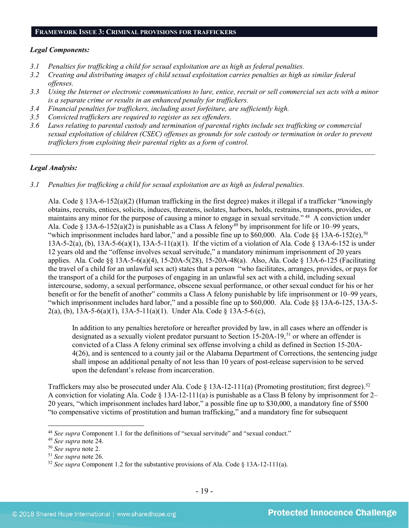#### **FRAMEWORK ISSUE 3: CRIMINAL PROVISIONS FOR TRAFFICKERS**

#### *Legal Components:*

- *3.1 Penalties for trafficking a child for sexual exploitation are as high as federal penalties.*
- *3.2 Creating and distributing images of child sexual exploitation carries penalties as high as similar federal offenses.*
- *3.3 Using the Internet or electronic communications to lure, entice, recruit or sell commercial sex acts with a minor is a separate crime or results in an enhanced penalty for traffickers.*
- *3.4 Financial penalties for traffickers, including asset forfeiture, are sufficiently high.*
- *3.5 Convicted traffickers are required to register as sex offenders.*
- *3.6 Laws relating to parental custody and termination of parental rights include sex trafficking or commercial sexual exploitation of children (CSEC) offenses as grounds for sole custody or termination in order to prevent traffickers from exploiting their parental rights as a form of control.*

*\_\_\_\_\_\_\_\_\_\_\_\_\_\_\_\_\_\_\_\_\_\_\_\_\_\_\_\_\_\_\_\_\_\_\_\_\_\_\_\_\_\_\_\_\_\_\_\_\_\_\_\_\_\_\_\_\_\_\_\_\_\_\_\_\_\_\_\_\_\_\_\_\_\_\_\_\_\_\_\_\_\_\_\_\_\_\_\_\_\_\_\_\_\_*

#### *Legal Analysis:*

*3.1 Penalties for trafficking a child for sexual exploitation are as high as federal penalties.* 

Ala. Code § 13A-6-152(a)(2) (Human trafficking in the first degree) makes it illegal if a trafficker "knowingly obtains, recruits, entices, solicits, induces, threatens, isolates, harbors, holds, restrains, transports, provides, or maintains any minor for the purpose of causing a minor to engage in sexual servitude."  $48\text{ A}$  conviction under Ala. Code § 13A-6-152(a)(2) is punishable as a Class A felony<sup>[49](#page-18-1)</sup> by imprisonment for life or 10–99 years, "which imprisonment includes hard labor," and a possible fine up to  $$60,000$ . Ala. Code  $$813A-6-152(e), $^{50}$  $$813A-6-152(e), $^{50}$  $$813A-6-152(e), $^{50}$ 13A-5-2(a), (b), 13A-5-6(a)(1), 13A-5-11(a)(1). If the victim of a violation of Ala. Code § 13A-6-152 is under 12 years old and the "offense involves sexual servitude," a mandatory minimum imprisonment of 20 years applies. Ala. Code §§ 13A-5-6(a)(4), 15-20A-5(28), 15-20A-48(a). Also, Ala. Code § 13A-6-125 (Facilitating the travel of a child for an unlawful sex act) states that a person "who facilitates, arranges, provides, or pays for the transport of a child for the purposes of engaging in an unlawful sex act with a child, including sexual intercourse, sodomy, a sexual performance, obscene sexual performance, or other sexual conduct for his or her benefit or for the benefit of another" commits a Class A felony punishable by life imprisonment or 10–99 years, "which imprisonment includes hard labor," and a possible fine up to \$60,000. Ala. Code §§ 13A-6-125, 13A-5- 2(a), (b), 13A-5-6(a)(1), 13A-5-11(a)(1). Under Ala. Code § 13A-5-6(c),

In addition to any penalties heretofore or hereafter provided by law, in all cases where an offender is designated as a sexually violent predator pursuant to Section 15-20A-19, [51](#page-18-3) or where an offender is convicted of a Class A felony criminal sex offense involving a child as defined in Section 15-20A-4(26), and is sentenced to a county jail or the Alabama Department of Corrections, the sentencing judge shall impose an additional penalty of not less than 10 years of post-release supervision to be served upon the defendant's release from incarceration.

Traffickers may also be prosecuted under Ala. Code § 13A-12-111(a) (Promoting prostitution; first degree).[52](#page-18-4)  A conviction for violating Ala. Code  $\S$  13A-12-111(a) is punishable as a Class B felony by imprisonment for 2– 20 years, "which imprisonment includes hard labor," a possible fine up to \$30,000, a mandatory fine of \$500 "to compensative victims of prostitution and human trafficking," and a mandatory fine for subsequent

<span id="page-18-0"></span> <sup>48</sup> *See supra* Component 1.1 for the definitions of "sexual servitude" and "sexual conduct."

<span id="page-18-1"></span><sup>49</sup> *See supra* note [24.](#page-11-6)

<span id="page-18-2"></span><sup>50</sup> *See supra* note [2.](#page-0-2)

<span id="page-18-3"></span><sup>51</sup> *See supra* note [26.](#page-11-7)

<span id="page-18-4"></span><sup>52</sup> *See supra* Component 1.2 for the substantive provisions of Ala. Code § 13A-12-111(a).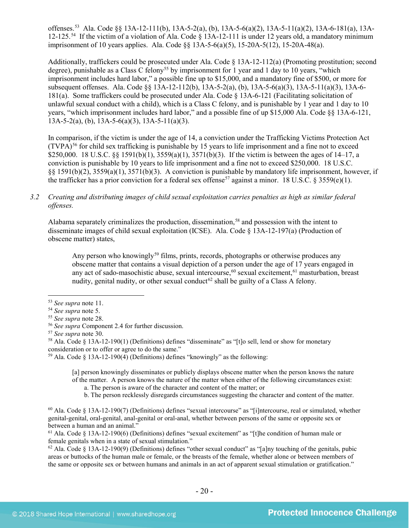offenses. [53](#page-19-0) Ala. Code §§ 13A-12-111(b), 13A-5-2(a), (b), 13A-5-6(a)(2), 13A-5-11(a)(2), 13A-6-181(a), 13A-12-125. [54](#page-19-1) If the victim of a violation of Ala. Code § 13A-12-111 is under 12 years old, a mandatory minimum imprisonment of 10 years applies. Ala. Code §§ 13A-5-6(a)(5), 15-20A-5(12), 15-20A-48(a).

Additionally, traffickers could be prosecuted under Ala. Code § 13A-12-112(a) (Promoting prostitution; second degree), punishable as a Class C felony<sup>[55](#page-19-2)</sup> by imprisonment for 1 year and 1 day to 10 years, "which imprisonment includes hard labor," a possible fine up to \$15,000, and a mandatory fine of \$500, or more for subsequent offenses. Ala. Code §§ 13A-12-112(b), 13A-5-2(a), (b), 13A-5-6(a)(3), 13A-5-11(a)(3), 13A-6- 181(a). Some traffickers could be prosecuted under Ala. Code § 13A-6-121 (Facilitating solicitation of unlawful sexual conduct with a child), which is a Class C felony, and is punishable by 1 year and 1 day to 10 years, "which imprisonment includes hard labor," and a possible fine of up \$15,000 Ala. Code §§ 13A-6-121,  $13A-5-2(a)$ , (b),  $13A-5-6(a)(3)$ ,  $13A-5-11(a)(3)$ .

In comparison, if the victim is under the age of 14, a conviction under the Trafficking Victims Protection Act  $(TVPA)^{56}$  $(TVPA)^{56}$  $(TVPA)^{56}$  for child sex trafficking is punishable by 15 years to life imprisonment and a fine not to exceed \$250,000. 18 U.S.C. §§ 1591(b)(1),  $3559(a)(1)$ ,  $3571(b)(3)$ . If the victim is between the ages of 14–17, a conviction is punishable by 10 years to life imprisonment and a fine not to exceed \$250,000. 18 U.S.C. §§ 1591(b)(2), 3559(a)(1), 3571(b)(3). A conviction is punishable by mandatory life imprisonment, however, if the trafficker has a prior conviction for a federal sex offense<sup>[57](#page-19-4)</sup> against a minor. 18 U.S.C. § 3559(e)(1).

#### *3.2 Creating and distributing images of child sexual exploitation carries penalties as high as similar federal offenses.*

Alabama separately criminalizes the production, dissemination,<sup>[58](#page-19-5)</sup> and possession with the intent to disseminate images of child sexual exploitation (ICSE). Ala. Code § 13A-12-197(a) (Production of obscene matter) states,

<span id="page-19-14"></span><span id="page-19-13"></span><span id="page-19-12"></span><span id="page-19-11"></span><span id="page-19-10"></span>Any person who knowingly<sup>[59](#page-19-6)</sup> films, prints, records, photographs or otherwise produces any obscene matter that contains a visual depiction of a person under the age of 17 years engaged in any act of sado-masochistic abuse, sexual intercourse,<sup>[60](#page-19-7)</sup> sexual excitement,<sup>[61](#page-19-8)</sup> masturbation, breast nudity, genital nudity, or other sexual conduct<sup> $62$ </sup> shall be guilty of a Class A felony.

<span id="page-19-6"></span><sup>59</sup> Ala. Code § 13A-12-190(4) (Definitions) defines "knowingly" as the following:

[a] person knowingly disseminates or publicly displays obscene matter when the person knows the nature of the matter. A person knows the nature of the matter when either of the following circumstances exist:

a. The person is aware of the character and content of the matter; or

b. The person recklessly disregards circumstances suggesting the character and content of the matter.

<span id="page-19-7"></span> $60$  Ala. Code § 13A-12-190(7) (Definitions) defines "sexual intercourse" as "[i]ntercourse, real or simulated, whether genital-genital, oral-genital, anal-genital or oral-anal, whether between persons of the same or opposite sex or between a human and an animal."

<span id="page-19-8"></span> $61$  Ala. Code § 13A-12-190(6) (Definitions) defines "sexual excitement" as "[t]he condition of human male or female genitals when in a state of sexual stimulation."

<span id="page-19-9"></span> $62$  Ala. Code § 13A-12-190(9) (Definitions) defines "other sexual conduct" as "[a]ny touching of the genitals, pubic areas or buttocks of the human male or female, or the breasts of the female, whether alone or between members of the same or opposite sex or between humans and animals in an act of apparent sexual stimulation or gratification."

<span id="page-19-0"></span> <sup>53</sup> *See supra* note [11.](#page-3-3)

<span id="page-19-2"></span><span id="page-19-1"></span><sup>&</sup>lt;sup>55</sup> *See supra* note [28.](#page-11-8)<br><sup>56</sup> *See supra* Component 2.4 for further discussion.

<span id="page-19-5"></span><span id="page-19-4"></span><span id="page-19-3"></span><sup>&</sup>lt;sup>57</sup> *See supra* note 30.<br><sup>58</sup> Ala. Code § 13A-12-190(1) (Definitions) defines "disseminate" as "[t]o sell, lend or show for monetary consideration or to offer or agree to do the same."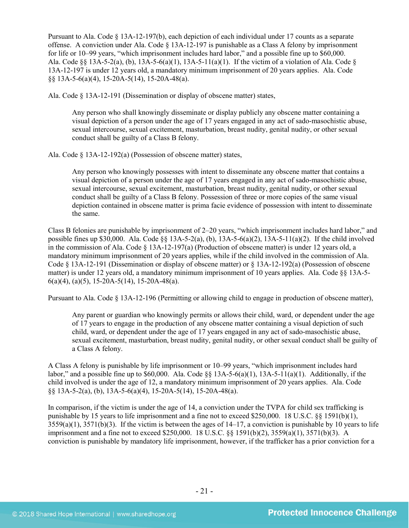Pursuant to Ala. Code § 13A-12-197(b), each depiction of each individual under 17 counts as a separate offense. A conviction under Ala. Code  $\S$  13A-12-197 is punishable as a Class A felony by imprisonment for life or 10–99 years, "which imprisonment includes hard labor," and a possible fine up to \$60,000. Ala. Code  $\S$  13A-5-2(a), (b), 13A-5-6(a)(1), 13A-5-11(a)(1). If the victim of a violation of Ala. Code  $\S$ 13A-12-197 is under 12 years old, a mandatory minimum imprisonment of 20 years applies. Ala. Code §§ 13A-5-6(a)(4), 15-20A-5(14), 15-20A-48(a).

Ala. Code § 13A-12-191 (Dissemination or display of obscene matter) states,

Any person who shall knowingly disseminate or display publicly any obscene matter containing a visual depiction of a person under the age of 17 years engaged in any act of sado-masochistic abuse, sexual intercourse, sexual excitement, masturbation, breast nudity, genital nudity, or other sexual conduct shall be guilty of a Class B felony.

Ala. Code § 13A-12-192(a) (Possession of obscene matter) states,

Any person who knowingly possesses with intent to disseminate any obscene matter that contains a visual depiction of a person under the age of 17 years engaged in any act of sado-masochistic abuse, sexual intercourse, sexual excitement, masturbation, breast nudity, genital nudity, or other sexual conduct shall be guilty of a Class B felony. Possession of three or more copies of the same visual depiction contained in obscene matter is prima facie evidence of possession with intent to disseminate the same.

Class B felonies are punishable by imprisonment of 2–20 years, "which imprisonment includes hard labor," and possible fines up \$30,000. Ala. Code  $\frac{8}{3}$  13A-5-2(a), (b), 13A-5-6(a)(2), 13A-5-11(a)(2). If the child involved in the commission of Ala. Code § 13A-12-197(a) (Production of obscene matter) is under 12 years old, a mandatory minimum imprisonment of 20 years applies, while if the child involved in the commission of Ala. Code § 13A-12-191 (Dissemination or display of obscene matter) or § 13A-12-192(a) (Possession of obscene matter) is under 12 years old, a mandatory minimum imprisonment of 10 years applies. Ala. Code §§ 13A-5-  $6(a)(4)$ ,  $(a)(5)$ , 15-20A-5(14), 15-20A-48(a).

Pursuant to Ala. Code § 13A-12-196 (Permitting or allowing child to engage in production of obscene matter),

Any parent or guardian who knowingly permits or allows their child, ward, or dependent under the age of 17 years to engage in the production of any obscene matter containing a visual depiction of such child, ward, or dependent under the age of 17 years engaged in any act of sado-masochistic abuse, sexual excitement, masturbation, breast nudity, genital nudity, or other sexual conduct shall be guilty of a Class A felony.

A Class A felony is punishable by life imprisonment or 10–99 years, "which imprisonment includes hard labor," and a possible fine up to \$60,000. Ala. Code §§ 13A-5-6(a)(1), 13A-5-11(a)(1). Additionally, if the child involved is under the age of 12, a mandatory minimum imprisonment of 20 years applies. Ala. Code §§ 13A-5-2(a), (b), 13A-5-6(a)(4), 15-20A-5(14), 15-20A-48(a).

In comparison, if the victim is under the age of 14, a conviction under the TVPA for child sex trafficking is punishable by 15 years to life imprisonment and a fine not to exceed \$250,000. 18 U.S.C. §§ 1591(b)(1),  $3559(a)(1)$ ,  $3571(b)(3)$ . If the victim is between the ages of  $14-17$ , a conviction is punishable by 10 years to life imprisonment and a fine not to exceed \$250,000. 18 U.S.C. §§ 1591(b)(2), 3559(a)(1), 3571(b)(3). A conviction is punishable by mandatory life imprisonment, however, if the trafficker has a prior conviction for a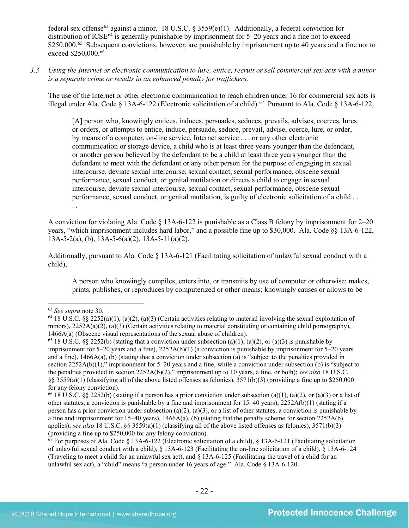federal sex offense<sup>[63](#page-21-0)</sup> against a minor. 18 U.S.C. § 3559(e)(1). Additionally, a federal conviction for distribution of ICSE<sup>[64](#page-21-1)</sup> is generally punishable by imprisonment for  $5-20$  years and a fine not to exceed \$250,000.<sup>[65](#page-21-2)</sup> Subsequent convictions, however, are punishable by imprisonment up to 40 years and a fine not to exceed \$250,000.<sup>[66](#page-21-3)</sup>

*3.3 Using the Internet or electronic communication to lure, entice, recruit or sell commercial sex acts with a minor is a separate crime or results in an enhanced penalty for traffickers.*

The use of the Internet or other electronic communication to reach children under 16 for commercial sex acts is illegal under Ala. Code § 13A-6-122 (Electronic solicitation of a child)[.67](#page-21-4) Pursuant to Ala. Code § 13A-6-122,

[A] person who, knowingly entices, induces, persuades, seduces, prevails, advises, coerces, lures, or orders, or attempts to entice, induce, persuade, seduce, prevail, advise, coerce, lure, or order, by means of a computer, on-line service, Internet service . . . or any other electronic communication or storage device, a child who is at least three years younger than the defendant, or another person believed by the defendant to be a child at least three years younger than the defendant to meet with the defendant or any other person for the purpose of engaging in sexual intercourse, deviate sexual intercourse, sexual contact, sexual performance, obscene sexual performance, sexual conduct, or genital mutilation or directs a child to engage in sexual intercourse, deviate sexual intercourse, sexual contact, sexual performance, obscene sexual performance, sexual conduct, or genital mutilation, is guilty of electronic solicitation of a child . . . .

A conviction for violating Ala. Code § 13A-6-122 is punishable as a Class B felony by imprisonment for 2–20 years, "which imprisonment includes hard labor," and a possible fine up to \$30,000. Ala. Code §§ 13A-6-122, 13A-5-2(a), (b), 13A-5-6(a)(2), 13A-5-11(a)(2).

Additionally, pursuant to Ala. Code § 13A-6-121 (Facilitating solicitation of unlawful sexual conduct with a child),

A person who knowingly compiles, enters into, or transmits by use of computer or otherwise; makes, prints, publishes, or reproduces by computerized or other means; knowingly causes or allows to be

<span id="page-21-1"></span><span id="page-21-0"></span><sup>63</sup> *See supra* note [30.](#page-12-4) 64 18 U.S.C. §§ 2252(a)(1), (a)(2), (a)(3) (Certain activities relating to material involving the sexual exploitation of minors),  $2252A(a)(2)$ ,  $(a)(3)$  (Certain activities relating to material constituting or containing child pornography),  $1466A(a)$  (Obscene visual representations of the sexual abuse of children).

<span id="page-21-2"></span><sup>&</sup>lt;sup>65</sup> 18 U.S.C. §§ 2252(b) (stating that a conviction under subsection (a)(1), (a)(2), or (a)(3) is punishable by imprisonment for 5–20 years and a fine), 2252A(b)(1) (a conviction is punishable by imprisonment for 5–20 years and a fine), 1466A(a), (b) (stating that a conviction under subsection (a) is "subject to the penalties provided in section 2252A(b)(1)," imprisonment for 5–20 years and a fine, while a conviction under subsection (b) is "subject to the penalties provided in section 2252A(b)(2)," imprisonment up to 10 years, a fine, or both); *see also* 18 U.S.C.  $\S$ § 3559(a)(1) (classifying all of the above listed offenses as felonies), 3571(b)(3) (providing a fine up to \$250,000 for any felony conviction).<br><sup>66</sup> 18 U.S.C. §§ 2252(b) (stating if a person has a prior conviction under subsection (a)(1), (a)(2), or (a)(3) or a list of

<span id="page-21-3"></span>other statutes, a conviction is punishable by a fine and imprisonment for  $15-40$  years),  $2252A(b)(1)$  (stating if a person has a prior conviction under subsection (a)(2), (a)(3), or a list of other statutes, a conviction is punishable by a fine and imprisonment for 15–40 years),  $1466A(a)$ , (b) (stating that the penalty scheme for section 2252A(b) applies); *see also* 18 U.S.C. §§ 3559(a)(1) (classifying all of the above listed offenses as felonies), 3571(b)(3) (providing a fine up to \$250,000 for any felony conviction).

<span id="page-21-4"></span> $67$  For purposes of Ala. Code § 13A-6-122 (Electronic solicitation of a child), § 13A-6-121 (Facilitating solicitation of unlawful sexual conduct with a child), § 13A-6-123 (Facilitating the on-line solicitation of a child), § 13A-6-124 (Traveling to meet a child for an unlawful sex act), and § 13A-6-125 (Facilitating the travel of a child for an unlawful sex act), a "child" means "a person under 16 years of age." Ala. Code § 13A-6-120.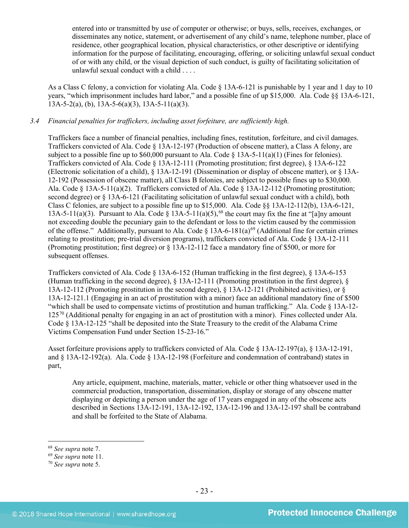entered into or transmitted by use of computer or otherwise; or buys, sells, receives, exchanges, or disseminates any notice, statement, or advertisement of any child's name, telephone number, place of residence, other geographical location, physical characteristics, or other descriptive or identifying information for the purpose of facilitating, encouraging, offering, or soliciting unlawful sexual conduct of or with any child, or the visual depiction of such conduct, is guilty of facilitating solicitation of unlawful sexual conduct with a child . . . .

As a Class C felony, a conviction for violating Ala. Code § 13A-6-121 is punishable by 1 year and 1 day to 10 years, "which imprisonment includes hard labor," and a possible fine of up \$15,000. Ala. Code §§ 13A-6-121,  $13A-5-2(a)$ , (b),  $13A-5-6(a)(3)$ ,  $13A-5-11(a)(3)$ .

# *3.4 Financial penalties for traffickers, including asset forfeiture, are sufficiently high.*

Traffickers face a number of financial penalties, including fines, restitution, forfeiture, and civil damages. Traffickers convicted of Ala. Code § 13A-12-197 (Production of obscene matter), a Class A felony, are subject to a possible fine up to \$60,000 pursuant to Ala. Code  $\S$  13A-5-11(a)(1) (Fines for felonies). Traffickers convicted of Ala. Code § 13A-12-111 (Promoting prostitution; first degree), § 13A-6-122 (Electronic solicitation of a child), § 13A-12-191 (Dissemination or display of obscene matter), or § 13A-12-192 (Possession of obscene matter), all Class B felonies, are subject to possible fines up to \$30,000. Ala. Code § 13A-5-11(a)(2). Traffickers convicted of Ala. Code § 13A-12-112 (Promoting prostitution; second degree) or § 13A-6-121 (Facilitating solicitation of unlawful sexual conduct with a child), both Class C felonies, are subject to a possible fine up to \$15,000. Ala. Code §§ 13A-12-112(b), 13A-6-121, 13A-5-11(a)(3). Pursuant to Ala. Code § 13A-5-11(a)(5),<sup>[68](#page-22-0)</sup> the court may fix the fine at "[a]ny amount not exceeding double the pecuniary gain to the defendant or loss to the victim caused by the commission of the offense." Additionally, pursuant to Ala. Code  $\S$  13A-6-181(a)<sup>[69](#page-22-1)</sup> (Additional fine for certain crimes relating to prostitution; pre-trial diversion programs), traffickers convicted of Ala. Code § 13A-12-111 (Promoting prostitution; first degree) or § 13A-12-112 face a mandatory fine of \$500, or more for subsequent offenses.

Traffickers convicted of Ala. Code § 13A-6-152 (Human trafficking in the first degree), § 13A-6-153 (Human trafficking in the second degree), § 13A-12-111 (Promoting prostitution in the first degree), § 13A-12-112 (Promoting prostitution in the second degree), § 13A-12-121 (Prohibited activities), or § 13A-12-121.1 (Engaging in an act of prostitution with a minor) face an additional mandatory fine of \$500 "which shall be used to compensate victims of prostitution and human trafficking." Ala. Code § 13A-12- 125[70](#page-22-2) (Additional penalty for engaging in an act of prostitution with a minor). Fines collected under Ala. Code § 13A-12-125 "shall be deposited into the State Treasury to the credit of the Alabama Crime Victims Compensation Fund under Section 15-23-16."

Asset forfeiture provisions apply to traffickers convicted of Ala. Code § 13A-12-197(a), § 13A-12-191, and § 13A-12-192(a). Ala. Code § 13A-12-198 (Forfeiture and condemnation of contraband) states in part,

Any article, equipment, machine, materials, matter, vehicle or other thing whatsoever used in the commercial production, transportation, dissemination, display or storage of any obscene matter displaying or depicting a person under the age of 17 years engaged in any of the obscene acts described in Sections 13A-12-191, 13A-12-192, 13A-12-196 and 13A-12-197 shall be contraband and shall be forfeited to the State of Alabama.

<span id="page-22-0"></span> <sup>68</sup> *See supra* note [7.](#page-2-5)

<span id="page-22-1"></span><sup>69</sup> *See supra* note [11.](#page-3-3)

<span id="page-22-2"></span><sup>70</sup> *See supra* note [5.](#page-2-4)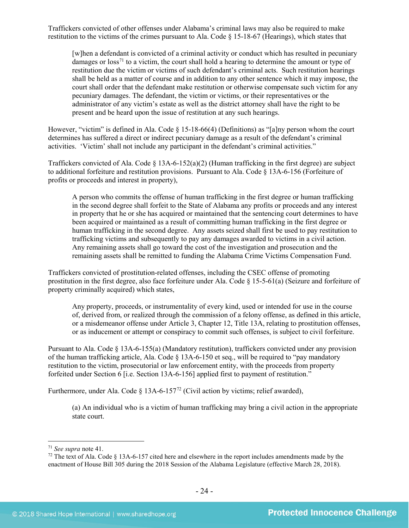Traffickers convicted of other offenses under Alabama's criminal laws may also be required to make restitution to the victims of the crimes pursuant to Ala. Code § 15-18-67 (Hearings), which states that

[w]hen a defendant is convicted of a criminal activity or conduct which has resulted in pecuniary damages or  $\cos^{-1}$  to a victim, the court shall hold a hearing to determine the amount or type of restitution due the victim or victims of such defendant's criminal acts. Such restitution hearings shall be held as a matter of course and in addition to any other sentence which it may impose, the court shall order that the defendant make restitution or otherwise compensate such victim for any pecuniary damages. The defendant, the victim or victims, or their representatives or the administrator of any victim's estate as well as the district attorney shall have the right to be present and be heard upon the issue of restitution at any such hearings.

However, "victim" is defined in Ala. Code § 15-18-66(4) (Definitions) as "[a]ny person whom the court determines has suffered a direct or indirect pecuniary damage as a result of the defendant's criminal activities. 'Victim' shall not include any participant in the defendant's criminal activities."

Traffickers convicted of Ala. Code  $\S$  13A-6-152(a)(2) (Human trafficking in the first degree) are subject to additional forfeiture and restitution provisions. Pursuant to Ala. Code § 13A-6-156 (Forfeiture of profits or proceeds and interest in property),

A person who commits the offense of human trafficking in the first degree or human trafficking in the second degree shall forfeit to the State of Alabama any profits or proceeds and any interest in property that he or she has acquired or maintained that the sentencing court determines to have been acquired or maintained as a result of committing human trafficking in the first degree or human trafficking in the second degree. Any assets seized shall first be used to pay restitution to trafficking victims and subsequently to pay any damages awarded to victims in a civil action. Any remaining assets shall go toward the cost of the investigation and prosecution and the remaining assets shall be remitted to funding the Alabama Crime Victims Compensation Fund.

Traffickers convicted of prostitution-related offenses, including the CSEC offense of promoting prostitution in the first degree, also face forfeiture under Ala. Code § 15-5-61(a) (Seizure and forfeiture of property criminally acquired) which states,

Any property, proceeds, or instrumentality of every kind, used or intended for use in the course of, derived from, or realized through the commission of a felony offense, as defined in this article, or a misdemeanor offense under Article 3, Chapter 12, Title 13A, relating to prostitution offenses, or as inducement or attempt or conspiracy to commit such offenses, is subject to civil forfeiture.

Pursuant to Ala. Code § 13A-6-155(a) (Mandatory restitution), traffickers convicted under any provision of the human trafficking article, Ala. Code § 13A-6-150 et seq., will be required to "pay mandatory restitution to the victim, prosecutorial or law enforcement entity, with the proceeds from property forfeited under Section 6 [i.e. Section 13A-6-156] applied first to payment of restitution."

Furthermore, under Ala. Code § 13A-6-157<sup>[72](#page-23-1)</sup> (Civil action by victims; relief awarded),

<span id="page-23-2"></span>(a) An individual who is a victim of human trafficking may bring a civil action in the appropriate state court.

<span id="page-23-0"></span> <sup>71</sup> *See supra* note [41.](#page-15-1)

<span id="page-23-1"></span><sup>&</sup>lt;sup>72</sup> The text of Ala. Code  $\S$  13A-6-157 cited here and elsewhere in the report includes amendments made by the enactment of House Bill 305 during the 2018 Session of the Alabama Legislature (effective March 28, 2018).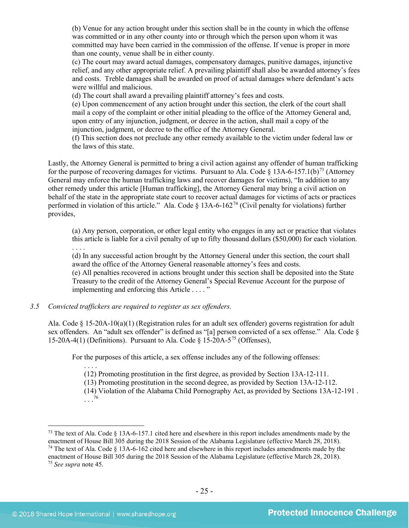(b) Venue for any action brought under this section shall be in the county in which the offense was committed or in any other county into or through which the person upon whom it was committed may have been carried in the commission of the offense. If venue is proper in more than one county, venue shall be in either county.

(c) The court may award actual damages, compensatory damages, punitive damages, injunctive relief, and any other appropriate relief. A prevailing plaintiff shall also be awarded attorney's fees and costs. Treble damages shall be awarded on proof of actual damages where defendant's acts were willful and malicious.

(d) The court shall award a prevailing plaintiff attorney's fees and costs.

(e) Upon commencement of any action brought under this section, the clerk of the court shall mail a copy of the complaint or other initial pleading to the office of the Attorney General and, upon entry of any injunction, judgment, or decree in the action, shall mail a copy of the injunction, judgment, or decree to the office of the Attorney General.

<span id="page-24-3"></span>(f) This section does not preclude any other remedy available to the victim under federal law or the laws of this state.

Lastly, the Attorney General is permitted to bring a civil action against any offender of human trafficking for the purpose of recovering damages for victims. Pursuant to Ala. Code  $\S$  13A-6-157.1(b)<sup>[73](#page-24-0)</sup> (Attorney General may enforce the human trafficking laws and recover damages for victims), "In addition to any other remedy under this article [Human trafficking], the Attorney General may bring a civil action on behalf of the state in the appropriate state court to recover actual damages for victims of acts or practices performed in violation of this article." Ala. Code  $\S$  13A-6-162<sup>[74](#page-24-1)</sup> (Civil penalty for violations) further provides,

<span id="page-24-4"></span>(a) Any person, corporation, or other legal entity who engages in any act or practice that violates this article is liable for a civil penalty of up to fifty thousand dollars (\$50,000) for each violation.

. . . .

(d) In any successful action brought by the Attorney General under this section, the court shall award the office of the Attorney General reasonable attorney's fees and costs.

(e) All penalties recovered in actions brought under this section shall be deposited into the State Treasury to the credit of the Attorney General's Special Revenue Account for the purpose of implementing and enforcing this Article . . . . "

#### *3.5 Convicted traffickers are required to register as sex offenders.*

Ala. Code § 15-20A-10(a)(1) (Registration rules for an adult sex offender) governs registration for adult sex offenders. An "adult sex offender" is defined as "[a] person convicted of a sex offense." Ala. Code § 15-20A-4(1) (Definitions). Pursuant to Ala. Code  $\S 15$ -20A-5<sup>[75](#page-24-2)</sup> (Offenses),

For the purposes of this article, a sex offense includes any of the following offenses:

. . . . (12) Promoting prostitution in the first degree, as provided by Section 13A-12-111.

(13) Promoting prostitution in the second degree, as provided by Section 13A-12-112.

(14) Violation of the Alabama Child Pornography Act, as provided by Sections 13A-12-191 .

. . . [76](#page-24-1)

<span id="page-24-1"></span><span id="page-24-0"></span><sup>&</sup>lt;sup>73</sup> The text of Ala. Code  $\S$  13A-6-157.1 cited here and elsewhere in this report includes amendments made by the enactment of House Bill 305 during the 2018 Session of the Alabama Legislature (effective March 28, 2018). <sup>74</sup> The text of Ala. Code  $\S 13A-6-162$  cited here and elsewhere in this report includes amendments made by the enactment of House Bill 305 during the 2018 Session of the Alabama Legislature (effective March 28, 2018).

<span id="page-24-2"></span><sup>75</sup> *See supra* note [45.](#page-16-5)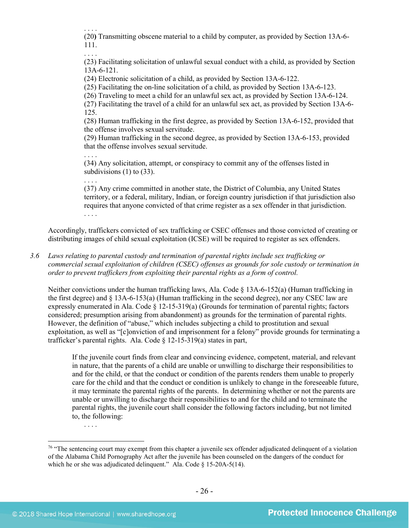. . . .

. . . .

(20**)** Transmitting obscene material to a child by computer, as provided by Section 13A-6- 111.

. . . . (23) Facilitating solicitation of unlawful sexual conduct with a child, as provided by Section 13A-6-121.

(24) Electronic solicitation of a child, as provided by Section 13A-6-122.

(25) Facilitating the on-line solicitation of a child, as provided by Section 13A-6-123.

(26) Traveling to meet a child for an unlawful sex act, as provided by Section 13A-6-124.

(27) Facilitating the travel of a child for an unlawful sex act, as provided by Section 13A-6- 125.

(28) Human trafficking in the first degree, as provided by Section 13A-6-152, provided that the offense involves sexual servitude.

(29) Human trafficking in the second degree, as provided by Section 13A-6-153, provided that the offense involves sexual servitude.

(34) Any solicitation, attempt, or conspiracy to commit any of the offenses listed in subdivisions  $(1)$  to  $(33)$ .

. . . . (37) Any crime committed in another state, the District of Columbia, any United States territory, or a federal, military, Indian, or foreign country jurisdiction if that jurisdiction also requires that anyone convicted of that crime register as a sex offender in that jurisdiction. . . . .

Accordingly, traffickers convicted of sex trafficking or CSEC offenses and those convicted of creating or distributing images of child sexual exploitation (ICSE) will be required to register as sex offenders.

*3.6 Laws relating to parental custody and termination of parental rights include sex trafficking or commercial sexual exploitation of children (CSEC) offenses as grounds for sole custody or termination in order to prevent traffickers from exploiting their parental rights as a form of control.* 

Neither convictions under the human trafficking laws, Ala. Code § 13A-6-152(a) (Human trafficking in the first degree) and § 13A-6-153(a) (Human trafficking in the second degree), nor any CSEC law are expressly enumerated in Ala. Code § 12-15-319(a) (Grounds for termination of parental rights; factors considered; presumption arising from abandonment) as grounds for the termination of parental rights. However, the definition of "abuse," which includes subjecting a child to prostitution and sexual exploitation, as well as "[c]onviction of and imprisonment for a felony" provide grounds for terminating a trafficker's parental rights. Ala. Code § 12-15-319(a) states in part,

If the juvenile court finds from clear and convincing evidence, competent, material, and relevant in nature, that the parents of a child are unable or unwilling to discharge their responsibilities to and for the child, or that the conduct or condition of the parents renders them unable to properly care for the child and that the conduct or condition is unlikely to change in the foreseeable future, it may terminate the parental rights of the parents. In determining whether or not the parents are unable or unwilling to discharge their responsibilities to and for the child and to terminate the parental rights, the juvenile court shall consider the following factors including, but not limited to, the following:

<sup>. . . .</sup> 

<sup>&</sup>lt;sup>76</sup> "The sentencing court may exempt from this chapter a juvenile sex offender adjudicated delinquent of a violation of the Alabama Child Pornography Act after the juvenile has been counseled on the dangers of the conduct for which he or she was adjudicated delinquent." Ala. Code § 15-20A-5(14).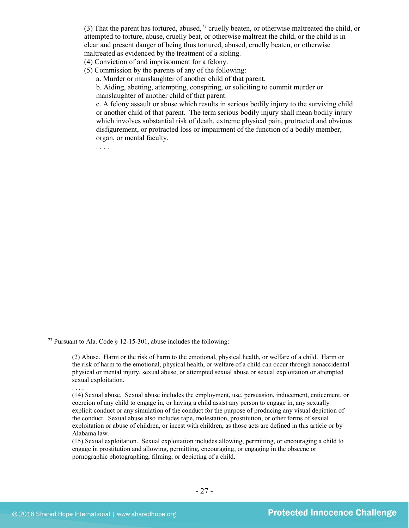(3) That the parent has tortured, abused,<sup>[77](#page-26-0)</sup> cruelly beaten, or otherwise maltreated the child, or attempted to torture, abuse, cruelly beat, or otherwise maltreat the child, or the child is in clear and present danger of being thus tortured, abused, cruelly beaten, or otherwise maltreated as evidenced by the treatment of a sibling.

(4) Conviction of and imprisonment for a felony.

(5) Commission by the parents of any of the following:

a. Murder or manslaughter of another child of that parent.

b. Aiding, abetting, attempting, conspiring, or soliciting to commit murder or manslaughter of another child of that parent.

c. A felony assault or abuse which results in serious bodily injury to the surviving child or another child of that parent. The term serious bodily injury shall mean bodily injury which involves substantial risk of death, extreme physical pain, protracted and obvious disfigurement, or protracted loss or impairment of the function of a bodily member, organ, or mental faculty.

<span id="page-26-0"></span><sup>&</sup>lt;sup>77</sup> Pursuant to Ala. Code  $\frac{12-15-301}{10}$ , abuse includes the following:

<sup>(2)</sup> Abuse. Harm or the risk of harm to the emotional, physical health, or welfare of a child. Harm or the risk of harm to the emotional, physical health, or welfare of a child can occur through nonaccidental physical or mental injury, sexual abuse, or attempted sexual abuse or sexual exploitation or attempted sexual exploitation.

<sup>. . . .</sup>

<sup>(14)</sup> Sexual abuse. Sexual abuse includes the employment, use, persuasion, inducement, enticement, or coercion of any child to engage in, or having a child assist any person to engage in, any sexually explicit conduct or any simulation of the conduct for the purpose of producing any visual depiction of the conduct. Sexual abuse also includes rape, molestation, prostitution, or other forms of sexual exploitation or abuse of children, or incest with children, as those acts are defined in this article or by Alabama law.

<sup>(15)</sup> Sexual exploitation. Sexual exploitation includes allowing, permitting, or encouraging a child to engage in prostitution and allowing, permitting, encouraging, or engaging in the obscene or pornographic photographing, filming, or depicting of a child.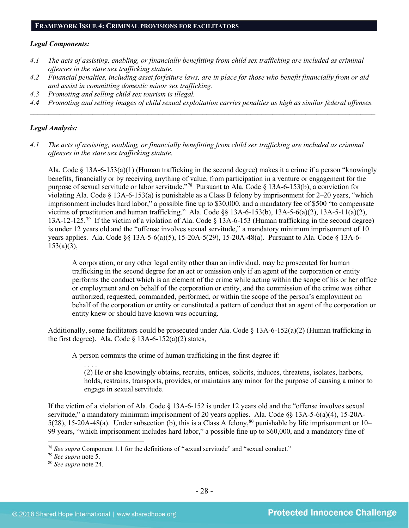#### **FRAMEWORK ISSUE 4: CRIMINAL PROVISIONS FOR FACILITATORS**

#### *Legal Components:*

- *4.1 The acts of assisting, enabling, or financially benefitting from child sex trafficking are included as criminal offenses in the state sex trafficking statute.*
- *4.2 Financial penalties, including asset forfeiture laws, are in place for those who benefit financially from or aid and assist in committing domestic minor sex trafficking.*
- *4.3 Promoting and selling child sex tourism is illegal.*
- *4.4 Promoting and selling images of child sexual exploitation carries penalties as high as similar federal offenses. \_\_\_\_\_\_\_\_\_\_\_\_\_\_\_\_\_\_\_\_\_\_\_\_\_\_\_\_\_\_\_\_\_\_\_\_\_\_\_\_\_\_\_\_\_\_\_\_\_\_\_\_\_\_\_\_\_\_\_\_\_\_\_\_\_\_\_\_\_\_\_\_\_\_\_\_\_\_\_\_\_\_\_\_\_\_\_\_\_\_\_\_\_\_*

#### *Legal Analysis:*

*4.1 The acts of assisting, enabling, or financially benefitting from child sex trafficking are included as criminal offenses in the state sex trafficking statute.*

Ala. Code § 13A-6-153(a)(1) (Human trafficking in the second degree) makes it a crime if a person "knowingly benefits, financially or by receiving anything of value, from participation in a venture or engagement for the purpose of sexual servitude or labor servitude."[78](#page-27-0) Pursuant to Ala. Code § 13A-6-153(b), a conviction for violating Ala. Code § 13A-6-153(a) is punishable as a Class B felony by imprisonment for 2–20 years, "which imprisonment includes hard labor," a possible fine up to \$30,000, and a mandatory fee of \$500 "to compensate victims of prostitution and human trafficking." Ala. Code §§ 13A-6-153(b), 13A-5-6(a)(2), 13A-5-11(a)(2), 13A-12-125. [79](#page-27-1) If the victim of a violation of Ala. Code § 13A-6-153 (Human trafficking in the second degree) is under 12 years old and the "offense involves sexual servitude," a mandatory minimum imprisonment of 10 years applies. Ala. Code §§ 13A-5-6(a)(5), 15-20A-5(29), 15-20A-48(a). Pursuant to Ala. Code § 13A-6-  $153(a)(3)$ ,

A corporation, or any other legal entity other than an individual, may be prosecuted for human trafficking in the second degree for an act or omission only if an agent of the corporation or entity performs the conduct which is an element of the crime while acting within the scope of his or her office or employment and on behalf of the corporation or entity, and the commission of the crime was either authorized, requested, commanded, performed, or within the scope of the person's employment on behalf of the corporation or entity or constituted a pattern of conduct that an agent of the corporation or entity knew or should have known was occurring.

Additionally, some facilitators could be prosecuted under Ala. Code § 13A-6-152(a)(2) (Human trafficking in the first degree). Ala. Code  $\S$  13A-6-152(a)(2) states,

A person commits the crime of human trafficking in the first degree if:

. . . .

(2) He or she knowingly obtains, recruits, entices, solicits, induces, threatens, isolates, harbors, holds, restrains, transports, provides, or maintains any minor for the purpose of causing a minor to engage in sexual servitude.

If the victim of a violation of Ala. Code § 13A-6-152 is under 12 years old and the "offense involves sexual servitude," a mandatory minimum imprisonment of 20 years applies. Ala. Code §§ 13A-5-6(a)(4), 15-20A-5(28), 15-20A-48(a). Under subsection (b), this is a Class A felony,<sup>[80](#page-27-2)</sup> punishable by life imprisonment or 10– 99 years, "which imprisonment includes hard labor," a possible fine up to \$60,000, and a mandatory fine of

<span id="page-27-0"></span> <sup>78</sup> *See supra* Component 1.1 for the definitions of "sexual servitude" and "sexual conduct."

<span id="page-27-1"></span><sup>79</sup> *See supra* note [5.](#page-2-4)

<span id="page-27-2"></span><sup>80</sup> *See supra* note [24.](#page-11-6)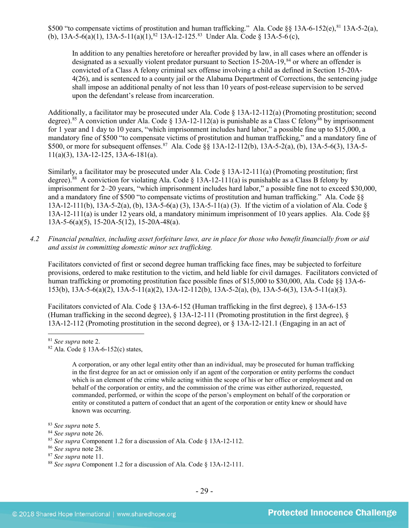\$500 "to compensate victims of prostitution and human trafficking." Ala. Code §§ 13A-6-152(e), <sup>[81](#page-28-0)</sup> 13A-5-2(a), (b), 13A-5-6(a)(1), 13A-5-11(a)(1),<sup>[82](#page-28-1)</sup> 13A-12-125.<sup>[83](#page-28-2)</sup> Under Ala. Code § 13A-5-6(c),

In addition to any penalties heretofore or hereafter provided by law, in all cases where an offender is designated as a sexually violent predator pursuant to Section 15-20A-19,<sup>[84](#page-28-3)</sup> or where an offender is convicted of a Class A felony criminal sex offense involving a child as defined in Section 15-20A-4(26), and is sentenced to a county jail or the Alabama Department of Corrections, the sentencing judge shall impose an additional penalty of not less than 10 years of post-release supervision to be served upon the defendant's release from incarceration.

Additionally, a facilitator may be prosecuted under Ala. Code § 13A-12-112(a) (Promoting prostitution; second degree).<sup>[85](#page-28-4)</sup> A conviction under Ala. Code § 13A-12-112(a) is punishable as a Class C felony<sup>[86](#page-28-5)</sup> by imprisonment for 1 year and 1 day to 10 years, "which imprisonment includes hard labor," a possible fine up to \$15,000, a mandatory fine of \$500 "to compensate victims of prostitution and human trafficking," and a mandatory fine of \$500, or more for subsequent offenses.<sup>87</sup> Ala. Code §§ 13A-12-112(b), 13A-5-2(a), (b), 13A-5-6(3), 13A-5-11(a)(3), 13A-12-125, 13A-6-181(a).

Similarly, a facilitator may be prosecuted under Ala. Code § 13A-12-111(a) (Promoting prostitution; first degree).<sup>[88](#page-28-7)</sup> A conviction for violating Ala. Code  $\S$  13A-12-111(a) is punishable as a Class B felony by imprisonment for 2–20 years, "which imprisonment includes hard labor," a possible fine not to exceed \$30,000, and a mandatory fine of \$500 "to compensate victims of prostitution and human trafficking." Ala. Code §§ 13A-12-111(b), 13A-5-2(a), (b), 13A-5-6(a) (3), 13A-5-11(a) (3). If the victim of a violation of Ala. Code § 13A-12-111(a) is under 12 years old, a mandatory minimum imprisonment of 10 years applies. Ala. Code §§ 13A-5-6(a)(5), 15-20A-5(12), 15-20A-48(a).

*4.2 Financial penalties, including asset forfeiture laws, are in place for those who benefit financially from or aid and assist in committing domestic minor sex trafficking.*

Facilitators convicted of first or second degree human trafficking face fines, may be subjected to forfeiture provisions, ordered to make restitution to the victim, and held liable for civil damages. Facilitators convicted of human trafficking or promoting prostitution face possible fines of \$15,000 to \$30,000, Ala. Code §§ 13A-6- 153(b), 13A-5-6(a)(2), 13A-5-11(a)(2), 13A-12-112(b), 13A-5-2(a), (b), 13A-5-6(3), 13A-5-11(a)(3).

Facilitators convicted of Ala. Code § 13A-6-152 (Human trafficking in the first degree), § 13A-6-153 (Human trafficking in the second degree), § 13A-12-111 (Promoting prostitution in the first degree), § 13A-12-112 (Promoting prostitution in the second degree), or § 13A-12-121.1 (Engaging in an act of

A corporation, or any other legal entity other than an individual, may be prosecuted for human trafficking in the first degree for an act or omission only if an agent of the corporation or entity performs the conduct which is an element of the crime while acting within the scope of his or her office or employment and on behalf of the corporation or entity, and the commission of the crime was either authorized, requested, commanded, performed, or within the scope of the person's employment on behalf of the corporation or entity or constituted a pattern of conduct that an agent of the corporation or entity knew or should have known was occurring.

<span id="page-28-0"></span> <sup>81</sup> *See supra* note [2.](#page-0-2)

<span id="page-28-1"></span> $82$  Ala. Code § 13A-6-152(c) states,

<span id="page-28-2"></span><sup>83</sup> *See supra* note [5.](#page-2-4)

<span id="page-28-3"></span><sup>84</sup> *See supra* note [26.](#page-11-7)

<span id="page-28-4"></span><sup>85</sup> *See supra* Component 1.2 for a discussion of Ala. Code § 13A-12-112.

<span id="page-28-5"></span><sup>86</sup> *See supra* note [28.](#page-11-8)

<span id="page-28-6"></span><sup>87</sup> *See supra* note [11.](#page-3-3)

<span id="page-28-7"></span><sup>88</sup> *See supra* Component 1.2 for a discussion of Ala. Code § 13A-12-111.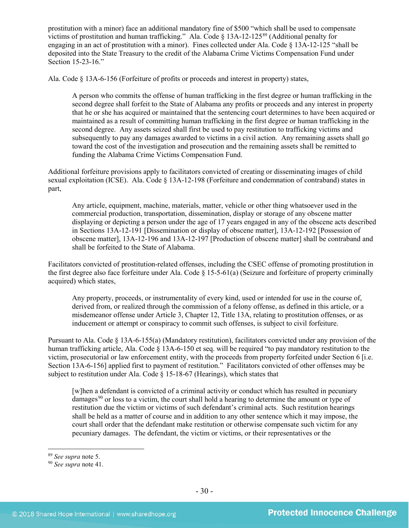prostitution with a minor) face an additional mandatory fine of \$500 "which shall be used to compensate victims of prostitution and human trafficking." Ala. Code § 13A-12-125[89](#page-29-0) (Additional penalty for engaging in an act of prostitution with a minor). Fines collected under Ala. Code § 13A-12-125 "shall be deposited into the State Treasury to the credit of the Alabama Crime Victims Compensation Fund under Section 15-23-16."

Ala. Code § 13A-6-156 (Forfeiture of profits or proceeds and interest in property) states,

A person who commits the offense of human trafficking in the first degree or human trafficking in the second degree shall forfeit to the State of Alabama any profits or proceeds and any interest in property that he or she has acquired or maintained that the sentencing court determines to have been acquired or maintained as a result of committing human trafficking in the first degree or human trafficking in the second degree. Any assets seized shall first be used to pay restitution to trafficking victims and subsequently to pay any damages awarded to victims in a civil action. Any remaining assets shall go toward the cost of the investigation and prosecution and the remaining assets shall be remitted to funding the Alabama Crime Victims Compensation Fund.

Additional forfeiture provisions apply to facilitators convicted of creating or disseminating images of child sexual exploitation (ICSE). Ala. Code § 13A-12-198 (Forfeiture and condemnation of contraband) states in part,

Any article, equipment, machine, materials, matter, vehicle or other thing whatsoever used in the commercial production, transportation, dissemination, display or storage of any obscene matter displaying or depicting a person under the age of 17 years engaged in any of the obscene acts described in Sections 13A-12-191 [Dissemination or display of obscene matter], 13A-12-192 [Possession of obscene matter], 13A-12-196 and 13A-12-197 [Production of obscene matter] shall be contraband and shall be forfeited to the State of Alabama.

Facilitators convicted of prostitution-related offenses, including the CSEC offense of promoting prostitution in the first degree also face forfeiture under Ala. Code  $\S$  15-5-61(a) (Seizure and forfeiture of property criminally acquired) which states,

Any property, proceeds, or instrumentality of every kind, used or intended for use in the course of, derived from, or realized through the commission of a felony offense, as defined in this article, or a misdemeanor offense under Article 3, Chapter 12, Title 13A, relating to prostitution offenses, or as inducement or attempt or conspiracy to commit such offenses, is subject to civil forfeiture.

Pursuant to Ala. Code § 13A-6-155(a) (Mandatory restitution), facilitators convicted under any provision of the human trafficking article, Ala. Code § 13A-6-150 et seq. will be required "to pay mandatory restitution to the victim, prosecutorial or law enforcement entity, with the proceeds from property forfeited under Section 6 [i.e. Section 13A-6-156] applied first to payment of restitution." Facilitators convicted of other offenses may be subject to restitution under Ala. Code § 15-18-67 (Hearings), which states that

[w]hen a defendant is convicted of a criminal activity or conduct which has resulted in pecuniary  $d{\rm amages}^{90}$  $d{\rm amages}^{90}$  $d{\rm amages}^{90}$  or loss to a victim, the court shall hold a hearing to determine the amount or type of restitution due the victim or victims of such defendant's criminal acts. Such restitution hearings shall be held as a matter of course and in addition to any other sentence which it may impose, the court shall order that the defendant make restitution or otherwise compensate such victim for any pecuniary damages. The defendant, the victim or victims, or their representatives or the

<span id="page-29-0"></span><sup>89</sup> *See supra* note [5.](#page-2-4) 90 *See supra* note [41.](#page-15-1) 

<span id="page-29-1"></span>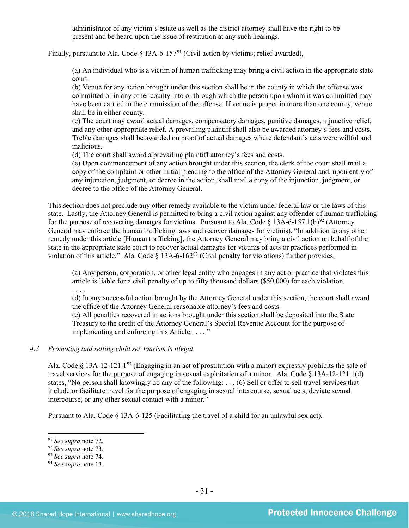administrator of any victim's estate as well as the district attorney shall have the right to be present and be heard upon the issue of restitution at any such hearings.

Finally, pursuant to Ala. Code § 13A-6-157<sup>[91](#page-30-0)</sup> (Civil action by victims; relief awarded),

(a) An individual who is a victim of human trafficking may bring a civil action in the appropriate state court.

(b) Venue for any action brought under this section shall be in the county in which the offense was committed or in any other county into or through which the person upon whom it was committed may have been carried in the commission of the offense. If venue is proper in more than one county, venue shall be in either county.

(c) The court may award actual damages, compensatory damages, punitive damages, injunctive relief, and any other appropriate relief. A prevailing plaintiff shall also be awarded attorney's fees and costs. Treble damages shall be awarded on proof of actual damages where defendant's acts were willful and malicious.

(d) The court shall award a prevailing plaintiff attorney's fees and costs.

(e) Upon commencement of any action brought under this section, the clerk of the court shall mail a copy of the complaint or other initial pleading to the office of the Attorney General and, upon entry of any injunction, judgment, or decree in the action, shall mail a copy of the injunction, judgment, or decree to the office of the Attorney General.

This section does not preclude any other remedy available to the victim under federal law or the laws of this state. Lastly, the Attorney General is permitted to bring a civil action against any offender of human trafficking for the purpose of recovering damages for victims. Pursuant to Ala. Code  $\S$  13A-6-157.1(b)<sup>[92](#page-30-1)</sup> (Attorney General may enforce the human trafficking laws and recover damages for victims), "In addition to any other remedy under this article [Human trafficking], the Attorney General may bring a civil action on behalf of the state in the appropriate state court to recover actual damages for victims of acts or practices performed in violation of this article." Ala. Code § 13A-6-162<sup>[93](#page-30-2)</sup> (Civil penalty for violations) further provides,

(a) Any person, corporation, or other legal entity who engages in any act or practice that violates this article is liable for a civil penalty of up to fifty thousand dollars (\$50,000) for each violation.

. . . .

(d) In any successful action brought by the Attorney General under this section, the court shall award the office of the Attorney General reasonable attorney's fees and costs.

(e) All penalties recovered in actions brought under this section shall be deposited into the State Treasury to the credit of the Attorney General's Special Revenue Account for the purpose of implementing and enforcing this Article . . . . "

# *4.3 Promoting and selling child sex tourism is illegal.*

Ala. Code § 13A-12-121.1<sup>[94](#page-30-3)</sup> (Engaging in an act of prostitution with a minor) expressly prohibits the sale of travel services for the purpose of engaging in sexual exploitation of a minor. Ala. Code § 13A-12-121.1(d) states, "No person shall knowingly do any of the following: . . . (6) Sell or offer to sell travel services that include or facilitate travel for the purpose of engaging in sexual intercourse, sexual acts, deviate sexual intercourse, or any other sexual contact with a minor."

Pursuant to Ala. Code § 13A-6-125 (Facilitating the travel of a child for an unlawful sex act),

<span id="page-30-0"></span><sup>&</sup>lt;sup>91</sup> *See supra* note [72.](#page-23-2)<br><sup>92</sup> *See supra* note 73.

<span id="page-30-1"></span>

<span id="page-30-2"></span><sup>92</sup> *See supra* note [73.](#page-24-3) 93 *See supra* note [74.](#page-24-4) 94 *See supra* note [13.](#page-4-2) 

<span id="page-30-3"></span>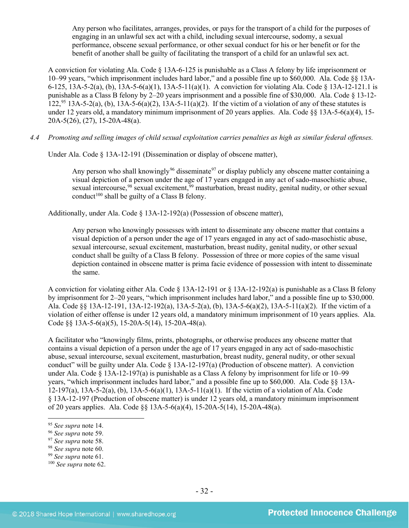Any person who facilitates, arranges, provides, or pays for the transport of a child for the purposes of engaging in an unlawful sex act with a child, including sexual intercourse, sodomy, a sexual performance, obscene sexual performance, or other sexual conduct for his or her benefit or for the benefit of another shall be guilty of facilitating the transport of a child for an unlawful sex act.

A conviction for violating Ala. Code § 13A-6-125 is punishable as a Class A felony by life imprisonment or 10–99 years, "which imprisonment includes hard labor," and a possible fine up to \$60,000. Ala. Code §§ 13A-6-125, 13A-5-2(a), (b), 13A-5-6(a)(1), 13A-5-11(a)(1). A conviction for violating Ala. Code § 13A-12-121.1 is punishable as a Class B felony by 2–20 years imprisonment and a possible fine of \$30,000. Ala. Code § 13-12-  $122^{95}$  $122^{95}$  $122^{95}$  13A-5-2(a), (b), 13A-5-6(a)(2), 13A-5-11(a)(2). If the victim of a violation of any of these statutes is under 12 years old, a mandatory minimum imprisonment of 20 years applies. Ala. Code §§ 13A-5-6(a)(4), 15- 20A-5(26), (27), 15-20A-48(a).

*4.4 Promoting and selling images of child sexual exploitation carries penalties as high as similar federal offenses.*

Under Ala. Code § 13A-12-191 (Dissemination or display of obscene matter),

Any person who shall knowingly<sup>[96](#page-31-1)</sup> disseminate<sup>[97](#page-31-2)</sup> or display publicly any obscene matter containing a visual depiction of a person under the age of 17 years engaged in any act of sado-masochistic abuse, sexual intercourse.<sup>[98](#page-31-3)</sup> sexual excitement.<sup>[99](#page-31-4)</sup> masturbation, breast nudity, genital nudity, or other sexual conduct<sup>[100](#page-31-5)</sup> shall be guilty of a Class B felony.

Additionally, under Ala. Code § 13A-12-192(a) (Possession of obscene matter),

Any person who knowingly possesses with intent to disseminate any obscene matter that contains a visual depiction of a person under the age of 17 years engaged in any act of sado-masochistic abuse, sexual intercourse, sexual excitement, masturbation, breast nudity, genital nudity, or other sexual conduct shall be guilty of a Class B felony. Possession of three or more copies of the same visual depiction contained in obscene matter is prima facie evidence of possession with intent to disseminate the same.

A conviction for violating either Ala. Code § 13A-12-191 or § 13A-12-192(a) is punishable as a Class B felony by imprisonment for 2–20 years, "which imprisonment includes hard labor," and a possible fine up to \$30,000. Ala. Code §§ 13A-12-191, 13A-12-192(a), 13A-5-2(a), (b), 13A-5-6(a)(2), 13A-5-11(a)(2). If the victim of a violation of either offense is under 12 years old, a mandatory minimum imprisonment of 10 years applies. Ala. Code §§ 13A-5-6(a)(5), 15-20A-5(14), 15-20A-48(a).

A facilitator who "knowingly films, prints, photographs, or otherwise produces any obscene matter that contains a visual depiction of a person under the age of 17 years engaged in any act of sado-masochistic abuse, sexual intercourse, sexual excitement, masturbation, breast nudity, general nudity, or other sexual conduct" will be guilty under Ala. Code  $\S$  13A-12-197(a) (Production of obscene matter). A conviction under Ala. Code  $\S$  13A-12-197(a) is punishable as a Class A felony by imprisonment for life or 10–99 years, "which imprisonment includes hard labor," and a possible fine up to \$60,000. Ala. Code §§ 13A-12-197(a), 13A-5-2(a), (b), 13A-5-6(a)(1), 13A-5-11(a)(1). If the victim of a violation of Ala. Code § 13A-12-197 (Production of obscene matter) is under 12 years old, a mandatory minimum imprisonment of 20 years applies. Ala. Code §§ 13A-5-6(a)(4), 15-20A-5(14), 15-20A-48(a).

<span id="page-31-4"></span>

<span id="page-31-1"></span><span id="page-31-0"></span>

<sup>95</sup> *See supra* note [14.](#page-5-1) 96 *See supra* note [59.](#page-19-10) 97 *See supra* note [58.](#page-19-11) 98 *See supra* note [60.](#page-19-12) 99 *See supra* note [61.](#page-19-13)

<span id="page-31-2"></span>

<span id="page-31-3"></span>

<span id="page-31-5"></span><sup>100</sup> *See supra* not[e 62.](#page-19-14)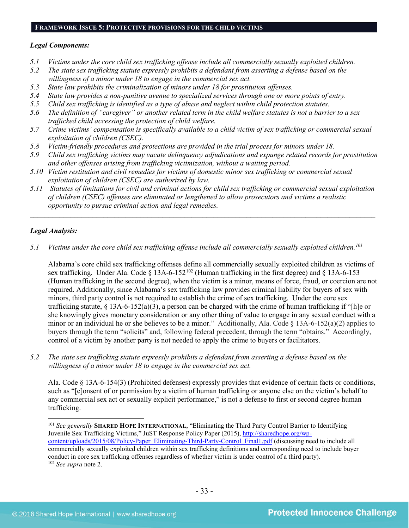#### **FRAMEWORK ISSUE 5: PROTECTIVE PROVISIONS FOR THE CHILD VICTIMS**

#### *Legal Components:*

- *5.1 Victims under the core child sex trafficking offense include all commercially sexually exploited children.*
- *5.2 The state sex trafficking statute expressly prohibits a defendant from asserting a defense based on the willingness of a minor under 18 to engage in the commercial sex act.*
- *5.3 State law prohibits the criminalization of minors under 18 for prostitution offenses.*
- *5.4 State law provides a non-punitive avenue to specialized services through one or more points of entry.*
- *5.5 Child sex trafficking is identified as a type of abuse and neglect within child protection statutes.*
- *5.6 The definition of "caregiver" or another related term in the child welfare statutes is not a barrier to a sex trafficked child accessing the protection of child welfare.*
- *5.7 Crime victims' compensation is specifically available to a child victim of sex trafficking or commercial sexual exploitation of children (CSEC).*
- *5.8 Victim-friendly procedures and protections are provided in the trial process for minors under 18.*
- *5.9 Child sex trafficking victims may vacate delinquency adjudications and expunge related records for prostitution and other offenses arising from trafficking victimization, without a waiting period.*
- *5.10 Victim restitution and civil remedies for victims of domestic minor sex trafficking or commercial sexual exploitation of children (CSEC) are authorized by law.*
- *5.11 Statutes of limitations for civil and criminal actions for child sex trafficking or commercial sexual exploitation of children (CSEC) offenses are eliminated or lengthened to allow prosecutors and victims a realistic opportunity to pursue criminal action and legal remedies.*

*\_\_\_\_\_\_\_\_\_\_\_\_\_\_\_\_\_\_\_\_\_\_\_\_\_\_\_\_\_\_\_\_\_\_\_\_\_\_\_\_\_\_\_\_\_\_\_\_\_\_\_\_\_\_\_\_\_\_\_\_\_\_\_\_\_\_\_\_\_\_\_\_\_\_\_\_\_\_\_\_\_\_\_\_\_\_\_\_\_\_\_\_\_\_*

# *Legal Analysis:*

*5.1 Victims under the core child sex trafficking offense include all commercially sexually exploited children.[101](#page-32-0)*

Alabama's core child sex trafficking offenses define all commercially sexually exploited children as victims of sex trafficking. Under Ala. Code § 13A-6-152<sup>[102](#page-32-1)</sup> (Human trafficking in the first degree) and § 13A-6-153 (Human trafficking in the second degree), when the victim is a minor, means of force, fraud, or coercion are not required. Additionally, since Alabama's sex trafficking law provides criminal liability for buyers of sex with minors, third party control is not required to establish the crime of sex trafficking. Under the core sex trafficking statute,  $\S$  13A-6-152(a)(3), a person can be charged with the crime of human trafficking if "[h]e or she knowingly gives monetary consideration or any other thing of value to engage in any sexual conduct with a minor or an individual he or she believes to be a minor." Additionally, Ala. Code § 13A-6-152(a)(2) applies to buyers through the term "solicits" and, following federal precedent, through the term "obtains." Accordingly, control of a victim by another party is not needed to apply the crime to buyers or facilitators.

*5.2 The state sex trafficking statute expressly prohibits a defendant from asserting a defense based on the willingness of a minor under 18 to engage in the commercial sex act.*

Ala. Code § 13A-6-154(3) (Prohibited defenses) expressly provides that evidence of certain facts or conditions, such as "[c]onsent of or permission by a victim of human trafficking or anyone else on the victim's behalf to any commercial sex act or sexually explicit performance," is not a defense to first or second degree human trafficking.

<span id="page-32-1"></span><span id="page-32-0"></span> <sup>101</sup> *See generally* **SHARED HOPE INTERNATIONAL**, "Eliminating the Third Party Control Barrier to Identifying Juvenile Sex Trafficking Victims," JuST Response Policy Paper (2015), [http://sharedhope.org/wp](http://sharedhope.org/wp-content/uploads/2015/08/Policy-Paper_Eliminating-Third-Party-Control_Final1.pdf)[content/uploads/2015/08/Policy-Paper\\_Eliminating-Third-Party-Control\\_Final1.pdf](http://sharedhope.org/wp-content/uploads/2015/08/Policy-Paper_Eliminating-Third-Party-Control_Final1.pdf) (discussing need to include all commercially sexually exploited children within sex trafficking definitions and corresponding need to include buyer conduct in core sex trafficking offenses regardless of whether victim is under control of a third party). <sup>102</sup> *See supra* not[e 2.](#page-0-2)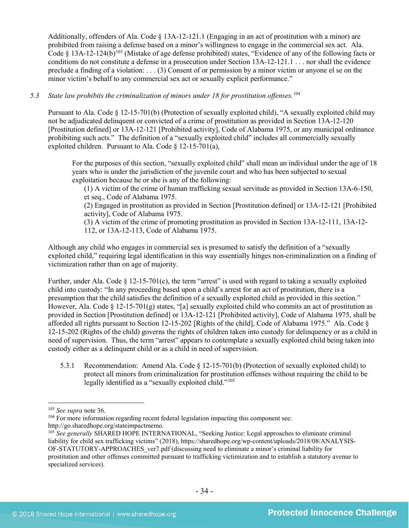Additionally, offenders of Ala. Code § 13A-12-121.1 (Engaging in an act of prostitution with a minor) are prohibited from raising a defense based on a minor's willingness to engage in the commercial sex act. Ala. Code § 13A-12-124(b)<sup>[103](#page-33-0)</sup> (Mistake of age defense prohibited) states, "Evidence of any of the following facts or conditions do not constitute a defense in a prosecution under Section 13A-12-121.1 . . . nor shall the evidence preclude a finding of a violation: . . . (3) Consent of or permission by a minor victim or anyone el se on the minor victim's behalf to any commercial sex act or sexually explicit performance."

# *5.3 State law prohibits the criminalization of minors under 18 for prostitution offenses.[104](#page-33-1)*

Pursuant to Ala. Code § 12-15-701(b) (Protection of sexually exploited child), "A sexually exploited child may not be adjudicated delinquent or convicted of a crime of prostitution as provided in Section 13A-12-120 [Prostitution defined] or 13A-12-121 [Prohibited activity], Code of Alabama 1975, or any municipal ordinance prohibiting such acts." The definition of a "sexually exploited child" includes all commercially sexually exploited children. Pursuant to Ala. Code § 12-15-701(a),

For the purposes of this section, "sexually exploited child" shall mean an individual under the age of 18 years who is under the jurisdiction of the juvenile court and who has been subjected to sexual exploitation because he or she is any of the following:

(1) A victim of the crime of human trafficking sexual servitude as provided in Section 13A-6-150, et seq., Code of Alabama 1975.

(2) Engaged in prostitution as provided in Section [Prostitution defined] or 13A-12-121 [Prohibited activity], Code of Alabama 1975.

(3) A victim of the crime of promoting prostitution as provided in Section 13A-12-111, 13A-12- 112, or 13A-12-113, Code of Alabama 1975.

Although any child who engages in commercial sex is presumed to satisfy the definition of a "sexually exploited child," requiring legal identification in this way essentially hinges non-criminalization on a finding of victimization rather than on age of majority.

Further, under Ala. Code  $\S$  12-15-701(c), the term "arrest" is used with regard to taking a sexually exploited child into custody: "In any proceeding based upon a child's arrest for an act of prostitution, there is a presumption that the child satisfies the definition of a sexually exploited child as provided in this section." However, Ala. Code § 12-15-701(g) states, "[a] sexually exploited child who commits an act of prostitution as provided in Section [Prostitution defined] or 13A-12-121 [Prohibited activity], Code of Alabama 1975, shall be afforded all rights pursuant to Section 12-15-202 [Rights of the child], Code of Alabama 1975." Ala. Code § 12-15-202 (Rights of the child) governs the rights of children taken into custody for delinquency or as a child in need of supervision. Thus, the term "arrest" appears to contemplate a sexually exploited child being taken into custody either as a delinquent child or as a child in need of supervision.

5.3.1 Recommendation: Amend Ala. Code § 12-15-701(b) (Protection of sexually exploited child) to protect all minors from criminalization for prostitution offenses without requiring the child to be legally identified as a "sexually exploited child."<sup>[105](#page-33-2)</sup>

<span id="page-33-0"></span> <sup>103</sup> *See supra* not[e 36.](#page-13-3)

<span id="page-33-1"></span><sup>&</sup>lt;sup>104</sup> For more information regarding recent federal legislation impacting this component see: http://go.sharedhope.org/stateimpactmemo.

<span id="page-33-2"></span><sup>&</sup>lt;sup>105</sup> See generally SHARED HOPE INTERNATIONAL, "Seeking Justice: Legal approaches to eliminate criminal liability for child sex trafficking victims" (2018), https://sharedhope.org/wp-content/uploads/2018/08/ANALYSIS-OF-STATUTORY-APPROACHES\_ver7.pdf (discussing need to eliminate a minor's criminal liability for prostitution and other offenses committed pursuant to trafficking victimization and to establish a statutory avenue to specialized services).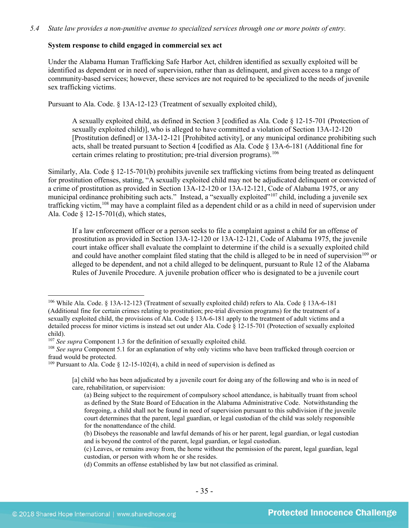#### **System response to child engaged in commercial sex act**

Under the Alabama Human Trafficking Safe Harbor Act, children identified as sexually exploited will be identified as dependent or in need of supervision, rather than as delinquent, and given access to a range of community-based services; however, these services are not required to be specialized to the needs of juvenile sex trafficking victims.

Pursuant to Ala. Code. § 13A-12-123 (Treatment of sexually exploited child),

A sexually exploited child, as defined in Section 3 [codified as Ala. Code § 12-15-701 (Protection of sexually exploited child)], who is alleged to have committed a violation of Section 13A-12-120 [Prostitution defined] or 13A-12-121 [Prohibited activity], or any municipal ordinance prohibiting such acts, shall be treated pursuant to Section 4 [codified as Ala. Code § 13A-6-181 (Additional fine for certain crimes relating to prostitution; pre-trial diversion programs). [106](#page-34-0) 

Similarly, Ala. Code § 12-15-701(b) prohibits juvenile sex trafficking victims from being treated as delinquent for prostitution offenses, stating, "A sexually exploited child may not be adjudicated delinquent or convicted of a crime of prostitution as provided in Section 13A-12-120 or 13A-12-121, Code of Alabama 1975, or any municipal ordinance prohibiting such acts." Instead, a "sexually exploited"[107](#page-34-1) child, including a juvenile sex trafficking victim,<sup>[108](#page-34-2)</sup> may have a complaint filed as a dependent child or as a child in need of supervision under Ala. Code § 12-15-701(d), which states,

If a law enforcement officer or a person seeks to file a complaint against a child for an offense of prostitution as provided in Section 13A-12-120 or 13A-12-121, Code of Alabama 1975, the juvenile court intake officer shall evaluate the complaint to determine if the child is a sexually exploited child and could have another complaint filed stating that the child is alleged to be in need of supervision<sup>[109](#page-34-3)</sup> or alleged to be dependent, and not a child alleged to be delinquent, pursuant to Rule 12 of the Alabama Rules of Juvenile Procedure. A juvenile probation officer who is designated to be a juvenile court

<span id="page-34-3"></span><sup>109</sup> Pursuant to Ala. Code  $\S$  12-15-102(4), a child in need of supervision is defined as

<span id="page-34-0"></span> <sup>106</sup> While Ala. Code. § 13A-12-123 (Treatment of sexually exploited child) refers to Ala. Code § 13A-6-181 (Additional fine for certain crimes relating to prostitution; pre-trial diversion programs) for the treatment of a sexually exploited child, the provisions of Ala. Code § 13A-6-181 apply to the treatment of adult victims and a detailed process for minor victims is instead set out under Ala. Code § 12-15-701 (Protection of sexually exploited child).<br><sup>107</sup> *See supra* Component 1.3 for the definition of sexually exploited child.<br><sup>108</sup> *See supra* Component 5.1 for an explanation of why only victims who have been trafficked through coercion or

<span id="page-34-1"></span>

<span id="page-34-2"></span>fraud would be protected.

<sup>[</sup>a] child who has been adjudicated by a juvenile court for doing any of the following and who is in need of care, rehabilitation, or supervision:

<sup>(</sup>a) Being subject to the requirement of compulsory school attendance, is habitually truant from school as defined by the State Board of Education in the Alabama Administrative Code. Notwithstanding the foregoing, a child shall not be found in need of supervision pursuant to this subdivision if the juvenile court determines that the parent, legal guardian, or legal custodian of the child was solely responsible for the nonattendance of the child.

<sup>(</sup>b) Disobeys the reasonable and lawful demands of his or her parent, legal guardian, or legal custodian and is beyond the control of the parent, legal guardian, or legal custodian.

<sup>(</sup>c) Leaves, or remains away from, the home without the permission of the parent, legal guardian, legal custodian, or person with whom he or she resides.

<sup>(</sup>d) Commits an offense established by law but not classified as criminal.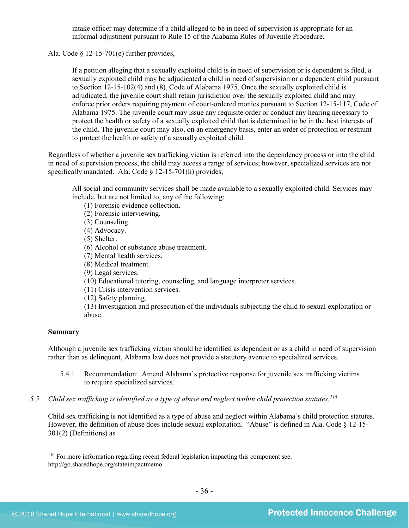intake officer may determine if a child alleged to be in need of supervision is appropriate for an informal adjustment pursuant to Rule 15 of the Alabama Rules of Juvenile Procedure.

Ala. Code § 12-15-701(e) further provides,

If a petition alleging that a sexually exploited child is in need of supervision or is dependent is filed, a sexually exploited child may be adjudicated a child in need of supervision or a dependent child pursuant to Section 12-15-102(4) and (8), Code of Alabama 1975. Once the sexually exploited child is adjudicated, the juvenile court shall retain jurisdiction over the sexually exploited child and may enforce prior orders requiring payment of court-ordered monies pursuant to Section 12-15-117, Code of Alabama 1975. The juvenile court may issue any requisite order or conduct any hearing necessary to protect the health or safety of a sexually exploited child that is determined to be in the best interests of the child. The juvenile court may also, on an emergency basis, enter an order of protection or restraint to protect the health or safety of a sexually exploited child.

Regardless of whether a juvenile sex trafficking victim is referred into the dependency process or into the child in need of supervision process, the child may access a range of services; however, specialized services are not specifically mandated. Ala. Code § 12-15-701(h) provides,

All social and community services shall be made available to a sexually exploited child. Services may include, but are not limited to, any of the following:

(1) Forensic evidence collection.

(2) Forensic interviewing.

(3) Counseling.

(4) Advocacy.

(5) Shelter.

(6) Alcohol or substance abuse treatment.

(7) Mental health services.

(8) Medical treatment.

(9) Legal services.

(10) Educational tutoring, counseling, and language interpreter services.

(11) Crisis intervention services.

(12) Safety planning.

(13) Investigation and prosecution of the individuals subjecting the child to sexual exploitation or abuse.

#### **Summary**

Although a juvenile sex trafficking victim should be identified as dependent or as a child in need of supervision rather than as delinquent, Alabama law does not provide a statutory avenue to specialized services.

- 5.4.1 Recommendation: Amend Alabama's protective response for juvenile sex trafficking victims to require specialized services.
- *5.5 Child sex trafficking is identified as a type of abuse and neglect within child protection statutes. [110](#page-35-0)*

Child sex trafficking is not identified as a type of abuse and neglect within Alabama's child protection statutes. However, the definition of abuse does include sexual exploitation. "Abuse" is defined in Ala. Code § 12-15- 301(2) (Definitions) as

<span id="page-35-0"></span> <sup>110</sup> For more information regarding recent federal legislation impacting this component see: http://go.sharedhope.org/stateimpactmemo.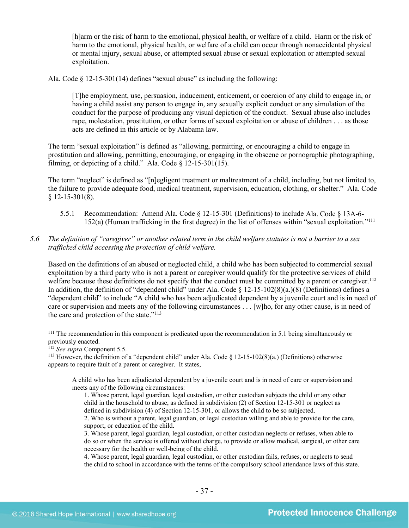[h]arm or the risk of harm to the emotional, physical health, or welfare of a child. Harm or the risk of harm to the emotional, physical health, or welfare of a child can occur through nonaccidental physical or mental injury, sexual abuse, or attempted sexual abuse or sexual exploitation or attempted sexual exploitation.

Ala. Code  $\S$  12-15-301(14) defines "sexual abuse" as including the following:

[T]he employment, use, persuasion, inducement, enticement, or coercion of any child to engage in, or having a child assist any person to engage in, any sexually explicit conduct or any simulation of the conduct for the purpose of producing any visual depiction of the conduct. Sexual abuse also includes rape, molestation, prostitution, or other forms of sexual exploitation or abuse of children . . . as those acts are defined in this article or by Alabama law.

The term "sexual exploitation" is defined as "allowing, permitting, or encouraging a child to engage in prostitution and allowing, permitting, encouraging, or engaging in the obscene or pornographic photographing, filming, or depicting of a child." Ala. Code  $\S$  12-15-301(15).

The term "neglect" is defined as "[n]egligent treatment or maltreatment of a child, including, but not limited to, the failure to provide adequate food, medical treatment, supervision, education, clothing, or shelter." Ala. Code  $§$  12-15-301(8).

- 5.5.1 Recommendation: Amend Ala. Code § 12-15-301 (Definitions) to include Ala. Code § 13A-6- 152(a) (Human trafficking in the first degree) in the list of offenses within "sexual exploitation."[111](#page-36-0)
- *5.6 The definition of "caregiver" or another related term in the child welfare statutes is not a barrier to a sex trafficked child accessing the protection of child welfare.*

Based on the definitions of an abused or neglected child, a child who has been subjected to commercial sexual exploitation by a third party who is not a parent or caregiver would qualify for the protective services of child welfare because these definitions do not specify that the conduct must be committed by a parent or caregiver.<sup>112</sup> In addition, the definition of "dependent child" under Ala. Code § 12-15-102(8)(a.)(8) (Definitions) defines a "dependent child" to include "A child who has been adjudicated dependent by a juvenile court and is in need of care or supervision and meets any of the following circumstances . . . [w]ho, for any other cause, is in need of the care and protection of the state."[113](#page-36-2)

<span id="page-36-0"></span><sup>&</sup>lt;sup>111</sup> The recommendation in this component is predicated upon the recommendation in 5.1 being simultaneously or previously enacted.

<sup>112</sup> *See supra* Component 5.5.

<span id="page-36-2"></span><span id="page-36-1"></span><sup>&</sup>lt;sup>113</sup> However, the definition of a "dependent child" under Ala. Code § 12-15-102(8)(a.) (Definitions) otherwise appears to require fault of a parent or caregiver. It states,

A child who has been adjudicated dependent by a juvenile court and is in need of care or supervision and meets any of the following circumstances:

<sup>1.</sup> Whose parent, legal guardian, legal custodian, or other custodian subjects the child or any other child in the household to abuse, as defined in subdivision (2) of Section 12-15-301 or neglect as defined in subdivision (4) of Section 12-15-301, or allows the child to be so subjected.

<sup>2.</sup> Who is without a parent, legal guardian, or legal custodian willing and able to provide for the care, support, or education of the child.

<sup>3.</sup> Whose parent, legal guardian, legal custodian, or other custodian neglects or refuses, when able to do so or when the service is offered without charge, to provide or allow medical, surgical, or other care necessary for the health or well-being of the child.

<sup>4.</sup> Whose parent, legal guardian, legal custodian, or other custodian fails, refuses, or neglects to send the child to school in accordance with the terms of the compulsory school attendance laws of this state.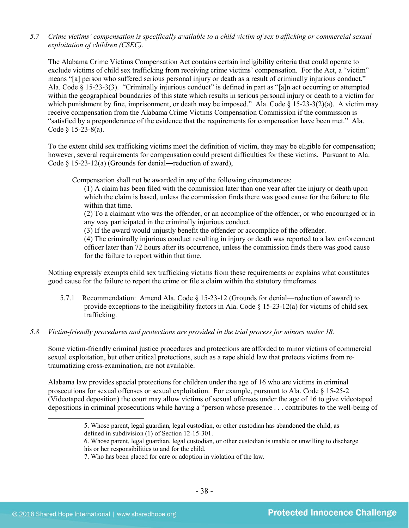*5.7 Crime victims' compensation is specifically available to a child victim of sex trafficking or commercial sexual exploitation of children (CSEC).*

The Alabama Crime Victims Compensation Act contains certain ineligibility criteria that could operate to exclude victims of child sex trafficking from receiving crime victims' compensation. For the Act, a "victim" means "[a] person who suffered serious personal injury or death as a result of criminally injurious conduct." Ala. Code § 15-23-3(3). "Criminally injurious conduct" is defined in part as "[a]n act occurring or attempted within the geographical boundaries of this state which results in serious personal injury or death to a victim for which punishment by fine, imprisonment, or death may be imposed." Ala. Code  $\S$  15-23-3(2)(a). A victim may receive compensation from the Alabama Crime Victims Compensation Commission if the commission is "satisfied by a preponderance of the evidence that the requirements for compensation have been met." Ala. Code § 15-23-8(a).

To the extent child sex trafficking victims meet the definition of victim, they may be eligible for compensation; however, several requirements for compensation could present difficulties for these victims. Pursuant to Ala. Code  $\S$  15-23-12(a) (Grounds for denial—reduction of award),

Compensation shall not be awarded in any of the following circumstances:

(1) A claim has been filed with the commission later than one year after the injury or death upon which the claim is based, unless the commission finds there was good cause for the failure to file within that time.

(2) To a claimant who was the offender, or an accomplice of the offender, or who encouraged or in any way participated in the criminally injurious conduct.

(3) If the award would unjustly benefit the offender or accomplice of the offender.

(4) The criminally injurious conduct resulting in injury or death was reported to a law enforcement officer later than 72 hours after its occurrence, unless the commission finds there was good cause for the failure to report within that time.

Nothing expressly exempts child sex trafficking victims from these requirements or explains what constitutes good cause for the failure to report the crime or file a claim within the statutory timeframes.

- 5.7.1 Recommendation: Amend Ala. Code § 15-23-12 (Grounds for denial—reduction of award) to provide exceptions to the ineligibility factors in Ala. Code § 15-23-12(a) for victims of child sex trafficking.
- *5.8 Victim-friendly procedures and protections are provided in the trial process for minors under 18.*

Some victim-friendly criminal justice procedures and protections are afforded to minor victims of commercial sexual exploitation, but other critical protections, such as a rape shield law that protects victims from retraumatizing cross-examination, are not available.

Alabama law provides special protections for children under the age of 16 who are victims in criminal prosecutions for sexual offenses or sexual exploitation. For example, pursuant to Ala. Code § 15-25-2 (Videotaped deposition) the court may allow victims of sexual offenses under the age of 16 to give videotaped depositions in criminal prosecutions while having a "person whose presence . . . contributes to the well-being of

 <sup>5.</sup> Whose parent, legal guardian, legal custodian, or other custodian has abandoned the child, as defined in subdivision (1) of Section 12-15-301.

<sup>6.</sup> Whose parent, legal guardian, legal custodian, or other custodian is unable or unwilling to discharge his or her responsibilities to and for the child.

<sup>7.</sup> Who has been placed for care or adoption in violation of the law.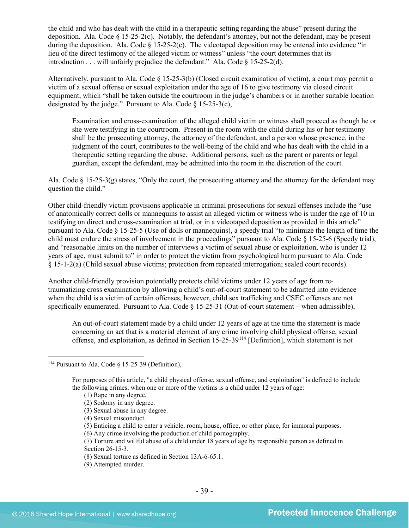the child and who has dealt with the child in a therapeutic setting regarding the abuse" present during the deposition. Ala. Code  $\S 15-25-2(c)$ . Notably, the defendant's attorney, but not the defendant, may be present during the deposition. Ala. Code  $\S$  15-25-2(c). The videotaped deposition may be entered into evidence "in lieu of the direct testimony of the alleged victim or witness" unless "the court determines that its introduction . . . will unfairly prejudice the defendant." Ala. Code § 15-25-2(d).

Alternatively, pursuant to Ala. Code § 15-25-3(b) (Closed circuit examination of victim), a court may permit a victim of a sexual offense or sexual exploitation under the age of 16 to give testimony via closed circuit equipment, which "shall be taken outside the courtroom in the judge's chambers or in another suitable location designated by the judge." Pursuant to Ala. Code  $\S$  15-25-3(c),

Examination and cross-examination of the alleged child victim or witness shall proceed as though he or she were testifying in the courtroom. Present in the room with the child during his or her testimony shall be the prosecuting attorney, the attorney of the defendant, and a person whose presence, in the judgment of the court, contributes to the well-being of the child and who has dealt with the child in a therapeutic setting regarding the abuse. Additional persons, such as the parent or parents or legal guardian, except the defendant, may be admitted into the room in the discretion of the court.

Ala. Code § 15-25-3(g) states, "Only the court, the prosecuting attorney and the attorney for the defendant may question the child."

Other child-friendly victim provisions applicable in criminal prosecutions for sexual offenses include the "use of anatomically correct dolls or mannequins to assist an alleged victim or witness who is under the age of 10 in testifying on direct and cross-examination at trial, or in a videotaped deposition as provided in this article" pursuant to Ala. Code § 15-25-5 (Use of dolls or mannequins), a speedy trial "to minimize the length of time the child must endure the stress of involvement in the proceedings" pursuant to Ala. Code § 15-25-6 (Speedy trial), and "reasonable limits on the number of interviews a victim of sexual abuse or exploitation, who is under 12 years of age, must submit to" in order to protect the victim from psychological harm pursuant to Ala. Code § 15-1-2(a) (Child sexual abuse victims; protection from repeated interrogation; sealed court records).

Another child-friendly provision potentially protects child victims under 12 years of age from retraumatizing cross examination by allowing a child's out-of-court statement to be admitted into evidence when the child is a victim of certain offenses, however, child sex trafficking and CSEC offenses are not specifically enumerated. Pursuant to Ala. Code § 15-25-31 (Out-of-court statement – when admissible),

An out-of-court statement made by a child under 12 years of age at the time the statement is made concerning an act that is a material element of any crime involving child physical offense, sexual offense, and exploitation, as defined in Section 15-25-39[114](#page-38-0) [Definition], which statement is not

- (4) Sexual misconduct.
- (5) Enticing a child to enter a vehicle, room, house, office, or other place, for immoral purposes.
- (6) Any crime involving the production of child pornography.

- (8) Sexual torture as defined in Section 13A-6-65.1.
- (9) Attempted murder.

<span id="page-38-0"></span><sup>&</sup>lt;sup>114</sup> Pursuant to Ala. Code  $\frac{15-25-39}{15-25-39}$  (Definition),

For purposes of this article, "a child physical offense, sexual offense, and exploitation" is defined to include the following crimes, when one or more of the victims is a child under 12 years of age:

<sup>(1)</sup> Rape in any degree.

<sup>(2)</sup> Sodomy in any degree.

<sup>(3)</sup> Sexual abuse in any degree.

<sup>(7)</sup> Torture and willful abuse of a child under 18 years of age by responsible person as defined in Section 26-15-3.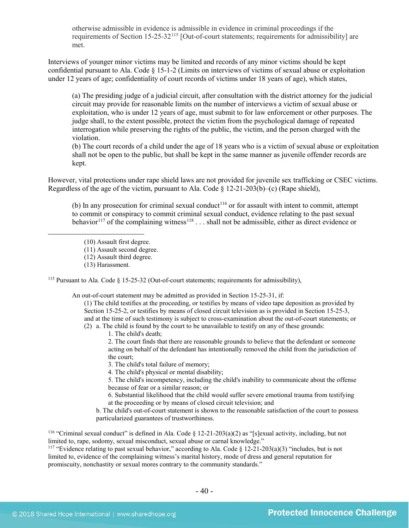otherwise admissible in evidence is admissible in evidence in criminal proceedings if the requirements of Section 15-25-32[115](#page-39-0) [Out-of-court statements; requirements for admissibility] are met.

Interviews of younger minor victims may be limited and records of any minor victims should be kept confidential pursuant to Ala. Code § 15-1-2 (Limits on interviews of victims of sexual abuse or exploitation under 12 years of age; confidentiality of court records of victims under 18 years of age), which states,

(a) The presiding judge of a judicial circuit, after consultation with the district attorney for the judicial circuit may provide for reasonable limits on the number of interviews a victim of sexual abuse or exploitation, who is under 12 years of age, must submit to for law enforcement or other purposes. The judge shall, to the extent possible, protect the victim from the psychological damage of repeated interrogation while preserving the rights of the public, the victim, and the person charged with the violation.

(b) The court records of a child under the age of 18 years who is a victim of sexual abuse or exploitation shall not be open to the public, but shall be kept in the same manner as juvenile offender records are kept.

However, vital protections under rape shield laws are not provided for juvenile sex trafficking or CSEC victims. Regardless of the age of the victim, pursuant to Ala. Code  $\S$  12-21-203(b)–(c) (Rape shield),

(b) In any prosecution for criminal sexual conduct<sup>[116](#page-39-1)</sup> or for assault with intent to commit, attempt to commit or conspiracy to commit criminal sexual conduct, evidence relating to the past sexual behavior<sup>[117](#page-39-2)</sup> of the complaining witness<sup>[118](#page-39-3)</sup> . . . shall not be admissible, either as direct evidence or

 $\overline{a}$ 

<span id="page-39-0"></span><sup>115</sup> Pursuant to Ala. Code  $\S$  15-25-32 (Out-of-court statements; requirements for admissibility),

An out-of-court statement may be admitted as provided in Section 15-25-31, if:

(1) The child testifies at the proceeding, or testifies by means of video tape deposition as provided by Section 15-25-2, or testifies by means of closed circuit television as is provided in Section 15-25-3, and at the time of such testimony is subject to cross-examination about the out-of-court statements; or

(2) a. The child is found by the court to be unavailable to testify on any of these grounds:

1. The child's death;

2. The court finds that there are reasonable grounds to believe that the defendant or someone acting on behalf of the defendant has intentionally removed the child from the jurisdiction of the court;

3. The child's total failure of memory;

4. The child's physical or mental disability;

5. The child's incompetency, including the child's inability to communicate about the offense because of fear or a similar reason; or

6. Substantial likelihood that the child would suffer severe emotional trauma from testifying at the proceeding or by means of closed circuit television; and

b. The child's out-of-court statement is shown to the reasonable satisfaction of the court to possess particularized guarantees of trustworthiness.

<span id="page-39-1"></span><sup>116</sup> "Criminal sexual conduct" is defined in Ala. Code § 12-21-203(a)(2) as "[s]exual activity, including, but not limited to, rape, sodomy, sexual misconduct, sexual abuse or carnal knowledge."

<span id="page-39-3"></span><span id="page-39-2"></span><sup>117</sup> "Evidence relating to past sexual behavior," according to Ala. Code § 12-21-203(a)(3) "includes, but is not limited to, evidence of the complaining witness's marital history, mode of dress and general reputation for promiscuity, nonchastity or sexual mores contrary to the community standards."

<sup>(10)</sup> Assault first degree.

<sup>(11)</sup> Assault second degree.

<sup>(12)</sup> Assault third degree.

<sup>(13)</sup> Harassment.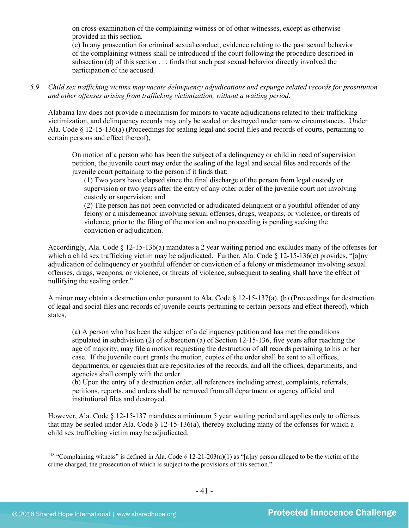on cross-examination of the complaining witness or of other witnesses, except as otherwise provided in this section.

(c) In any prosecution for criminal sexual conduct, evidence relating to the past sexual behavior of the complaining witness shall be introduced if the court following the procedure described in subsection (d) of this section . . . finds that such past sexual behavior directly involved the participation of the accused.

*5.9 Child sex trafficking victims may vacate delinquency adjudications and expunge related records for prostitution and other offenses arising from trafficking victimization, without a waiting period.*

Alabama law does not provide a mechanism for minors to vacate adjudications related to their trafficking victimization, and delinquency records may only be sealed or destroyed under narrow circumstances. Under Ala. Code § 12-15-136(a) (Proceedings for sealing legal and social files and records of courts, pertaining to certain persons and effect thereof),

On motion of a person who has been the subject of a delinquency or child in need of supervision petition, the juvenile court may order the sealing of the legal and social files and records of the juvenile court pertaining to the person if it finds that:

(1) Two years have elapsed since the final discharge of the person from legal custody or supervision or two years after the entry of any other order of the juvenile court not involving custody or supervision; and

(2) The person has not been convicted or adjudicated delinquent or a youthful offender of any felony or a misdemeanor involving sexual offenses, drugs, weapons, or violence, or threats of violence, prior to the filing of the motion and no proceeding is pending seeking the conviction or adjudication.

Accordingly, Ala. Code § 12-15-136(a) mandates a 2 year waiting period and excludes many of the offenses for which a child sex trafficking victim may be adjudicated. Further, Ala. Code  $\S$  12-15-136(e) provides, "[a]ny adjudication of delinquency or youthful offender or conviction of a felony or misdemeanor involving sexual offenses, drugs, weapons, or violence, or threats of violence, subsequent to sealing shall have the effect of nullifying the sealing order."

A minor may obtain a destruction order pursuant to Ala. Code  $\S$  12-15-137(a), (b) (Proceedings for destruction of legal and social files and records of juvenile courts pertaining to certain persons and effect thereof), which states,

(a) A person who has been the subject of a delinquency petition and has met the conditions stipulated in subdivision (2) of subsection (a) of Section 12-15-136, five years after reaching the age of majority, may file a motion requesting the destruction of all records pertaining to his or her case. If the juvenile court grants the motion, copies of the order shall be sent to all offices, departments, or agencies that are repositories of the records, and all the offices, departments, and agencies shall comply with the order.

(b) Upon the entry of a destruction order, all references including arrest, complaints, referrals, petitions, reports, and orders shall be removed from all department or agency official and institutional files and destroyed.

However, Ala. Code § 12-15-137 mandates a minimum 5 year waiting period and applies only to offenses that may be sealed under Ala. Code § 12-15-136(a), thereby excluding many of the offenses for which a child sex trafficking victim may be adjudicated.

<sup>&</sup>lt;sup>118</sup> "Complaining witness" is defined in Ala. Code § 12-21-203(a)(1) as "[a]ny person alleged to be the victim of the crime charged, the prosecution of which is subject to the provisions of this section."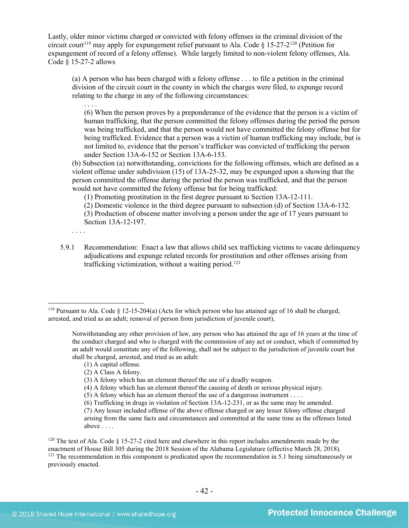Lastly, older minor victims charged or convicted with felony offenses in the criminal division of the circuit court<sup>[119](#page-41-0)</sup> may apply for expungement relief pursuant to Ala. Code  $\S$  15-27-2<sup>[120](#page-41-1)</sup> (Petition for expungement of record of a felony offense). While largely limited to non-violent felony offenses, Ala. Code § 15-27-2 allows

(a) A person who has been charged with a felony offense . . . to file a petition in the criminal division of the circuit court in the county in which the charges were filed, to expunge record relating to the charge in any of the following circumstances:

. . . . (6) When the person proves by a preponderance of the evidence that the person is a victim of human trafficking, that the person committed the felony offenses during the period the person was being trafficked, and that the person would not have committed the felony offense but for being trafficked. Evidence that a person was a victim of human trafficking may include, but is not limited to, evidence that the person's trafficker was convicted of trafficking the person under Section 13A-6-152 or Section 13A-6-153.

(b) Subsection (a) notwithstanding, convictions for the following offenses, which are defined as a violent offense under subdivision (15) of 13A-25-32, may be expunged upon a showing that the person committed the offense during the period the person was trafficked, and that the person would not have committed the felony offense but for being trafficked:

(1) Promoting prostitution in the first degree pursuant to Section 13A-12-111.

(2) Domestic violence in the third degree pursuant to subsection (d) of Section 13A-6-132. (3) Production of obscene matter involving a person under the age of 17 years pursuant to Section 13A-12-197.

- . . . .
- 5.9.1 Recommendation: Enact a law that allows child sex trafficking victims to vacate delinquency adjudications and expunge related records for prostitution and other offenses arising from trafficking victimization, without a waiting period. [121](#page-41-2)

- (1) A capital offense.
- (2) A Class A felony.

<span id="page-41-0"></span> <sup>119</sup> Pursuant to Ala. Code § 12-15-204(a) (Acts for which person who has attained age of 16 shall be charged, arrested, and tried as an adult; removal of person from jurisdiction of juvenile court),

Notwithstanding any other provision of law, any person who has attained the age of 16 years at the time of the conduct charged and who is charged with the commission of any act or conduct, which if committed by an adult would constitute any of the following, shall not be subject to the jurisdiction of juvenile court but shall be charged, arrested, and tried as an adult:

<sup>(3)</sup> A felony which has an element thereof the use of a deadly weapon.

<sup>(4)</sup> A felony which has an element thereof the causing of death or serious physical injury.

<sup>(5)</sup> A felony which has an element thereof the use of a dangerous instrument . . . .

<sup>(6)</sup> Trafficking in drugs in violation of Section 13A-12-231, or as the same may be amended.

<sup>(7)</sup> Any lesser included offense of the above offense charged or any lesser felony offense charged arising from the same facts and circumstances and committed at the same time as the offenses listed above . . . .

<span id="page-41-2"></span><span id="page-41-1"></span> $120$  The text of Ala. Code § 15-27-2 cited here and elsewhere in this report includes amendments made by the enactment of House Bill 305 during the 2018 Session of the Alabama Legislature (effective March 28, 2018).  $121$  The recommendation in this component is predicated upon the recommendation in 5.1 being simultaneously or previously enacted.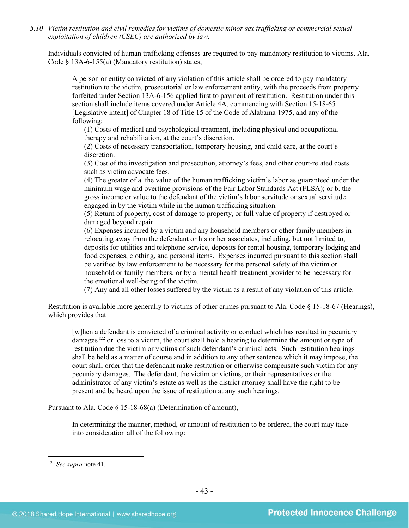*5.10 Victim restitution and civil remedies for victims of domestic minor sex trafficking or commercial sexual exploitation of children (CSEC) are authorized by law.* 

Individuals convicted of human trafficking offenses are required to pay mandatory restitution to victims. Ala. Code § 13A-6-155(a) (Mandatory restitution) states,

A person or entity convicted of any violation of this article shall be ordered to pay mandatory restitution to the victim, prosecutorial or law enforcement entity, with the proceeds from property forfeited under Section 13A-6-156 applied first to payment of restitution. Restitution under this section shall include items covered under Article 4A, commencing with Section 15-18-65 [Legislative intent] of Chapter 18 of Title 15 of the Code of Alabama 1975, and any of the following:

(1) Costs of medical and psychological treatment, including physical and occupational therapy and rehabilitation, at the court's discretion.

(2) Costs of necessary transportation, temporary housing, and child care, at the court's discretion.

(3) Cost of the investigation and prosecution, attorney's fees, and other court-related costs such as victim advocate fees.

(4) The greater of a. the value of the human trafficking victim's labor as guaranteed under the minimum wage and overtime provisions of the Fair Labor Standards Act (FLSA); or b. the gross income or value to the defendant of the victim's labor servitude or sexual servitude engaged in by the victim while in the human trafficking situation.

(5) Return of property, cost of damage to property, or full value of property if destroyed or damaged beyond repair.

(6) Expenses incurred by a victim and any household members or other family members in relocating away from the defendant or his or her associates, including, but not limited to, deposits for utilities and telephone service, deposits for rental housing, temporary lodging and food expenses, clothing, and personal items. Expenses incurred pursuant to this section shall be verified by law enforcement to be necessary for the personal safety of the victim or household or family members, or by a mental health treatment provider to be necessary for the emotional well-being of the victim.

(7) Any and all other losses suffered by the victim as a result of any violation of this article.

Restitution is available more generally to victims of other crimes pursuant to Ala. Code § 15-18-67 (Hearings), which provides that

[w]hen a defendant is convicted of a criminal activity or conduct which has resulted in pecuniary damages<sup>[122](#page-42-0)</sup> or loss to a victim, the court shall hold a hearing to determine the amount or type of restitution due the victim or victims of such defendant's criminal acts. Such restitution hearings shall be held as a matter of course and in addition to any other sentence which it may impose, the court shall order that the defendant make restitution or otherwise compensate such victim for any pecuniary damages. The defendant, the victim or victims, or their representatives or the administrator of any victim's estate as well as the district attorney shall have the right to be present and be heard upon the issue of restitution at any such hearings.

Pursuant to Ala. Code § 15-18-68(a) (Determination of amount),

In determining the manner, method, or amount of restitution to be ordered, the court may take into consideration all of the following:

<span id="page-42-0"></span> <sup>122</sup> *See supra* not[e 41.](#page-15-1)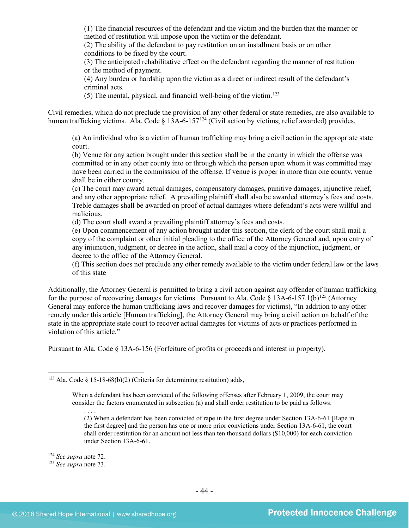(1) The financial resources of the defendant and the victim and the burden that the manner or method of restitution will impose upon the victim or the defendant.

(2) The ability of the defendant to pay restitution on an installment basis or on other conditions to be fixed by the court.

(3) The anticipated rehabilitative effect on the defendant regarding the manner of restitution or the method of payment.

(4) Any burden or hardship upon the victim as a direct or indirect result of the defendant's criminal acts.

(5) The mental, physical, and financial well-being of the victim.[123](#page-43-0) 

Civil remedies, which do not preclude the provision of any other federal or state remedies, are also available to human trafficking victims. Ala. Code §  $13A-6-157^{124}$  $13A-6-157^{124}$  $13A-6-157^{124}$  (Civil action by victims; relief awarded) provides,

(a) An individual who is a victim of human trafficking may bring a civil action in the appropriate state court.

(b) Venue for any action brought under this section shall be in the county in which the offense was committed or in any other county into or through which the person upon whom it was committed may have been carried in the commission of the offense. If venue is proper in more than one county, venue shall be in either county.

(c) The court may award actual damages, compensatory damages, punitive damages, injunctive relief, and any other appropriate relief. A prevailing plaintiff shall also be awarded attorney's fees and costs. Treble damages shall be awarded on proof of actual damages where defendant's acts were willful and malicious.

(d) The court shall award a prevailing plaintiff attorney's fees and costs.

(e) Upon commencement of any action brought under this section, the clerk of the court shall mail a copy of the complaint or other initial pleading to the office of the Attorney General and, upon entry of any injunction, judgment, or decree in the action, shall mail a copy of the injunction, judgment, or decree to the office of the Attorney General.

(f) This section does not preclude any other remedy available to the victim under federal law or the laws of this state

Additionally, the Attorney General is permitted to bring a civil action against any offender of human trafficking for the purpose of recovering damages for victims. Pursuant to Ala. Code  $\S$  13A-6-157.1(b)<sup>[125](#page-43-2)</sup> (Attorney General may enforce the human trafficking laws and recover damages for victims), "In addition to any other remedy under this article [Human trafficking], the Attorney General may bring a civil action on behalf of the state in the appropriate state court to recover actual damages for victims of acts or practices performed in violation of this article."

Pursuant to Ala. Code § 13A-6-156 (Forfeiture of profits or proceeds and interest in property),

When a defendant has been convicted of the following offenses after February 1, 2009, the court may consider the factors enumerated in subsection (a) and shall order restitution to be paid as follows:

(2) When a defendant has been convicted of rape in the first degree under Section 13A-6-61 [Rape in the first degree] and the person has one or more prior convictions under Section 13A-6-61, the court shall order restitution for an amount not less than ten thousand dollars (\$10,000) for each conviction under Section 13A-6-61.

<span id="page-43-1"></span><sup>124</sup> *See supra* not[e 72.](#page-23-2) 125 *See supra* not[e 73.](#page-24-3)

. . . .

<span id="page-43-2"></span>

<span id="page-43-0"></span><sup>&</sup>lt;sup>123</sup> Ala. Code § 15-18-68(b)(2) (Criteria for determining restitution) adds,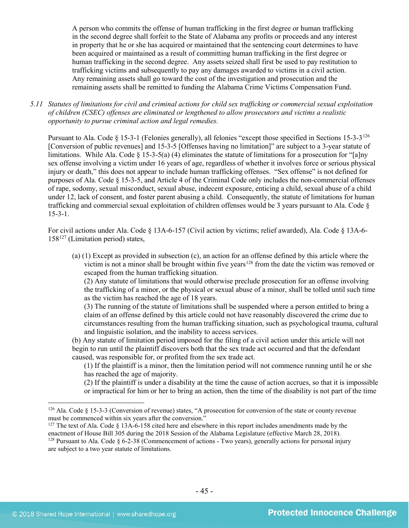A person who commits the offense of human trafficking in the first degree or human trafficking in the second degree shall forfeit to the State of Alabama any profits or proceeds and any interest in property that he or she has acquired or maintained that the sentencing court determines to have been acquired or maintained as a result of committing human trafficking in the first degree or human trafficking in the second degree. Any assets seized shall first be used to pay restitution to trafficking victims and subsequently to pay any damages awarded to victims in a civil action. Any remaining assets shall go toward the cost of the investigation and prosecution and the remaining assets shall be remitted to funding the Alabama Crime Victims Compensation Fund.

*5.11 Statutes of limitations for civil and criminal actions for child sex trafficking or commercial sexual exploitation of children (CSEC) offenses are eliminated or lengthened to allow prosecutors and victims a realistic opportunity to pursue criminal action and legal remedies.*

Pursuant to Ala. Code § 15-3-1 (Felonies generally), all felonies "except those specified in Sections 15-3-3[126](#page-44-0) [Conversion of public revenues] and 15-3-5 [Offenses having no limitation]" are subject to a 3-year statute of limitations. While Ala. Code  $\zeta$  15-3-5(a) (4) eliminates the statute of limitations for a prosecution for "[a]ny sex offense involving a victim under 16 years of age, regardless of whether it involves force or serious physical injury or death," this does not appear to include human trafficking offenses. "Sex offense" is not defined for purposes of Ala. Code § 15-3-5, and Article 4 of the Criminal Code only includes the non-commercial offenses of rape, sodomy, sexual misconduct, sexual abuse, indecent exposure, enticing a child, sexual abuse of a child under 12, lack of consent, and foster parent abusing a child. Consequently, the statute of limitations for human trafficking and commercial sexual exploitation of children offenses would be 3 years pursuant to Ala. Code § 15-3-1.

For civil actions under Ala. Code § 13A-6-157 (Civil action by victims; relief awarded), Ala. Code § 13A-6-  $158^{127}$  $158^{127}$  $158^{127}$  (Limitation period) states,

(a) (1) Except as provided in subsection (c), an action for an offense defined by this article where the victim is not a minor shall be brought within five years<sup>[128](#page-44-2)</sup> from the date the victim was removed or escaped from the human trafficking situation.

(2) Any statute of limitations that would otherwise preclude prosecution for an offense involving the trafficking of a minor, or the physical or sexual abuse of a minor, shall be tolled until such time as the victim has reached the age of 18 years.

(3) The running of the statute of limitations shall be suspended where a person entitled to bring a claim of an offense defined by this article could not have reasonably discovered the crime due to circumstances resulting from the human trafficking situation, such as psychological trauma, cultural and linguistic isolation, and the inability to access services.

(b) Any statute of limitation period imposed for the filing of a civil action under this article will not begin to run until the plaintiff discovers both that the sex trade act occurred and that the defendant caused, was responsible for, or profited from the sex trade act.

(1) If the plaintiff is a minor, then the limitation period will not commence running until he or she has reached the age of majority.

(2) If the plaintiff is under a disability at the time the cause of action accrues, so that it is impossible or impractical for him or her to bring an action, then the time of the disability is not part of the time

<span id="page-44-0"></span> <sup>126</sup> Ala. Code § 15-3-3 (Conversion of revenue) states, "A prosecution for conversion of the state or county revenue must be commenced within six years after the conversion."

<span id="page-44-2"></span><span id="page-44-1"></span><sup>&</sup>lt;sup>127</sup> The text of Ala. Code § 13A-6-158 cited here and elsewhere in this report includes amendments made by the enactment of House Bill 305 during the 2018 Session of the Alabama Legislature (effective March 28, 2018). <sup>128</sup> Pursuant to Ala. Code  $\S 6$ -2-38 (Commencement of actions - Two years), generally actions for personal injury are subject to a two year statute of limitations.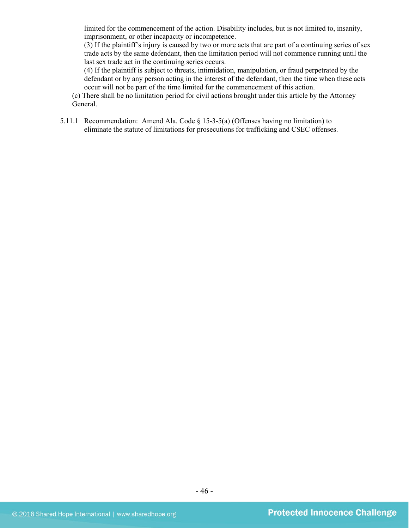limited for the commencement of the action. Disability includes, but is not limited to, insanity, imprisonment, or other incapacity or incompetence.

(3) If the plaintiff's injury is caused by two or more acts that are part of a continuing series of sex trade acts by the same defendant, then the limitation period will not commence running until the last sex trade act in the continuing series occurs.

(4) If the plaintiff is subject to threats, intimidation, manipulation, or fraud perpetrated by the defendant or by any person acting in the interest of the defendant, then the time when these acts occur will not be part of the time limited for the commencement of this action.

(c) There shall be no limitation period for civil actions brought under this article by the Attorney General.

5.11.1 Recommendation: Amend Ala. Code § 15-3-5(a) (Offenses having no limitation) to eliminate the statute of limitations for prosecutions for trafficking and CSEC offenses.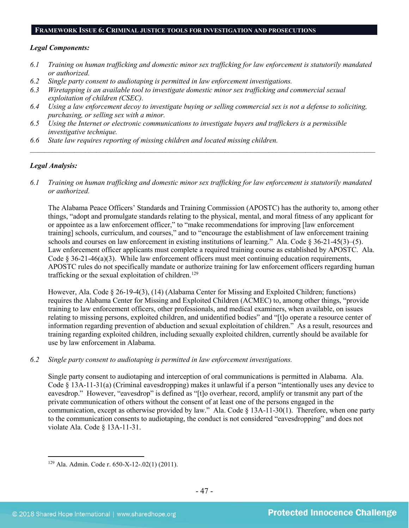#### **FRAMEWORK ISSUE 6: CRIMINAL JUSTICE TOOLS FOR INVESTIGATION AND PROSECUTIONS**

#### *Legal Components:*

- *6.1 Training on human trafficking and domestic minor sex trafficking for law enforcement is statutorily mandated or authorized.*
- *6.2 Single party consent to audiotaping is permitted in law enforcement investigations.*
- *6.3 Wiretapping is an available tool to investigate domestic minor sex trafficking and commercial sexual exploitation of children (CSEC).*
- *6.4 Using a law enforcement decoy to investigate buying or selling commercial sex is not a defense to soliciting, purchasing, or selling sex with a minor.*
- *6.5 Using the Internet or electronic communications to investigate buyers and traffickers is a permissible investigative technique.*
- *6.6 State law requires reporting of missing children and located missing children.*

# *Legal Analysis:*

*6.1 Training on human trafficking and domestic minor sex trafficking for law enforcement is statutorily mandated or authorized.*

*\_\_\_\_\_\_\_\_\_\_\_\_\_\_\_\_\_\_\_\_\_\_\_\_\_\_\_\_\_\_\_\_\_\_\_\_\_\_\_\_\_\_\_\_\_\_\_\_\_\_\_\_\_\_\_\_\_\_\_\_\_\_\_\_\_\_\_\_\_\_\_\_\_\_\_\_\_\_\_\_\_\_\_\_\_\_\_\_\_\_\_\_\_\_*

The Alabama Peace Officers' Standards and Training Commission (APOSTC) has the authority to, among other things, "adopt and promulgate standards relating to the physical, mental, and moral fitness of any applicant for or appointee as a law enforcement officer," to "make recommendations for improving [law enforcement training] schools, curriculum, and courses," and to "encourage the establishment of law enforcement training schools and courses on law enforcement in existing institutions of learning." Ala. Code  $\S 36-21-45(3)$ –(5). Law enforcement officer applicants must complete a required training course as established by APOSTC. Ala. Code  $\S 36-21-46(a)(3)$ . While law enforcement officers must meet continuing education requirements, APOSTC rules do not specifically mandate or authorize training for law enforcement officers regarding human trafficking or the sexual exploitation of children.<sup>[129](#page-46-0)</sup>

However, Ala. Code § 26-19-4(3), (14) (Alabama Center for Missing and Exploited Children; functions) requires the Alabama Center for Missing and Exploited Children (ACMEC) to, among other things, "provide training to law enforcement officers, other professionals, and medical examiners, when available, on issues relating to missing persons, exploited children, and unidentified bodies" and "[t]o operate a resource center of information regarding prevention of abduction and sexual exploitation of children." As a result, resources and training regarding exploited children, including sexually exploited children, currently should be available for use by law enforcement in Alabama.

*6.2 Single party consent to audiotaping is permitted in law enforcement investigations.*

Single party consent to audiotaping and interception of oral communications is permitted in Alabama. Ala. Code § 13A-11-31(a) (Criminal eavesdropping) makes it unlawful if a person "intentionally uses any device to eavesdrop." However, "eavesdrop" is defined as "[t]o overhear, record, amplify or transmit any part of the private communication of others without the consent of at least one of the persons engaged in the communication, except as otherwise provided by law." Ala. Code § 13A-11-30(1). Therefore, when one party to the communication consents to audiotaping, the conduct is not considered "eavesdropping" and does not violate Ala. Code § 13A-11-31.

<span id="page-46-0"></span> <sup>129</sup> Ala. Admin. Code r. 650-X-12-.02(1) (2011).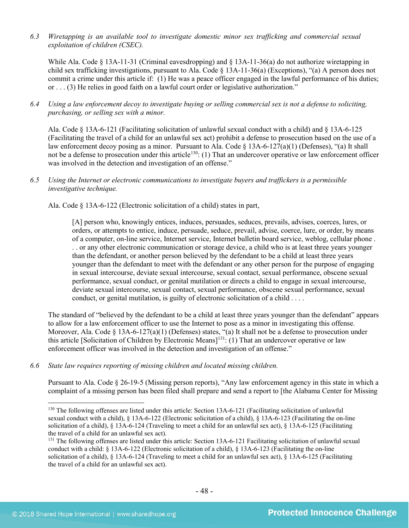*6.3 Wiretapping is an available tool to investigate domestic minor sex trafficking and commercial sexual exploitation of children (CSEC).* 

While Ala. Code § 13A-11-31 (Criminal eavesdropping) and § 13A-11-36(a) do not authorize wiretapping in child sex trafficking investigations, pursuant to Ala. Code § 13A-11-36(a) (Exceptions), "(a) A person does not commit a crime under this article if: (1) He was a peace officer engaged in the lawful performance of his duties; or . . . (3) He relies in good faith on a lawful court order or legislative authorization."

*6.4 Using a law enforcement decoy to investigate buying or selling commercial sex is not a defense to soliciting, purchasing, or selling sex with a minor.*

Ala. Code § 13A-6-121 (Facilitating solicitation of unlawful sexual conduct with a child) and § 13A-6-125 (Facilitating the travel of a child for an unlawful sex act) prohibit a defense to prosecution based on the use of a law enforcement decoy posing as a minor. Pursuant to Ala. Code  $\S$  13A-6-127(a)(1) (Defenses), "(a) It shall not be a defense to prosecution under this article<sup>[130](#page-47-0)</sup>: (1) That an undercover operative or law enforcement officer was involved in the detection and investigation of an offense."

# *6.5 Using the Internet or electronic communications to investigate buyers and traffickers is a permissible investigative technique.*

Ala. Code § 13A-6-122 (Electronic solicitation of a child) states in part,

[A] person who, knowingly entices, induces, persuades, seduces, prevails, advises, coerces, lures, or orders, or attempts to entice, induce, persuade, seduce, prevail, advise, coerce, lure, or order, by means of a computer, on-line service, Internet service, Internet bulletin board service, weblog, cellular phone . . . or any other electronic communication or storage device, a child who is at least three years younger than the defendant, or another person believed by the defendant to be a child at least three years younger than the defendant to meet with the defendant or any other person for the purpose of engaging in sexual intercourse, deviate sexual intercourse, sexual contact, sexual performance, obscene sexual performance, sexual conduct, or genital mutilation or directs a child to engage in sexual intercourse, deviate sexual intercourse, sexual contact, sexual performance, obscene sexual performance, sexual conduct, or genital mutilation, is guilty of electronic solicitation of a child . . . .

The standard of "believed by the defendant to be a child at least three years younger than the defendant" appears to allow for a law enforcement officer to use the Internet to pose as a minor in investigating this offense. Moreover, Ala. Code § 13A-6-127(a)(1) (Defenses) states, "(a) It shall not be a defense to prosecution under this article [Solicitation of Children by Electronic Means[\]131:](#page-47-1) (1) That an undercover operative or law enforcement officer was involved in the detection and investigation of an offense."

*6.6 State law requires reporting of missing children and located missing children.* 

Pursuant to Ala. Code § 26-19-5 (Missing person reports), "Any law enforcement agency in this state in which a complaint of a missing person has been filed shall prepare and send a report to [the Alabama Center for Missing

<span id="page-47-0"></span><sup>&</sup>lt;sup>130</sup> The following offenses are listed under this article: Section 13A-6-121 (Facilitating solicitation of unlawful sexual conduct with a child), § 13A-6-122 (Electronic solicitation of a child), § 13A-6-123 (Facilitating the on-line solicitation of a child), § 13A-6-124 (Traveling to meet a child for an unlawful sex act), § 13A-6-125 (Facilitating the travel of a child for an unlawful sex act).

<span id="page-47-1"></span><sup>&</sup>lt;sup>131</sup> The following offenses are listed under this article: Section 13A-6-121 Facilitating solicitation of unlawful sexual conduct with a child: § 13A-6-122 (Electronic solicitation of a child), § 13A-6-123 (Facilitating the on-line solicitation of a child), § 13A-6-124 (Traveling to meet a child for an unlawful sex act), § 13A-6-125 (Facilitating the travel of a child for an unlawful sex act).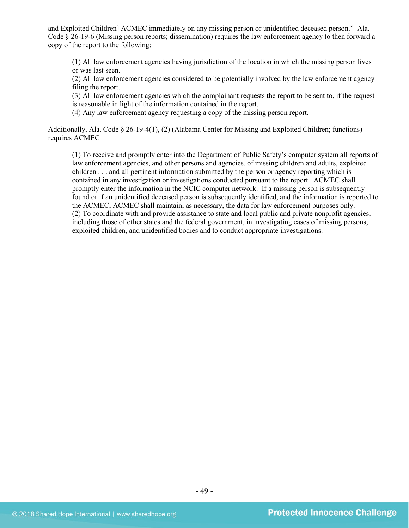and Exploited Children] ACMEC immediately on any missing person or unidentified deceased person." Ala. Code § 26-19-6 (Missing person reports; dissemination) requires the law enforcement agency to then forward a copy of the report to the following:

(1) All law enforcement agencies having jurisdiction of the location in which the missing person lives or was last seen.

(2) All law enforcement agencies considered to be potentially involved by the law enforcement agency filing the report.

(3) All law enforcement agencies which the complainant requests the report to be sent to, if the request is reasonable in light of the information contained in the report.

(4) Any law enforcement agency requesting a copy of the missing person report.

Additionally, Ala. Code § 26-19-4(1), (2) (Alabama Center for Missing and Exploited Children; functions) requires ACMEC

(1) To receive and promptly enter into the Department of Public Safety's computer system all reports of law enforcement agencies, and other persons and agencies, of missing children and adults, exploited children . . . and all pertinent information submitted by the person or agency reporting which is contained in any investigation or investigations conducted pursuant to the report. ACMEC shall promptly enter the information in the NCIC computer network. If a missing person is subsequently found or if an unidentified deceased person is subsequently identified, and the information is reported to the ACMEC, ACMEC shall maintain, as necessary, the data for law enforcement purposes only. (2) To coordinate with and provide assistance to state and local public and private nonprofit agencies, including those of other states and the federal government, in investigating cases of missing persons, exploited children, and unidentified bodies and to conduct appropriate investigations.